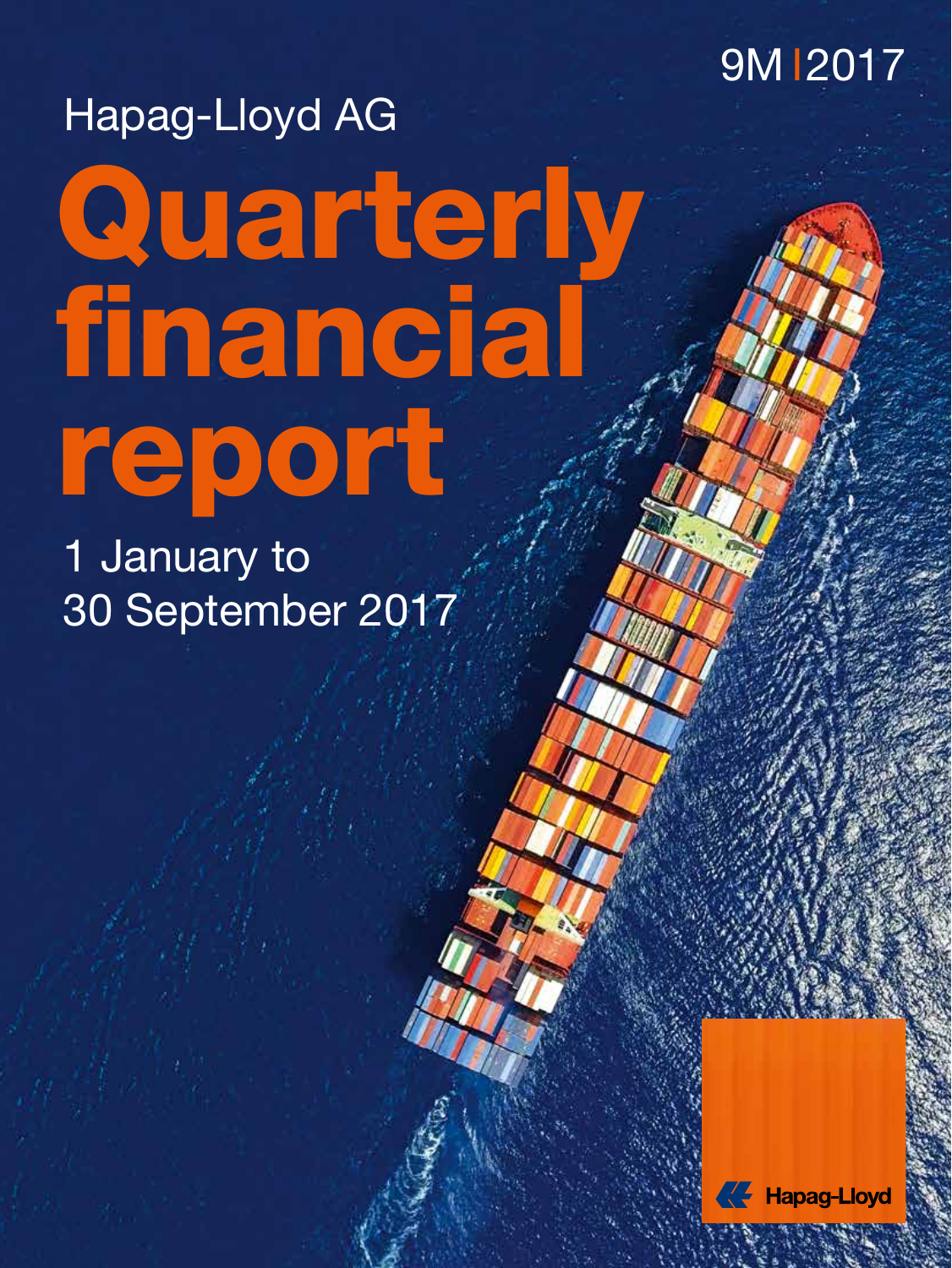

# Quarterly financial report Hapag-Lloyd AG

1 January to 30 September 2017



HAPAG-LUCYD AG I DAILYN AG I DAILYN FINANCIAL REPORT 9MH AG I DAILYN FINANCIAL REPORT 9MH AG I DAILYN AG I DAI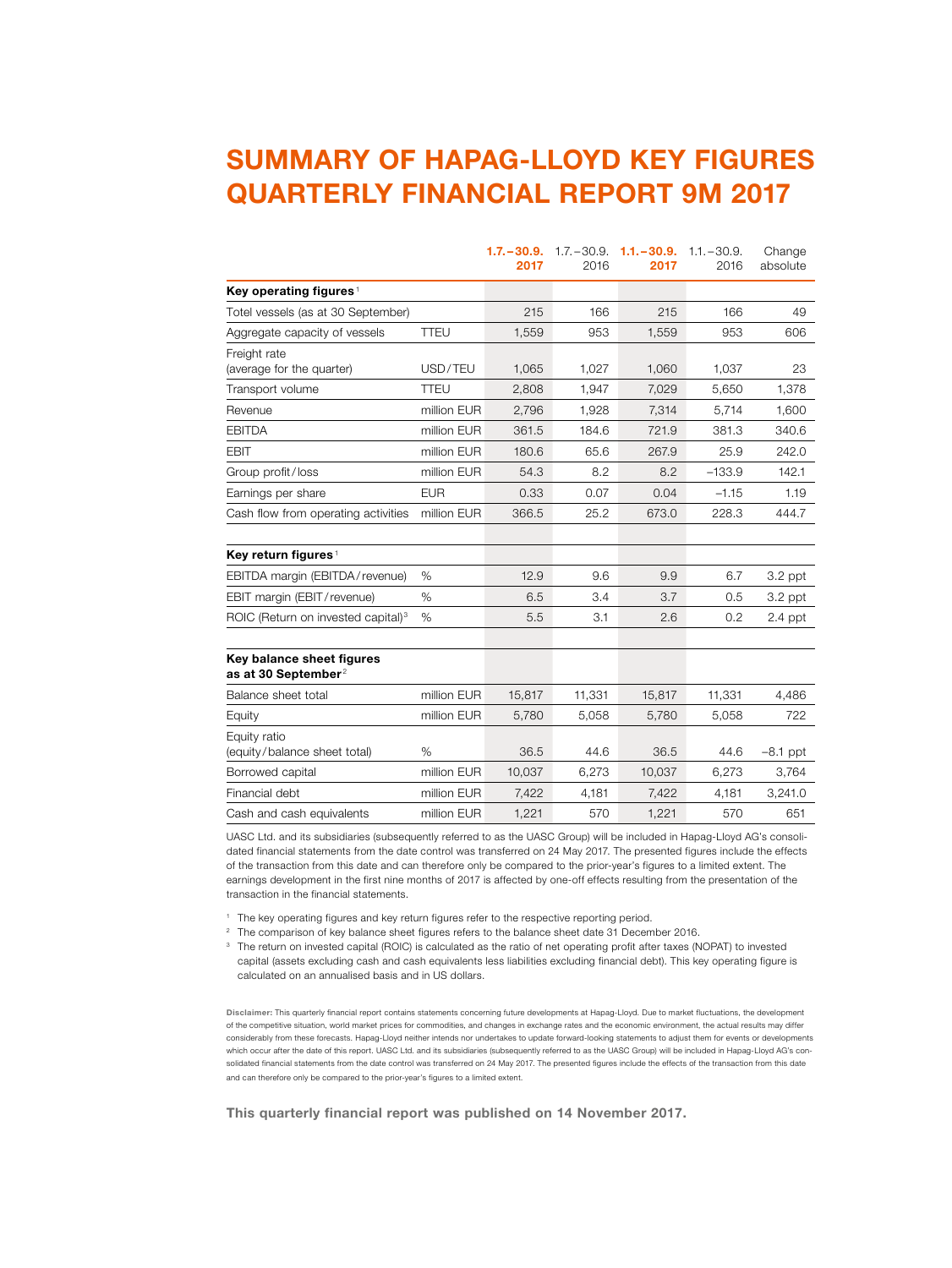# **SUMMARY OF HAPAG-LLOYD KEY FIGURES QUARTERLY FINANCIAL REPORT 9M 2017**

|                                                              |             | $1.7 - 30.9.$<br>2017 | 2016   | $1.7 - 30.9$ $1.1 - 30.9$<br>2017 | $1.1 - 30.9.$<br>2016 | Change<br>absolute |
|--------------------------------------------------------------|-------------|-----------------------|--------|-----------------------------------|-----------------------|--------------------|
| Key operating figures <sup>1</sup>                           |             |                       |        |                                   |                       |                    |
| Totel vessels (as at 30 September)                           |             | 215                   | 166    | 215                               | 166                   | 49                 |
| Aggregate capacity of vessels                                | TTEU        | 1,559                 | 953    | 1,559                             | 953                   | 606                |
| Freight rate<br>(average for the quarter)                    | USD/TEU     | 1,065                 | 1,027  | 1,060                             | 1,037                 | 23                 |
| Transport volume                                             | <b>TTEU</b> | 2,808                 | 1,947  | 7,029                             | 5,650                 | 1,378              |
| Revenue                                                      | million EUR | 2,796                 | 1,928  | 7,314                             | 5.714                 | 1,600              |
| <b>EBITDA</b>                                                | million EUR | 361.5                 | 184.6  | 721.9                             | 381.3                 | 340.6              |
| <b>EBIT</b>                                                  | million EUR | 180.6                 | 65.6   | 267.9                             | 25.9                  | 242.0              |
| Group profit/loss                                            | million EUR | 54.3                  | 8.2    | 8.2                               | $-133.9$              | 142.1              |
| Earnings per share                                           | <b>EUR</b>  | 0.33                  | 0.07   | 0.04                              | $-1.15$               | 1.19               |
| Cash flow from operating activities                          | million EUR | 366.5                 | 25.2   | 673.0                             | 228.3                 | 444.7              |
| Key return figures <sup>1</sup>                              |             |                       |        |                                   |                       |                    |
| EBITDA margin (EBITDA/revenue)                               | %           | 12.9                  | 9.6    | 9.9                               | 6.7                   | $3.2$ ppt          |
| EBIT margin (EBIT/revenue)                                   | $\%$        | 6.5                   | 3.4    | 3.7                               | 0.5                   | $3.2$ ppt          |
| ROIC (Return on invested capital) <sup>3</sup>               | %           | 5.5                   | 3.1    | 2.6                               | 0.2                   | $2.4$ ppt          |
| Key balance sheet figures<br>as at 30 September <sup>2</sup> |             |                       |        |                                   |                       |                    |
| Balance sheet total                                          | million EUR | 15,817                | 11,331 | 15,817                            | 11,331                | 4,486              |
| Equity                                                       | million EUR | 5,780                 | 5,058  | 5,780                             | 5,058                 | 722                |
| Equity ratio<br>(equity/balance sheet total)                 | %           | 36.5                  | 44.6   | 36.5                              | 44.6                  | $-8.1$ ppt         |
| Borrowed capital                                             | million EUR | 10,037                | 6,273  | 10,037                            | 6,273                 | 3,764              |
| Financial debt                                               | million EUR | 7,422                 | 4,181  | 7,422                             | 4,181                 | 3,241.0            |
| Cash and cash equivalents                                    | million EUR | 1,221                 | 570    | 1,221                             | 570                   | 651                |

UASC Ltd. and its subsidiaries (subsequently referred to as the UASC Group) will be included in Hapag-Lloyd AG's consolidated financial statements from the date control was transferred on 24 May 2017. The presented figures include the effects of the transaction from this date and can therefore only be compared to the prior-year's figures to a limited extent. The earnings development in the first nine months of 2017 is affected by one-off effects resulting from the presentation of the transaction in the financial statements.

<sup>1</sup> The key operating figures and key return figures refer to the respective reporting period.

<sup>2</sup> The comparison of key balance sheet figures refers to the balance sheet date 31 December 2016.

<sup>3</sup> The return on invested capital (ROIC) is calculated as the ratio of net operating profit after taxes (NOPAT) to invested capital (assets excluding cash and cash equivalents less liabilities excluding financial debt). This key operating figure is calculated on an annualised basis and in US dollars.

**Disclaimer:** This quarterly financial report contains statements concerning future developments at Hapag-Lloyd. Due to market fluctuations, the development of the competitive situation, world market prices for commodities, and changes in exchange rates and the economic environment, the actual results may differ considerably from these forecasts. Hapag-Lloyd neither intends nor undertakes to update forward-looking statements to adjust them for events or developments which occur after the date of this report. UASC Ltd. and its subsidiaries (subsequently referred to as the UASC Group) will be included in Hapag-Lloyd AG's consolidated financial statements from the date control was transferred on 24 May 2017. The presented figures include the effects of the transaction from this date and can therefore only be compared to the prior-year's figures to a limited extent.

**This quarterly financial report was published on 14 November 2017.**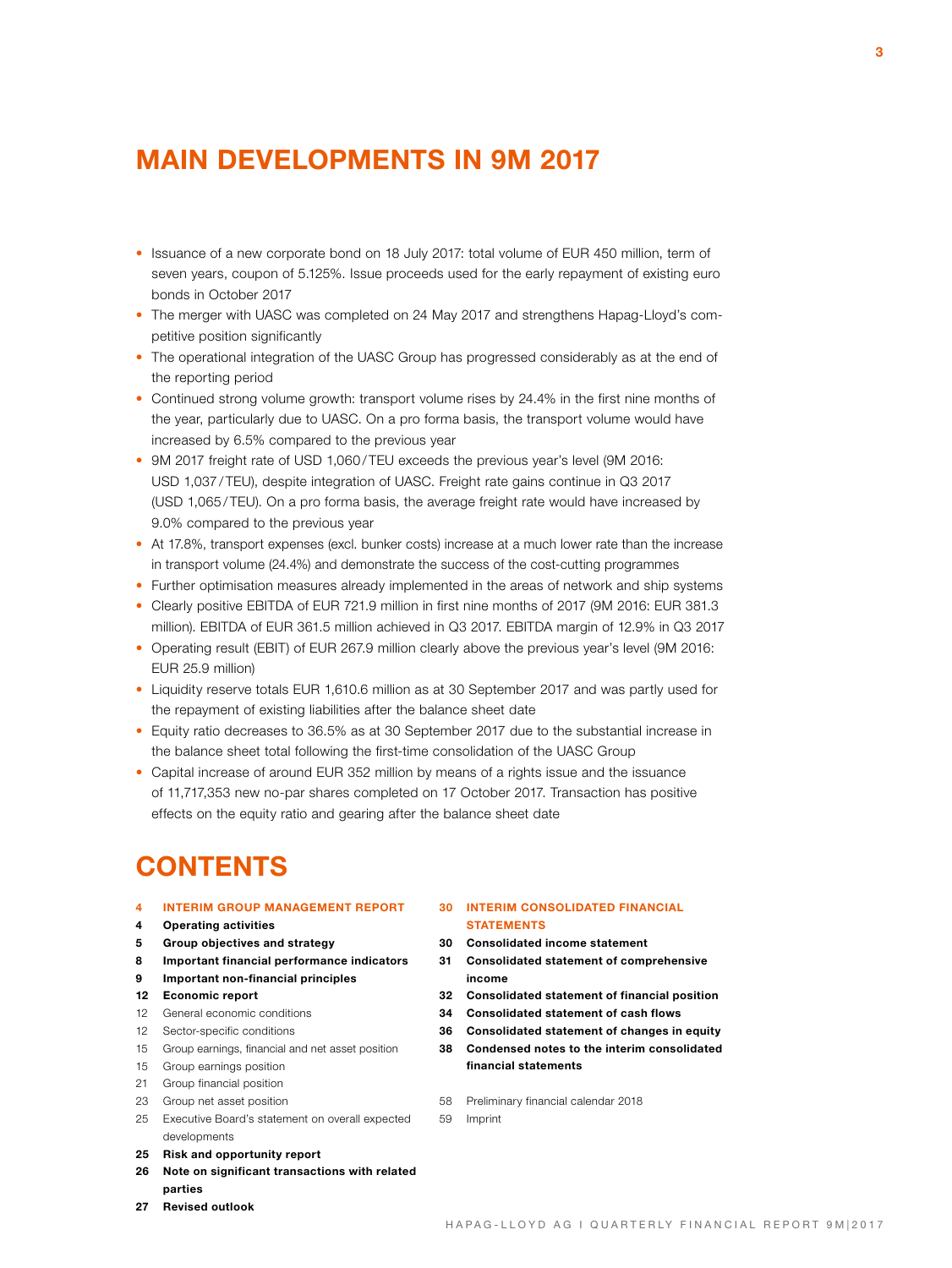# **MAIN DEVELOPMENTS IN 9M 2017**

- Issuance of a new corporate bond on 18 July 2017: total volume of EUR 450 million, term of seven years, coupon of 5.125%. Issue proceeds used for the early repayment of existing euro bonds in October 2017
- The merger with UASC was completed on 24 May 2017 and strengthens Hapag-Lloyd's competitive position significantly
- The operational integration of the UASC Group has progressed considerably as at the end of the reporting period
- Continued strong volume growth: transport volume rises by 24.4% in the first nine months of the year, particularly due to UASC. On a pro forma basis, the transport volume would have increased by 6.5% compared to the previous year
- 9M 2017 freight rate of USD 1,060 / TEU exceeds the previous year's level (9M 2016: USD 1,037 / TEU), despite integration of UASC. Freight rate gains continue in Q3 2017 (USD 1,065 / TEU). On a pro forma basis, the average freight rate would have increased by 9.0% compared to the previous year
- At 17.8%, transport expenses (excl. bunker costs) increase at a much lower rate than the increase in transport volume (24.4%) and demonstrate the success of the cost-cutting programmes
- Further optimisation measures already implemented in the areas of network and ship systems
- Clearly positive EBITDA of EUR 721.9 million in first nine months of 2017 (9M 2016: EUR 381.3 million). EBITDA of EUR 361.5 million achieved in Q3 2017. EBITDA margin of 12.9% in Q3 2017
- Operating result (EBIT) of EUR 267.9 million clearly above the previous year's level (9M 2016: EUR 25.9 million)
- Liquidity reserve totals EUR 1,610.6 million as at 30 September 2017 and was partly used for the repayment of existing liabilities after the balance sheet date
- Equity ratio decreases to 36.5% as at 30 September 2017 due to the substantial increase in the balance sheet total following the first-time consolidation of the UASC Group
- Capital increase of around EUR 352 million by means of a rights issue and the issuance of 11,717,353 new no-par shares completed on 17 October 2017. Transaction has positive effects on the equity ratio and gearing after the balance sheet date

# **CONTENTS**

- **4 INTERIM GROUP MANAGEMENT REPORT**
- **4 Operating activities**
- **5 Group objectives and strategy**
- **8 Important financial performance indicators**
- **9 Important non-financial principles**
- **12 Economic report**
- 12 General economic conditions
- 12 Sector-specific conditions
- 15 Group earnings, financial and net asset position
- 15 Group earnings position
- 21 Group financial position
- 23 Group net asset position
- 25 Executive Board's statement on overall expected developments
- **25 Risk and opportunity report**
- **26 Note on significant transactions with related parties**
- **27 Revised outlook**

### **30 INTERIM CONSOLIDATED FINANCIAL STATEMENTS**

- **30 Consolidated income statement**
- **31 Consolidated statement of comprehensive income**
- **32 Consolidated statement of financial position**
- **34 Consolidated statement of cash flows**
- **36 Consolidated statement of changes in equity**
- **38 Condensed notes to the interim consolidated** 
	- **financial statements**
- 58 Preliminary financial calendar 2018
- 59 Imprint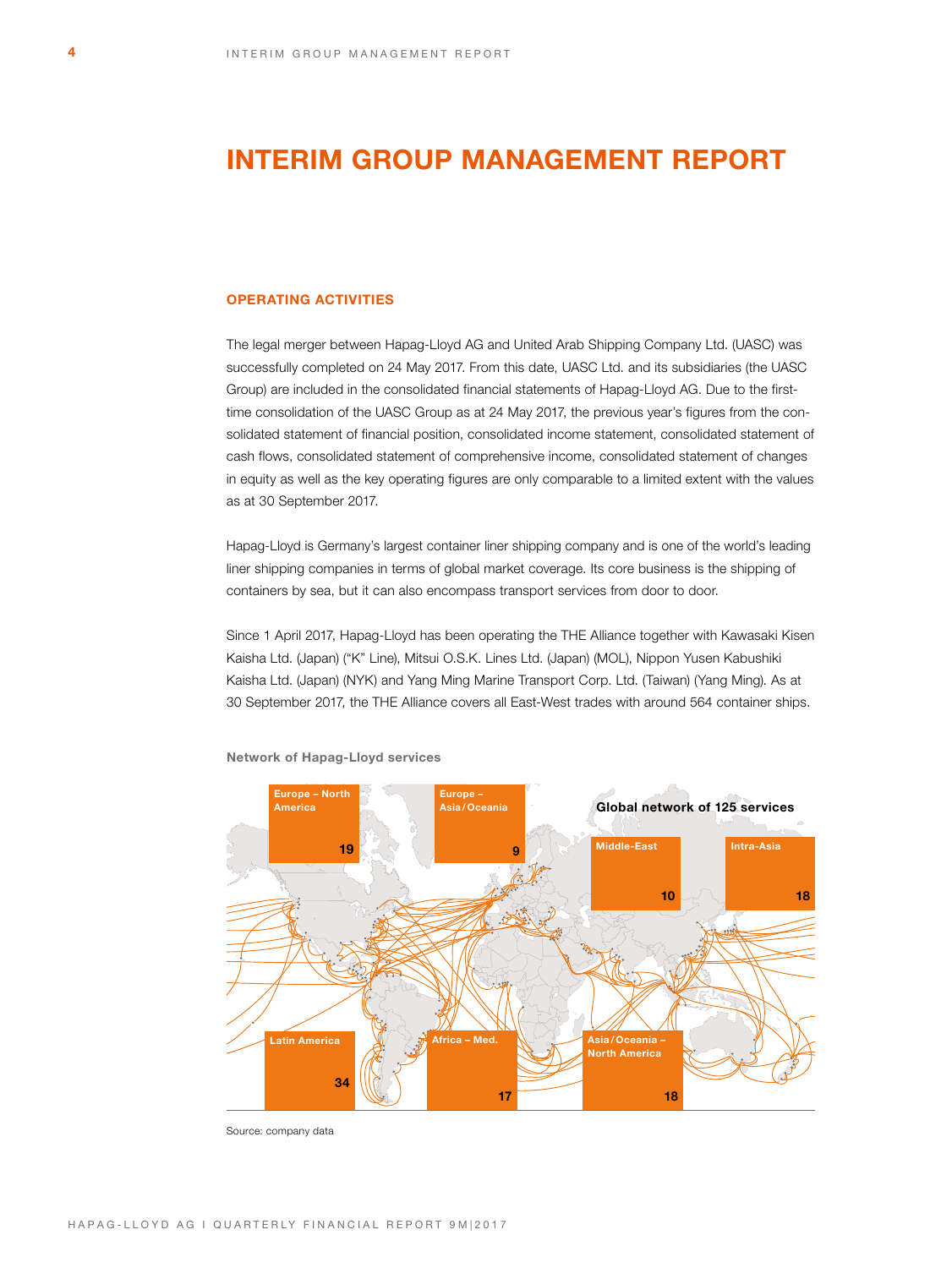# **INTERIM GROUP MANAGEMENT REPORT**

# **OPERATING ACTIVITIES**

The legal merger between Hapag-Lloyd AG and United Arab Shipping Company Ltd. (UASC) was successfully completed on 24 May 2017. From this date, UASC Ltd. and its subsidiaries (the UASC Group) are included in the consolidated financial statements of Hapag-Lloyd AG. Due to the firsttime consolidation of the UASC Group as at 24 May 2017, the previous year's figures from the consolidated statement of financial position, consolidated income statement, consolidated statement of cash flows, consolidated statement of comprehensive income, consolidated statement of changes in equity as well as the key operating figures are only comparable to a limited extent with the values as at 30 September 2017.

Hapag-Lloyd is Germany's largest container liner shipping company and is one of the world's leading liner shipping companies in terms of global market coverage. Its core business is the shipping of containers by sea, but it can also encompass transport services from door to door.

Since 1 April 2017, Hapag-Lloyd has been operating the THE Alliance together with Kawasaki Kisen Kaisha Ltd. (Japan) ("K" Line), Mitsui O.S.K. Lines Ltd. (Japan) (MOL), Nippon Yusen Kabushiki Kaisha Ltd. (Japan) (NYK) and Yang Ming Marine Transport Corp. Ltd. (Taiwan) (Yang Ming). As at 30 September 2017, the THE Alliance covers all East-West trades with around 564 container ships.



**Network of Hapag-Lloyd services**

Source: company data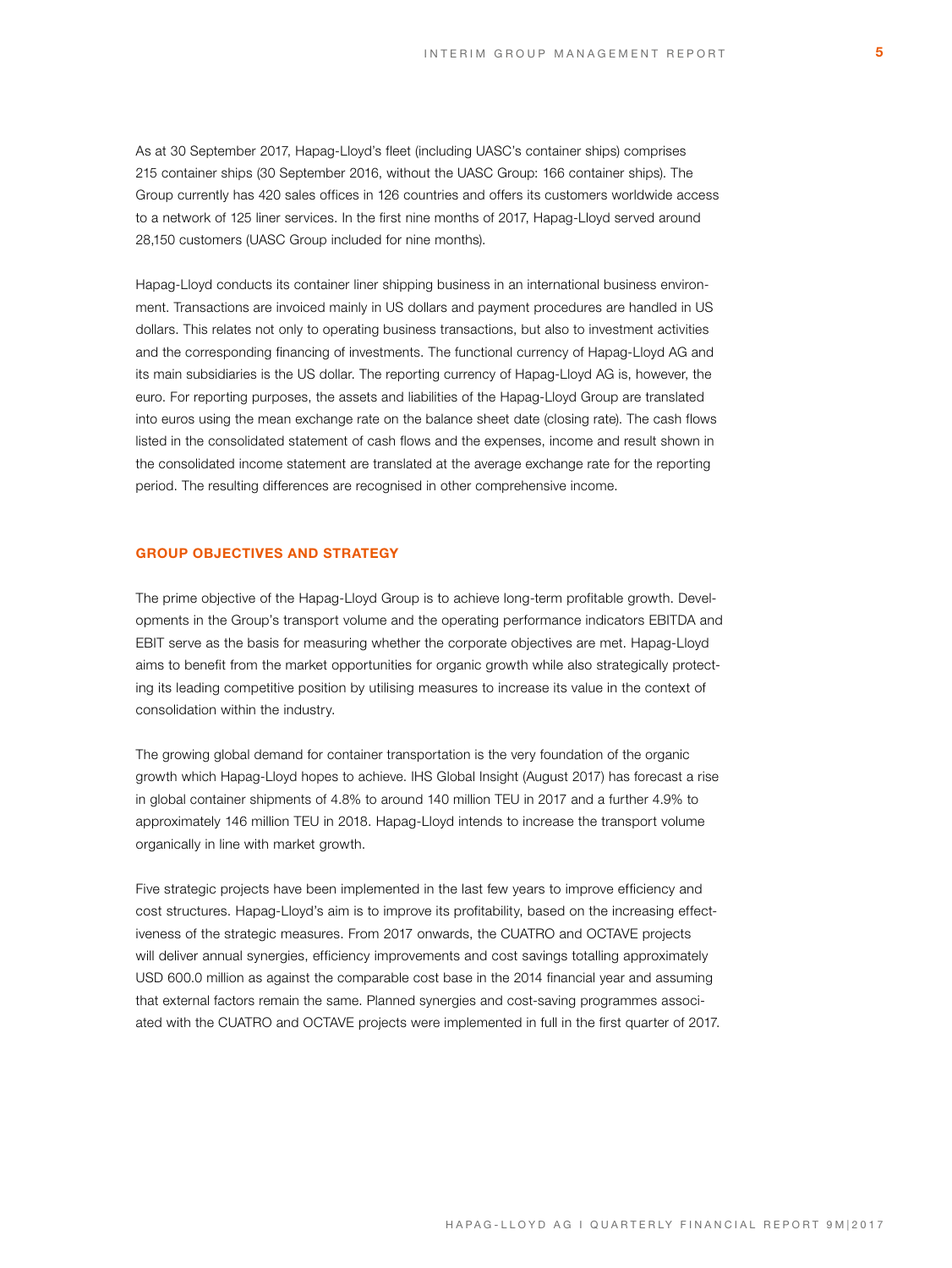As at 30 September 2017, Hapag-Lloyd's fleet (including UASC's container ships) comprises 215 container ships (30 September 2016, without the UASC Group: 166 container ships). The Group currently has 420 sales offices in 126 countries and offers its customers worldwide access to a network of 125 liner services. In the first nine months of 2017, Hapag-Lloyd served around 28,150 customers (UASC Group included for nine months).

Hapag-Lloyd conducts its container liner shipping business in an international business environment. Transactions are invoiced mainly in US dollars and payment procedures are handled in US dollars. This relates not only to operating business transactions, but also to investment activities and the corresponding financing of investments. The functional currency of Hapag-Lloyd AG and its main subsidiaries is the US dollar. The reporting currency of Hapag-Lloyd AG is, however, the euro. For reporting purposes, the assets and liabilities of the Hapag-Lloyd Group are translated into euros using the mean exchange rate on the balance sheet date (closing rate). The cash flows listed in the consolidated statement of cash flows and the expenses, income and result shown in the consolidated income statement are translated at the average exchange rate for the reporting period. The resulting differences are recognised in other comprehensive income.

### **GROUP OBJECTIVES AND STRATEGY**

The prime objective of the Hapag-Lloyd Group is to achieve long-term profitable growth. Developments in the Group's transport volume and the operating performance indicators EBITDA and EBIT serve as the basis for measuring whether the corporate objectives are met. Hapag-Lloyd aims to benefit from the market opportunities for organic growth while also strategically protecting its leading competitive position by utilising measures to increase its value in the context of consolidation within the industry.

The growing global demand for container transportation is the very foundation of the organic growth which Hapag-Lloyd hopes to achieve. IHS Global Insight (August 2017) has forecast a rise in global container shipments of 4.8% to around 140 million TEU in 2017 and a further 4.9% to approximately 146 million TEU in 2018. Hapag-Lloyd intends to increase the transport volume organically in line with market growth.

Five strategic projects have been implemented in the last few years to improve efficiency and cost structures. Hapag-Lloyd's aim is to improve its profitability, based on the increasing effectiveness of the strategic measures. From 2017 onwards, the CUATRO and OCTAVE projects will deliver annual synergies, efficiency improvements and cost savings totalling approximately USD 600.0 million as against the comparable cost base in the 2014 financial year and assuming that external factors remain the same. Planned synergies and cost-saving programmes associated with the CUATRO and OCTAVE projects were implemented in full in the first quarter of 2017.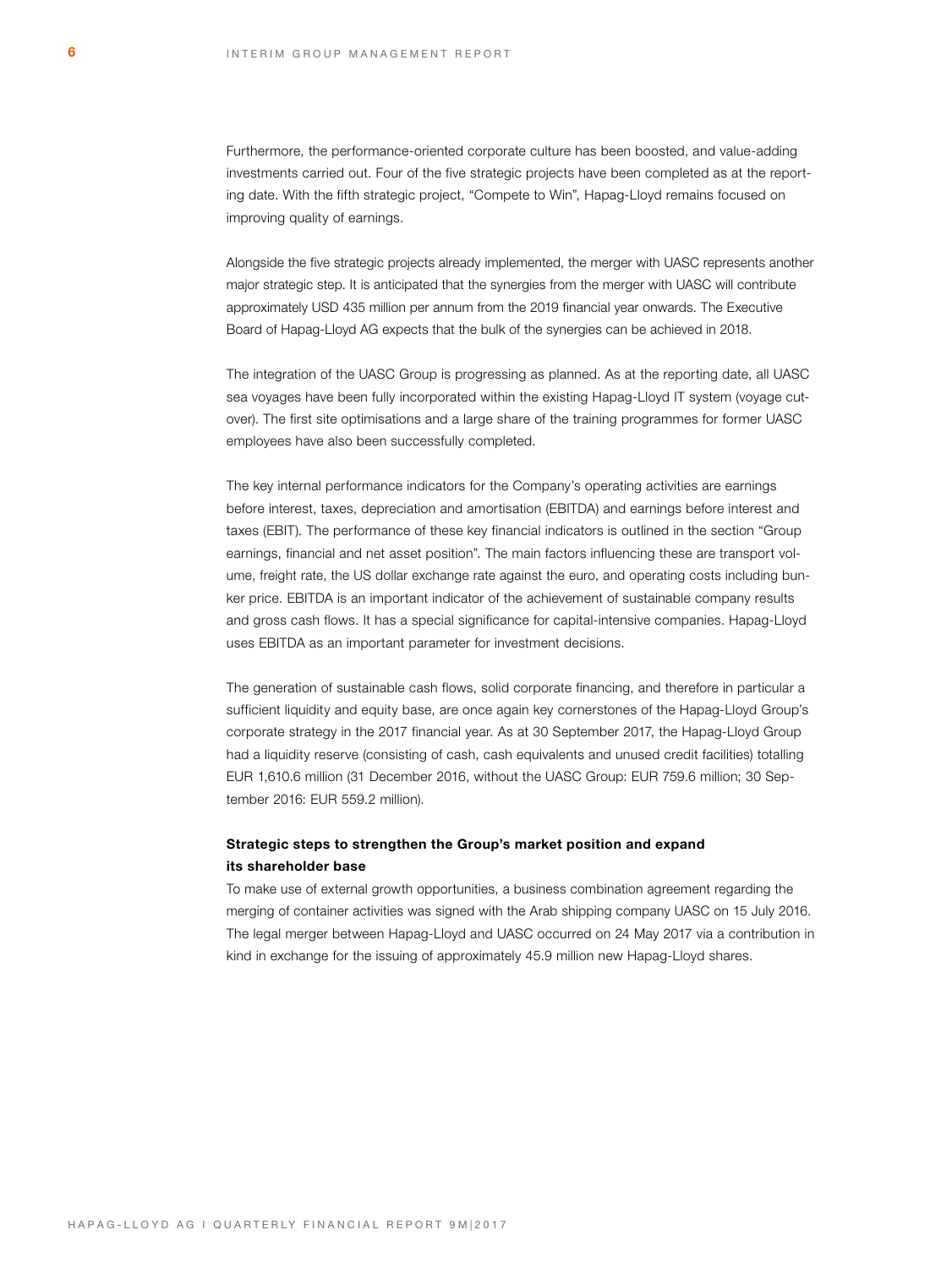Furthermore, the performance-oriented corporate culture has been boosted, and value-adding investments carried out. Four of the five strategic projects have been completed as at the reporting date. With the fifth strategic project, "Compete to Win", Hapag-Lloyd remains focused on improving quality of earnings.

Alongside the five strategic projects already implemented, the merger with UASC represents another major strategic step. It is anticipated that the synergies from the merger with UASC will contribute approximately USD 435 million per annum from the 2019 financial year onwards. The Executive Board of Hapag-Lloyd AG expects that the bulk of the synergies can be achieved in 2018.

The integration of the UASC Group is progressing as planned. As at the reporting date, all UASC sea voyages have been fully incorporated within the existing Hapag-Lloyd IT system (voyage cutover). The first site optimisations and a large share of the training programmes for former UASC employees have also been successfully completed.

The key internal performance indicators for the Company's operating activities are earnings before interest, taxes, depreciation and amortisation (EBITDA) and earnings before interest and taxes (EBIT). The performance of these key financial indicators is outlined in the section "Group earnings, financial and net asset position". The main factors influencing these are transport volume, freight rate, the US dollar exchange rate against the euro, and operating costs including bunker price. EBITDA is an important indicator of the achievement of sustainable company results and gross cash flows. It has a special significance for capital-intensive companies. Hapag-Lloyd uses EBITDA as an important parameter for investment decisions.

The generation of sustainable cash flows, solid corporate financing, and therefore in particular a sufficient liquidity and equity base, are once again key cornerstones of the Hapag-Lloyd Group's corporate strategy in the 2017 financial year. As at 30 September 2017, the Hapag-Lloyd Group had a liquidity reserve (consisting of cash, cash equivalents and unused credit facilities) totalling EUR 1,610.6 million (31 December 2016, without the UASC Group: EUR 759.6 million; 30 September 2016: EUR 559.2 million).

# **Strategic steps to strengthen the Group's market position and expand its shareholder base**

To make use of external growth opportunities, a business combination agreement regarding the merging of container activities was signed with the Arab shipping company UASC on 15 July 2016. The legal merger between Hapag-Lloyd and UASC occurred on 24 May 2017 via a contribution in kind in exchange for the issuing of approximately 45.9 million new Hapag-Lloyd shares.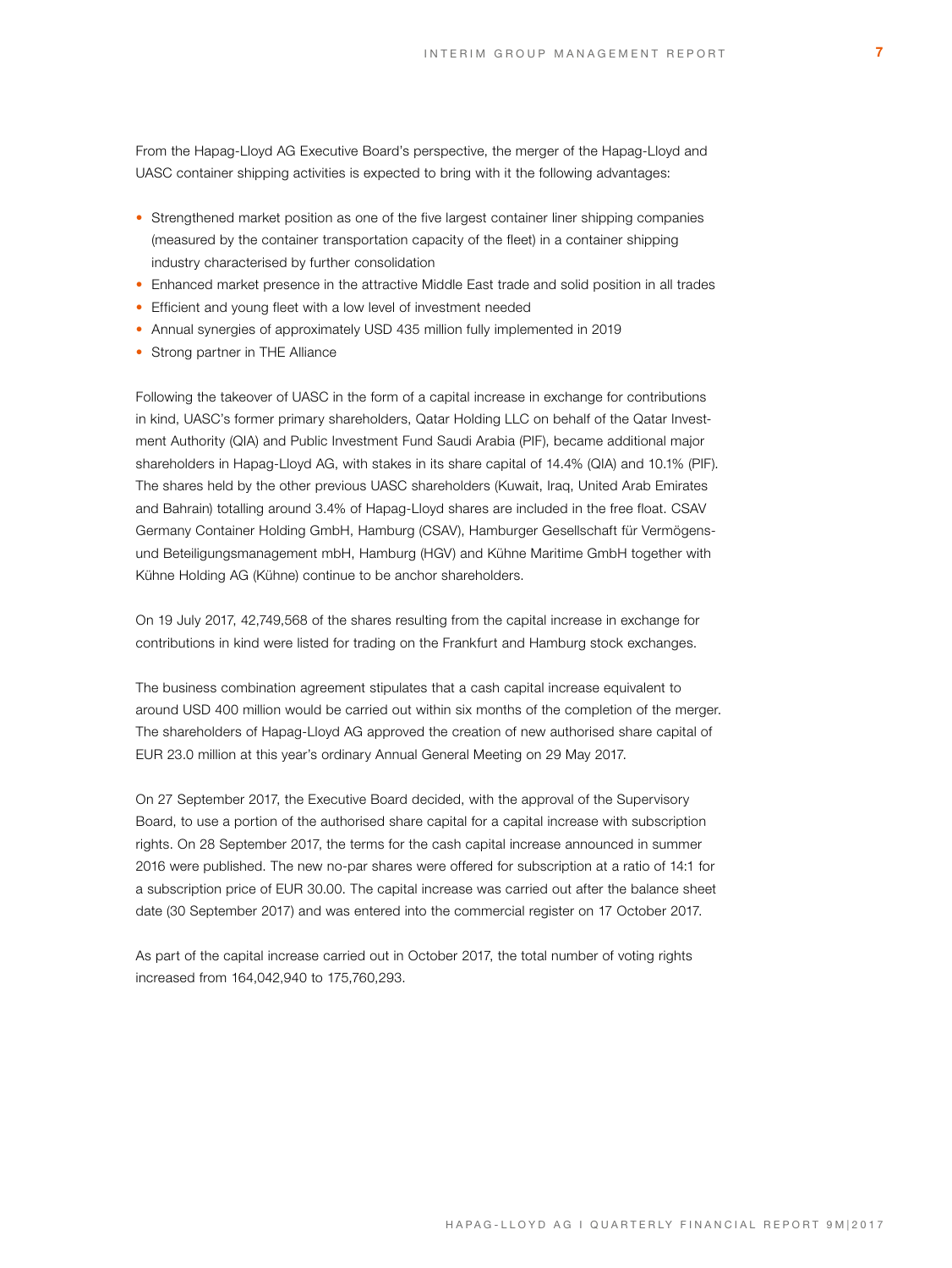From the Hapag-Lloyd AG Executive Board's perspective, the merger of the Hapag-Lloyd and UASC container shipping activities is expected to bring with it the following advantages:

- Strengthened market position as one of the five largest container liner shipping companies (measured by the container transportation capacity of the fleet) in a container shipping industry characterised by further consolidation
- Enhanced market presence in the attractive Middle East trade and solid position in all trades
- Efficient and young fleet with a low level of investment needed
- Annual synergies of approximately USD 435 million fully implemented in 2019
- Strong partner in THE Alliance

Following the takeover of UASC in the form of a capital increase in exchange for contributions in kind, UASC's former primary shareholders, Qatar Holding LLC on behalf of the Qatar Investment Authority (QIA) and Public Investment Fund Saudi Arabia (PIF), became additional major shareholders in Hapag-Lloyd AG, with stakes in its share capital of 14.4% (QIA) and 10.1% (PIF). The shares held by the other previous UASC shareholders (Kuwait, Iraq, United Arab Emirates and Bahrain) totalling around 3.4% of Hapag-Lloyd shares are included in the free float. CSAV Germany Container Holding GmbH, Hamburg (CSAV), Hamburger Gesellschaft für Vermögensund Beteiligungsmanagement mbH, Hamburg (HGV) and Kühne Maritime GmbH together with Kühne Holding AG (Kühne) continue to be anchor shareholders.

On 19 July 2017, 42,749,568 of the shares resulting from the capital increase in exchange for contributions in kind were listed for trading on the Frankfurt and Hamburg stock exchanges.

The business combination agreement stipulates that a cash capital increase equivalent to around USD 400 million would be carried out within six months of the completion of the merger. The shareholders of Hapag-Lloyd AG approved the creation of new authorised share capital of EUR 23.0 million at this year's ordinary Annual General Meeting on 29 May 2017.

On 27 September 2017, the Executive Board decided, with the approval of the Supervisory Board, to use a portion of the authorised share capital for a capital increase with subscription rights. On 28 September 2017, the terms for the cash capital increase announced in summer 2016 were published. The new no-par shares were offered for subscription at a ratio of 14:1 for a subscription price of EUR 30.00. The capital increase was carried out after the balance sheet date (30 September 2017) and was entered into the commercial register on 17 October 2017.

As part of the capital increase carried out in October 2017, the total number of voting rights increased from 164,042,940 to 175,760,293.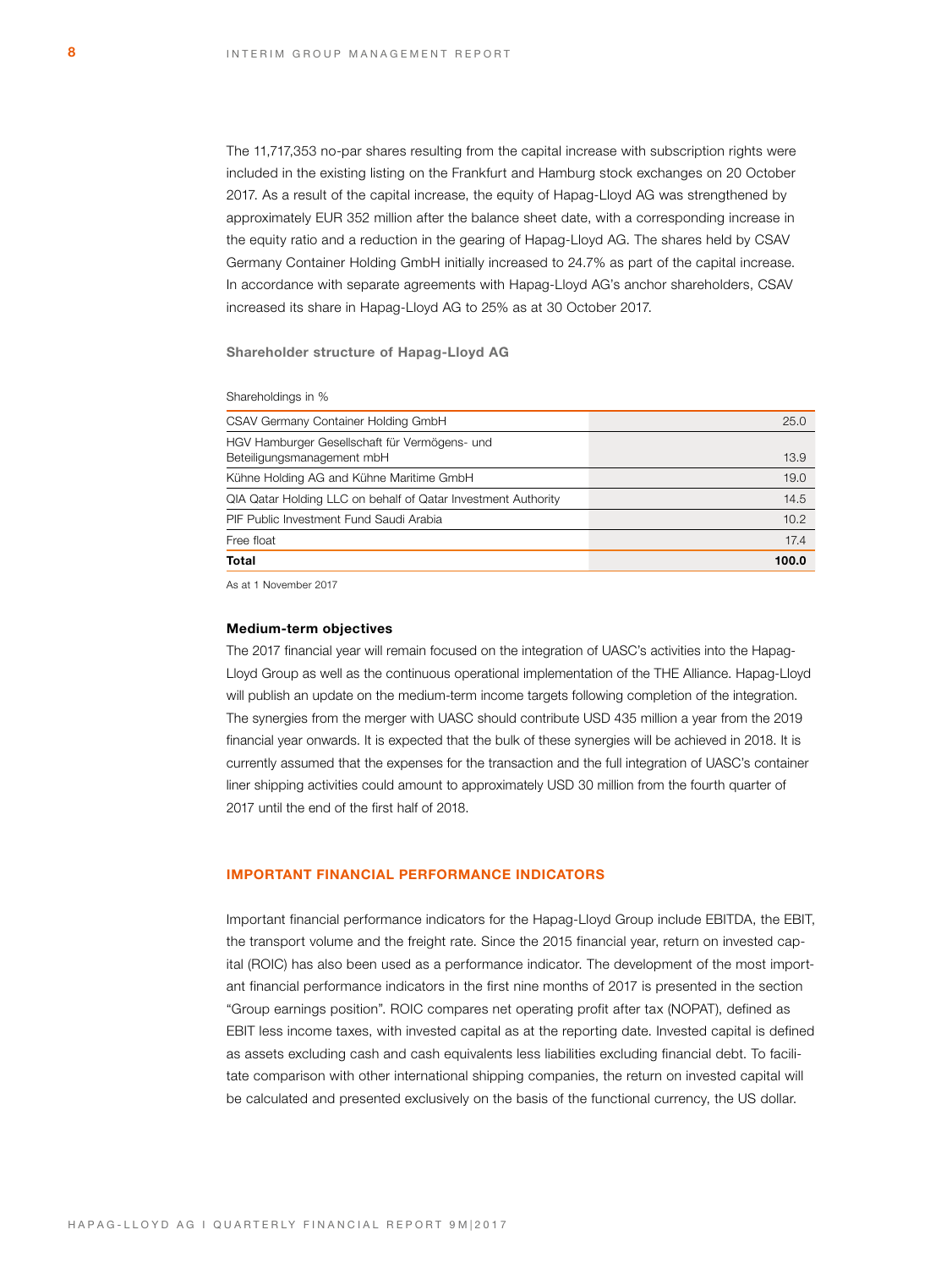The 11,717,353 no-par shares resulting from the capital increase with subscription rights were included in the existing listing on the Frankfurt and Hamburg stock exchanges on 20 October 2017. As a result of the capital increase, the equity of Hapag-Lloyd AG was strengthened by approximately EUR 352 million after the balance sheet date, with a corresponding increase in the equity ratio and a reduction in the gearing of Hapag-Lloyd AG. The shares held by CSAV Germany Container Holding GmbH initially increased to 24.7% as part of the capital increase. In accordance with separate agreements with Hapag-Lloyd AG's anchor shareholders, CSAV increased its share in Hapag-Lloyd AG to 25% as at 30 October 2017.

**Shareholder structure of Hapag-Lloyd AG**

#### Shareholdings in %

| Total                                                                       | 100.0 |
|-----------------------------------------------------------------------------|-------|
| Free float                                                                  | 17.4  |
| PIF Public Investment Fund Saudi Arabia                                     | 10.2  |
| QIA Qatar Holding LLC on behalf of Qatar Investment Authority               | 14.5  |
| Kühne Holding AG and Kühne Maritime GmbH                                    | 19.0  |
| HGV Hamburger Gesellschaft für Vermögens- und<br>Beteiligungsmanagement mbH | 13.9  |
| CSAV Germany Container Holding GmbH                                         | 25.0  |

As at 1 November 2017

### **Medium-term objectives**

The 2017 financial year will remain focused on the integration of UASC's activities into the Hapag-Lloyd Group as well as the continuous operational implementation of the THE Alliance. Hapag-Lloyd will publish an update on the medium-term income targets following completion of the integration. The synergies from the merger with UASC should contribute USD 435 million a year from the 2019 financial year onwards. It is expected that the bulk of these synergies will be achieved in 2018. It is currently assumed that the expenses for the transaction and the full integration of UASC's container liner shipping activities could amount to approximately USD 30 million from the fourth quarter of 2017 until the end of the first half of 2018.

# **IMPORTANT FINANCIAL PERFORMANCE INDICATORS**

Important financial performance indicators for the Hapag-Lloyd Group include EBITDA, the EBIT, the transport volume and the freight rate. Since the 2015 financial year, return on invested capital (ROIC) has also been used as a performance indicator. The development of the most important financial performance indicators in the first nine months of 2017 is presented in the section "Group earnings position". ROIC compares net operating profit after tax (NOPAT), defined as EBIT less income taxes, with invested capital as at the reporting date. Invested capital is defined as assets excluding cash and cash equivalents less liabilities excluding financial debt. To facilitate comparison with other international shipping companies, the return on invested capital will be calculated and presented exclusively on the basis of the functional currency, the US dollar.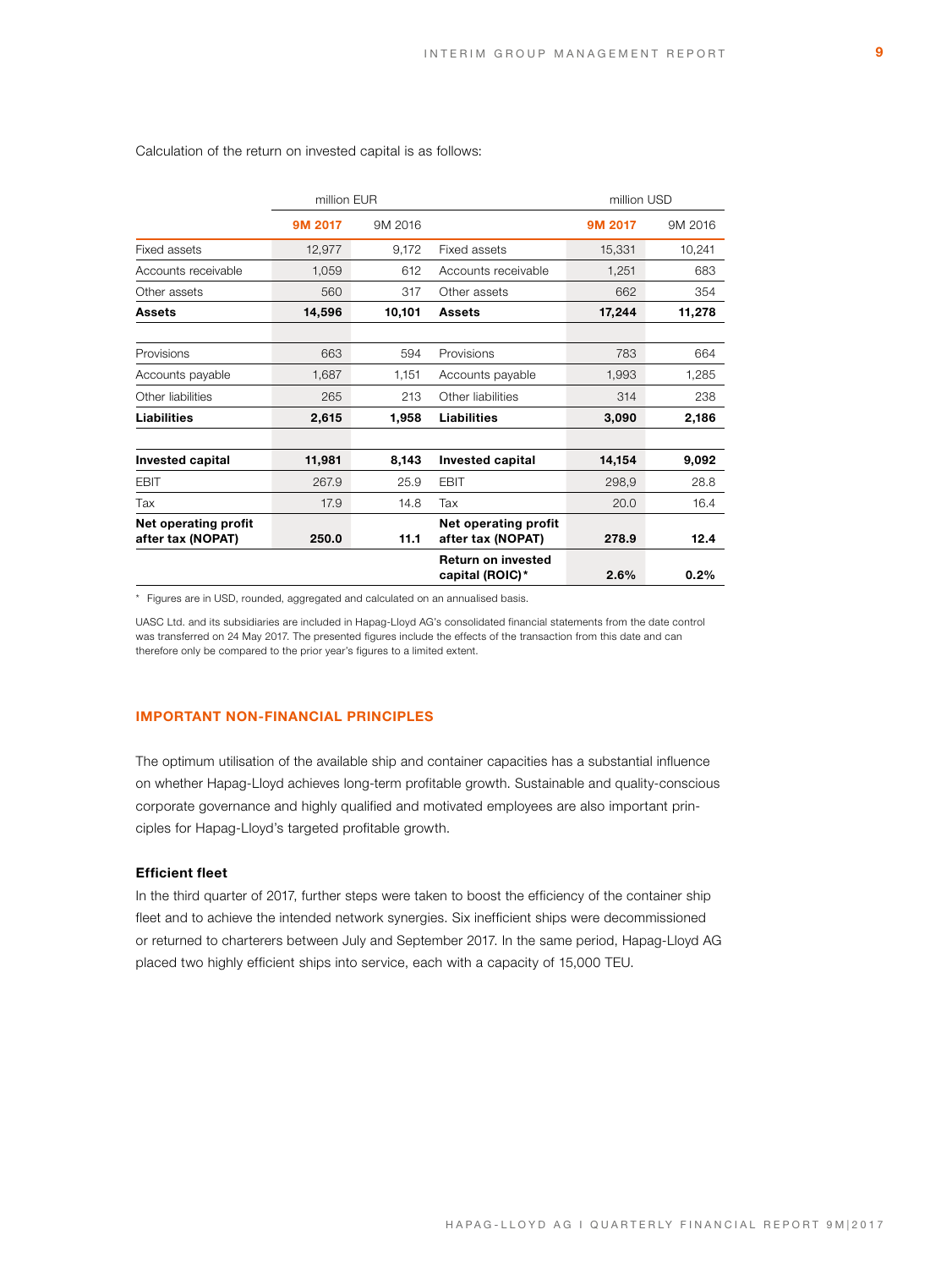|                                           | million EUR |         |                                              | million USD |         |  |
|-------------------------------------------|-------------|---------|----------------------------------------------|-------------|---------|--|
|                                           | 9M 2017     | 9M 2016 |                                              | 9M 2017     | 9M 2016 |  |
| Fixed assets                              | 12,977      | 9,172   | Fixed assets                                 | 15,331      | 10,241  |  |
| Accounts receivable                       | 1,059       | 612     | Accounts receivable                          | 1,251       | 683     |  |
| Other assets                              | 560         | 317     | Other assets                                 | 662         | 354     |  |
| Assets                                    | 14,596      | 10,101  | Assets                                       | 17,244      | 11,278  |  |
| Provisions                                | 663         | 594     | Provisions                                   | 783         | 664     |  |
| Accounts payable                          | 1,687       | 1,151   | Accounts payable                             | 1,993       | 1,285   |  |
| Other liabilities                         | 265         | 213     | Other liabilities                            | 314         | 238     |  |
| Liabilities                               | 2,615       | 1,958   | <b>Liabilities</b>                           | 3,090       | 2,186   |  |
| Invested capital                          | 11,981      | 8,143   | <b>Invested capital</b>                      | 14,154      | 9,092   |  |
| <b>EBIT</b>                               | 267.9       | 25.9    | <b>EBIT</b>                                  | 298,9       | 28.8    |  |
| Tax                                       | 17.9        | 14.8    | Tax                                          | 20.0        | 16.4    |  |
| Net operating profit<br>after tax (NOPAT) | 250.0       | 11.1    | Net operating profit<br>after tax (NOPAT)    | 278.9       | 12.4    |  |
|                                           |             |         | <b>Return on invested</b><br>capital (ROIC)* | 2.6%        | 0.2%    |  |

# Calculation of the return on invested capital is as follows:

\* Figures are in USD, rounded, aggregated and calculated on an annualised basis.

UASC Ltd. and its subsidiaries are included in Hapag-Lloyd AG's consolidated financial statements from the date control was transferred on 24 May 2017. The presented figures include the effects of the transaction from this date and can therefore only be compared to the prior year's figures to a limited extent.

### **IMPORTANT NON-FINANCIAL PRINCIPLES**

The optimum utilisation of the available ship and container capacities has a substantial influence on whether Hapag-Lloyd achieves long-term profitable growth. Sustainable and quality-conscious corporate governance and highly qualified and motivated employees are also important principles for Hapag-Lloyd's targeted profitable growth.

# **Efficient fleet**

In the third quarter of 2017, further steps were taken to boost the efficiency of the container ship fleet and to achieve the intended network synergies. Six inefficient ships were decommissioned or returned to charterers between July and September 2017. In the same period, Hapag-Lloyd AG placed two highly efficient ships into service, each with a capacity of 15,000 TEU.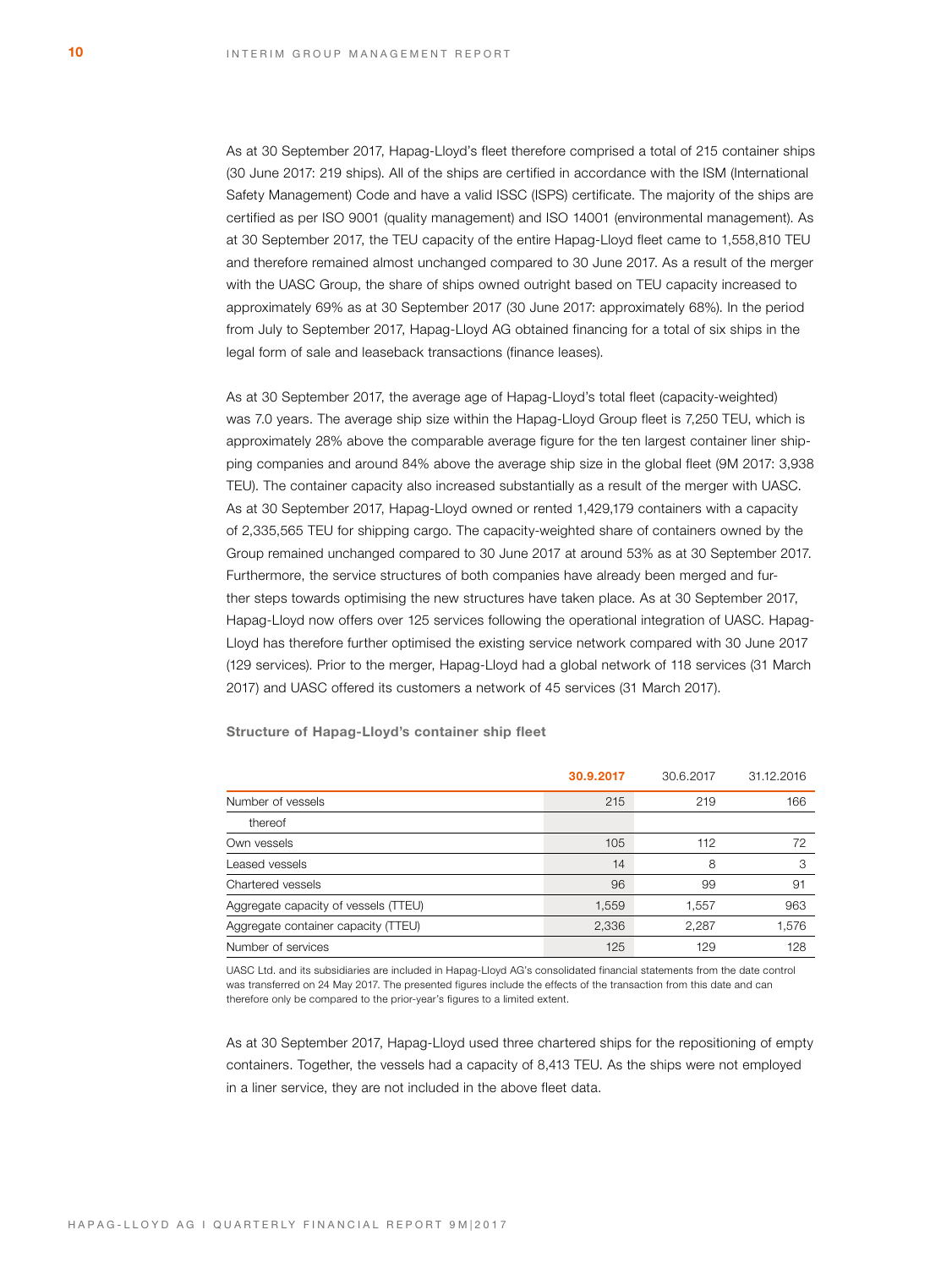As at 30 September 2017, Hapag-Lloyd's fleet therefore comprised a total of 215 container ships (30 June 2017: 219 ships). All of the ships are certified in accordance with the ISM (International Safety Management) Code and have a valid ISSC (ISPS) certificate. The majority of the ships are certified as per ISO 9001 (quality management) and ISO 14001 (environmental management). As at 30 September 2017, the TEU capacity of the entire Hapag-Lloyd fleet came to 1,558,810 TEU and therefore remained almost unchanged compared to 30 June 2017. As a result of the merger with the UASC Group, the share of ships owned outright based on TEU capacity increased to approximately 69% as at 30 September 2017 (30 June 2017: approximately 68%). In the period from July to September 2017, Hapag-Lloyd AG obtained financing for a total of six ships in the legal form of sale and leaseback transactions (finance leases).

As at 30 September 2017, the average age of Hapag-Lloyd's total fleet (capacity-weighted) was 7.0 years. The average ship size within the Hapag-Lloyd Group fleet is 7,250 TEU, which is approximately 28% above the comparable average figure for the ten largest container liner shipping companies and around 84% above the average ship size in the global fleet (9M 2017: 3,938 TEU). The container capacity also increased substantially as a result of the merger with UASC. As at 30 September 2017, Hapag-Lloyd owned or rented 1,429,179 containers with a capacity of 2,335,565 TEU for shipping cargo. The capacity-weighted share of containers owned by the Group remained unchanged compared to 30 June 2017 at around 53% as at 30 September 2017. Furthermore, the service structures of both companies have already been merged and further steps towards optimising the new structures have taken place. As at 30 September 2017, Hapag-Lloyd now offers over 125 services following the operational integration of UASC. Hapag-Lloyd has therefore further optimised the existing service network compared with 30 June 2017 (129 services). Prior to the merger, Hapag-Lloyd had a global network of 118 services (31 March 2017) and UASC offered its customers a network of 45 services (31 March 2017).

|                                      | 30.9.2017 | 30.6.2017 | 31.12.2016 |
|--------------------------------------|-----------|-----------|------------|
| Number of vessels                    | 215       | 219       | 166        |
| thereof                              |           |           |            |
| Own vessels                          | 105       | 112       | 72         |
| Leased vessels                       | 14        | 8         | 3          |
| Chartered vessels                    | 96        | 99        | 91         |
| Aggregate capacity of vessels (TTEU) | 1,559     | 1,557     | 963        |
| Aggregate container capacity (TTEU)  | 2,336     | 2,287     | 1,576      |
| Number of services                   | 125       | 129       | 128        |

**Structure of Hapag-Lloyd's container ship fleet** 

UASC Ltd. and its subsidiaries are included in Hapag-Lloyd AG's consolidated financial statements from the date control was transferred on 24 May 2017. The presented figures include the effects of the transaction from this date and can therefore only be compared to the prior-year's figures to a limited extent.

As at 30 September 2017, Hapag-Lloyd used three chartered ships for the repositioning of empty containers. Together, the vessels had a capacity of 8,413 TEU. As the ships were not employed in a liner service, they are not included in the above fleet data.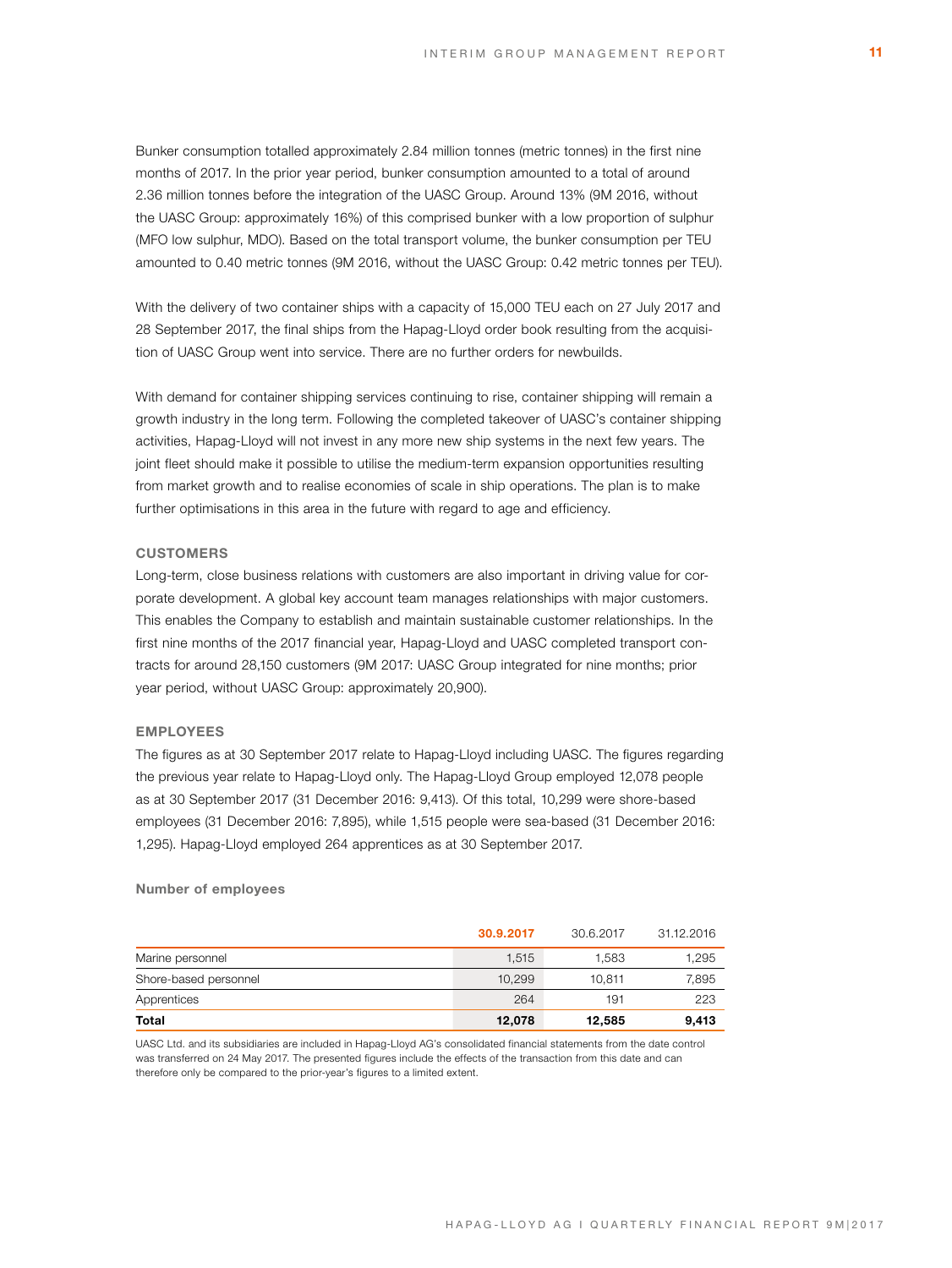Bunker consumption totalled approximately 2.84 million tonnes (metric tonnes) in the first nine months of 2017. In the prior year period, bunker consumption amounted to a total of around 2.36 million tonnes before the integration of the UASC Group. Around 13% (9M 2016, without the UASC Group: approximately 16%) of this comprised bunker with a low proportion of sulphur (MFO low sulphur, MDO). Based on the total transport volume, the bunker consumption per TEU amounted to 0.40 metric tonnes (9M 2016, without the UASC Group: 0.42 metric tonnes per TEU).

With the delivery of two container ships with a capacity of 15,000 TEU each on 27 July 2017 and 28 September 2017, the final ships from the Hapag-Lloyd order book resulting from the acquisition of UASC Group went into service. There are no further orders for newbuilds.

With demand for container shipping services continuing to rise, container shipping will remain a growth industry in the long term. Following the completed takeover of UASC's container shipping activities, Hapag-Lloyd will not invest in any more new ship systems in the next few years. The joint fleet should make it possible to utilise the medium-term expansion opportunities resulting from market growth and to realise economies of scale in ship operations. The plan is to make further optimisations in this area in the future with regard to age and efficiency.

### **CUSTOMERS**

Long-term, close business relations with customers are also important in driving value for corporate development. A global key account team manages relationships with major customers. This enables the Company to establish and maintain sustainable customer relationships. In the first nine months of the 2017 financial year, Hapag-Lloyd and UASC completed transport contracts for around 28,150 customers (9M 2017: UASC Group integrated for nine months; prior year period, without UASC Group: approximately 20,900).

# **EMPLOYEES**

The figures as at 30 September 2017 relate to Hapag-Lloyd including UASC. The figures regarding the previous year relate to Hapag-Lloyd only. The Hapag-Lloyd Group employed 12,078 people as at 30 September 2017 (31 December 2016: 9,413). Of this total, 10,299 were shore-based employees (31 December 2016: 7,895), while 1,515 people were sea-based (31 December 2016: 1,295). Hapag-Lloyd employed 264 apprentices as at 30 September 2017.

# **Number of employees**

| Marine personnel<br>Shore-based personnel | 1.515<br>10.299 | 1.583<br>10.811 | 1,295<br>7.895 |
|-------------------------------------------|-----------------|-----------------|----------------|
| Apprentices                               | 264             | 191             | 223            |
| <b>Total</b>                              | 12,078          | 12.585          | 9.413          |

UASC Ltd. and its subsidiaries are included in Hapag-Lloyd AG's consolidated financial statements from the date control was transferred on 24 May 2017. The presented figures include the effects of the transaction from this date and can therefore only be compared to the prior-year's figures to a limited extent.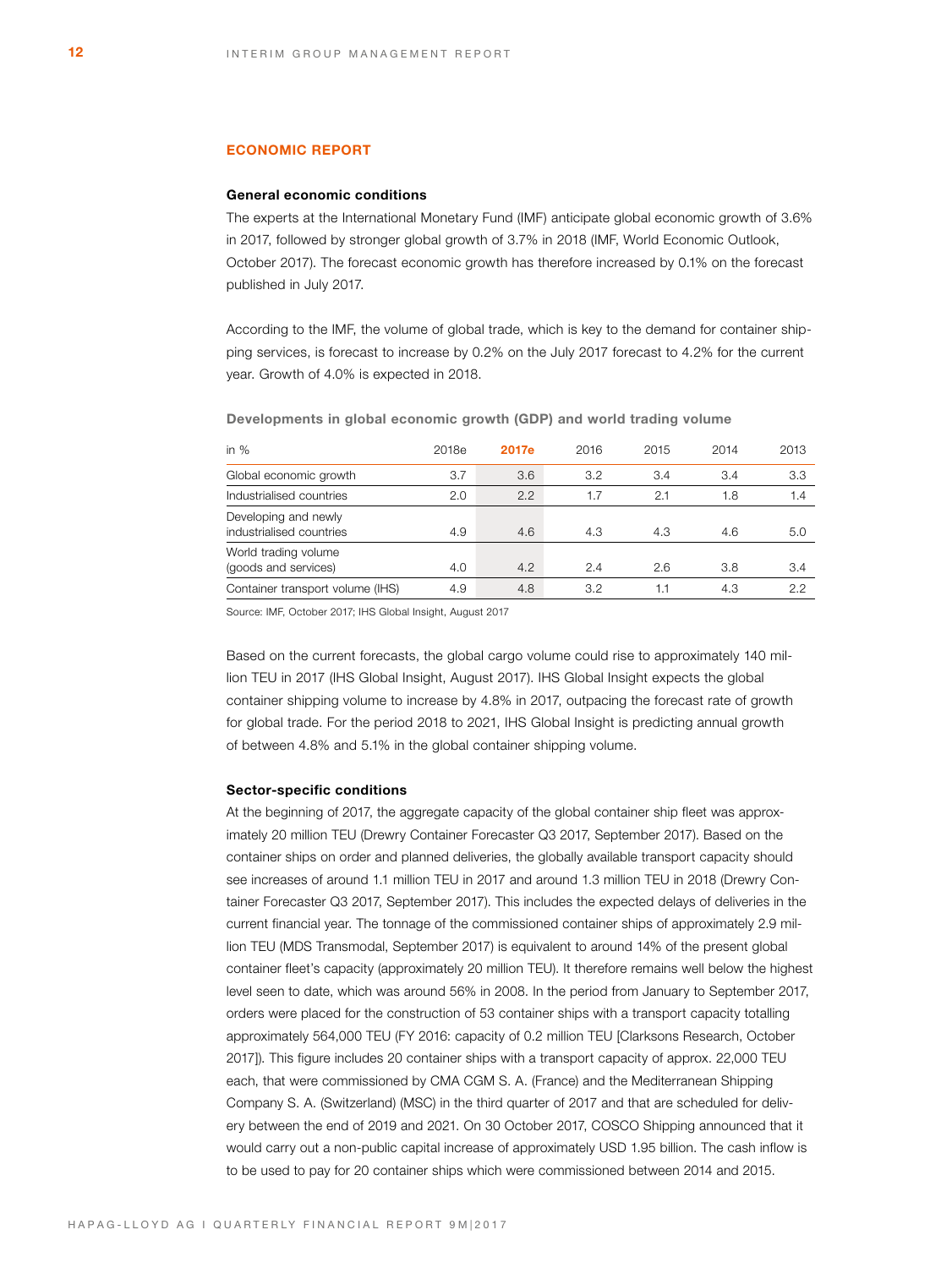# **ECONOMIC REPORT**

### **General economic conditions**

The experts at the International Monetary Fund (IMF) anticipate global economic growth of 3.6% in 2017, followed by stronger global growth of 3.7% in 2018 (IMF, World Economic Outlook, October 2017). The forecast economic growth has therefore increased by 0.1% on the forecast published in July 2017.

According to the IMF, the volume of global trade, which is key to the demand for container shipping services, is forecast to increase by 0.2% on the July 2017 forecast to 4.2% for the current year. Growth of 4.0% is expected in 2018.

| in $%$                                           | 2018e | 2017e | 2016 | 2015 | 2014 | 2013 |
|--------------------------------------------------|-------|-------|------|------|------|------|
| Global economic growth                           | 3.7   | 3.6   | 3.2  | 3.4  | 3.4  | 3.3  |
| Industrialised countries                         | 2.0   | 2.2   | 1.7  | 2.1  | 1.8  | 1.4  |
| Developing and newly<br>industrialised countries | 4.9   | 4.6   | 4.3  | 4.3  | 4.6  | 5.0  |
| World trading volume<br>(goods and services)     | 4.0   | 4.2   | 2.4  | 2.6  | 3.8  | 3.4  |
| Container transport volume (IHS)                 | 4.9   | 4.8   | 3.2  | 1.1  | 4.3  | 2.2  |

**Developments in global economic growth (GDP) and world trading volume**

Source: IMF, October 2017; IHS Global Insight, August 2017

Based on the current forecasts, the global cargo volume could rise to approximately 140 million TEU in 2017 (IHS Global Insight, August 2017). IHS Global Insight expects the global container shipping volume to increase by 4.8% in 2017, outpacing the forecast rate of growth for global trade. For the period 2018 to 2021, IHS Global Insight is predicting annual growth of between 4.8% and 5.1% in the global container shipping volume.

# **Sector-specific conditions**

At the beginning of 2017, the aggregate capacity of the global container ship fleet was approximately 20 million TEU (Drewry Container Forecaster Q3 2017, September 2017). Based on the container ships on order and planned deliveries, the globally available transport capacity should see increases of around 1.1 million TEU in 2017 and around 1.3 million TEU in 2018 (Drewry Container Forecaster Q3 2017, September 2017). This includes the expected delays of deliveries in the current financial year. The tonnage of the commissioned container ships of approximately 2.9 million TEU (MDS Transmodal, September 2017) is equivalent to around 14% of the present global container fleet's capacity (approximately 20 million TEU). It therefore remains well below the highest level seen to date, which was around 56% in 2008. In the period from January to September 2017, orders were placed for the construction of 53 container ships with a transport capacity totalling approximately 564,000 TEU (FY 2016: capacity of 0.2 million TEU [Clarksons Research, October 2017]). This figure includes 20 container ships with a transport capacity of approx. 22,000 TEU each, that were commissioned by CMA CGM S. A. (France) and the Mediterranean Shipping Company S. A. (Switzerland) (MSC) in the third quarter of 2017 and that are scheduled for delivery between the end of 2019 and 2021. On 30 October 2017, COSCO Shipping announced that it would carry out a non-public capital increase of approximately USD 1.95 billion. The cash inflow is to be used to pay for 20 container ships which were commissioned between 2014 and 2015.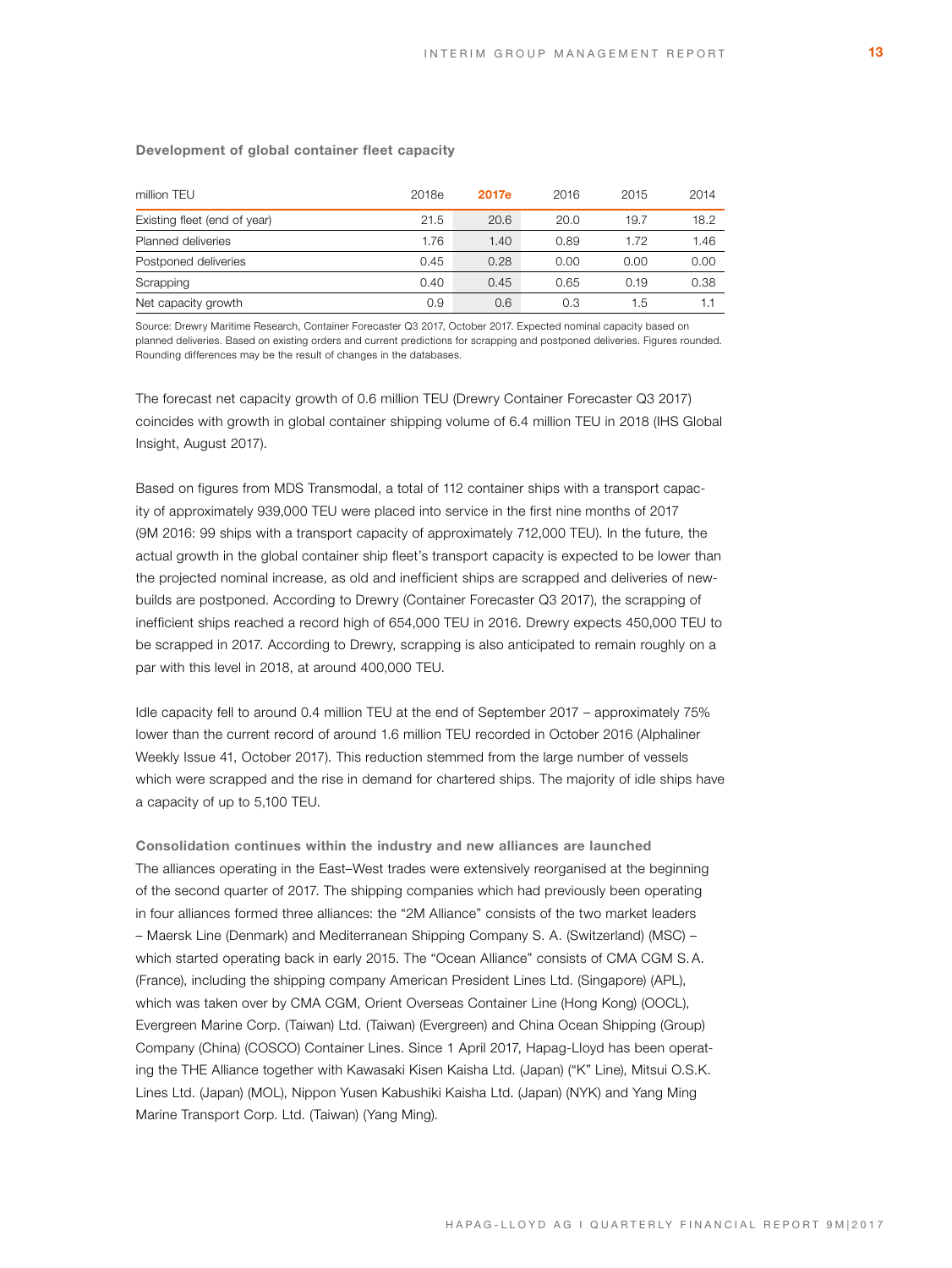# **Development of global container fleet capacity**

| million TEU                  | 2018e | 2017e | 2016 | 2015 | 2014 |
|------------------------------|-------|-------|------|------|------|
| Existing fleet (end of year) | 21.5  | 20.6  | 20.0 | 19.7 | 18.2 |
| Planned deliveries           | 1.76  | 1.40  | 0.89 | 1.72 | 1.46 |
| Postponed deliveries         | 0.45  | 0.28  | 0.00 | 0.00 | 0.00 |
| Scrapping                    | 0.40  | 0.45  | 0.65 | 0.19 | 0.38 |
| Net capacity growth          | 0.9   | 0.6   | 0.3  | 1.5  | 1.1  |

Source: Drewry Maritime Research, Container Forecaster Q3 2017, October 2017. Expected nominal capacity based on planned deliveries. Based on existing orders and current predictions for scrapping and postponed deliveries. Figures rounded. Rounding differences may be the result of changes in the databases.

The forecast net capacity growth of 0.6 million TEU (Drewry Container Forecaster Q3 2017) coincides with growth in global container shipping volume of 6.4 million TEU in 2018 (IHS Global Insight, August 2017).

Based on figures from MDS Transmodal, a total of 112 container ships with a transport capacity of approximately 939,000 TEU were placed into service in the first nine months of 2017 (9M 2016: 99 ships with a transport capacity of approximately 712,000 TEU). In the future, the actual growth in the global container ship fleet's transport capacity is expected to be lower than the projected nominal increase, as old and inefficient ships are scrapped and deliveries of newbuilds are postponed. According to Drewry (Container Forecaster Q3 2017), the scrapping of inefficient ships reached a record high of 654,000 TEU in 2016. Drewry expects 450,000 TEU to be scrapped in 2017. According to Drewry, scrapping is also anticipated to remain roughly on a par with this level in 2018, at around 400,000 TEU.

Idle capacity fell to around 0.4 million TEU at the end of September 2017 – approximately 75% lower than the current record of around 1.6 million TEU recorded in October 2016 (Alphaliner Weekly Issue 41, October 2017). This reduction stemmed from the large number of vessels which were scrapped and the rise in demand for chartered ships. The majority of idle ships have a capacity of up to 5,100 TEU.

**Consolidation continues within the industry and new alliances are launched**  The alliances operating in the East–West trades were extensively reorganised at the beginning of the second quarter of 2017. The shipping companies which had previously been operating in four alliances formed three alliances: the "2M Alliance" consists of the two market leaders – Maersk Line (Denmark) and Mediterranean Shipping Company S. A. (Switzerland) (MSC) – which started operating back in early 2015. The "Ocean Alliance" consists of CMA CGM S.A. (France), including the shipping company American President Lines Ltd. (Singapore) (APL), which was taken over by CMA CGM, Orient Overseas Container Line (Hong Kong) (OOCL), Evergreen Marine Corp. (Taiwan) Ltd. (Taiwan) (Evergreen) and China Ocean Shipping (Group) Company (China) (COSCO) Container Lines. Since 1 April 2017, Hapag-Lloyd has been operating the THE Alliance together with Kawasaki Kisen Kaisha Ltd. (Japan) ("K" Line), Mitsui O.S.K. Lines Ltd. (Japan) (MOL), Nippon Yusen Kabushiki Kaisha Ltd. (Japan) (NYK) and Yang Ming Marine Transport Corp. Ltd. (Taiwan) (Yang Ming).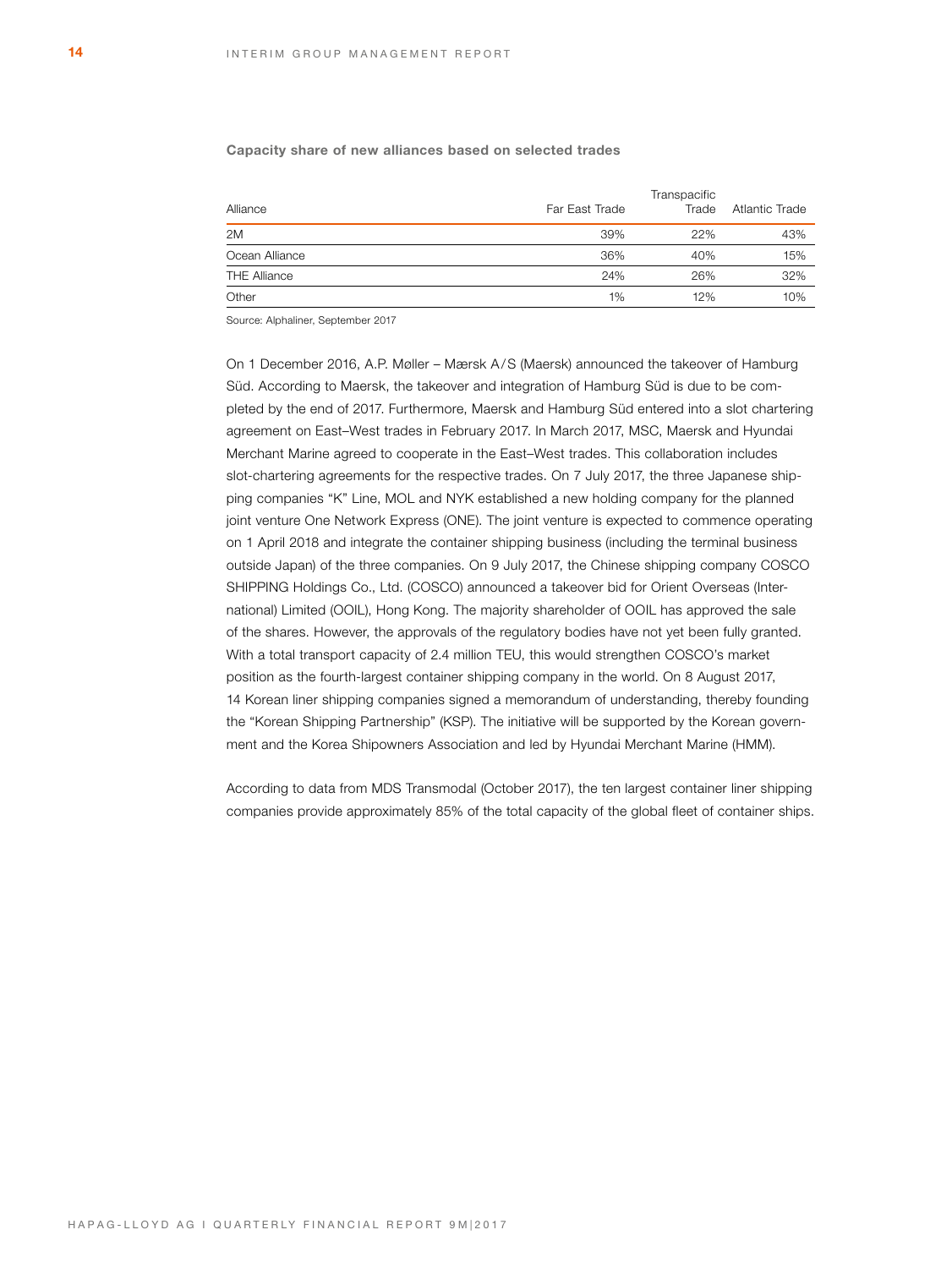### **Capacity share of new alliances based on selected trades**

| Alliance            | Far East Trade | Transpacific<br>Trade | Atlantic Trade |
|---------------------|----------------|-----------------------|----------------|
| 2M                  | 39%            | 22%                   | 43%            |
| Ocean Alliance      | 36%            | 40%                   | 15%            |
| <b>THE Alliance</b> | 24%            | 26%                   | 32%            |
| Other               | 1%             | 12%                   | 10%            |

Source: Alphaliner, September 2017

On 1 December 2016, A.P. Møller – Mærsk A/S (Maersk) announced the takeover of Hamburg Süd. According to Maersk, the takeover and integration of Hamburg Süd is due to be completed by the end of 2017. Furthermore, Maersk and Hamburg Süd entered into a slot chartering agreement on East–West trades in February 2017. In March 2017, MSC, Maersk and Hyundai Merchant Marine agreed to cooperate in the East–West trades. This collaboration includes slot-chartering agreements for the respective trades. On 7 July 2017, the three Japanese shipping companies "K" Line, MOL and NYK established a new holding company for the planned joint venture One Network Express (ONE). The joint venture is expected to commence operating on 1 April 2018 and integrate the container shipping business (including the terminal business outside Japan) of the three companies. On 9 July 2017, the Chinese shipping company COSCO SHIPPING Holdings Co., Ltd. (COSCO) announced a takeover bid for Orient Overseas (International) Limited (OOIL), Hong Kong. The majority shareholder of OOIL has approved the sale of the shares. However, the approvals of the regulatory bodies have not yet been fully granted. With a total transport capacity of 2.4 million TEU, this would strengthen COSCO's market position as the fourth-largest container shipping company in the world. On 8 August 2017, 14 Korean liner shipping companies signed a memorandum of understanding, thereby founding the "Korean Shipping Partnership" (KSP). The initiative will be supported by the Korean government and the Korea Shipowners Association and led by Hyundai Merchant Marine (HMM).

According to data from MDS Transmodal (October 2017), the ten largest container liner shipping companies provide approximately 85% of the total capacity of the global fleet of container ships.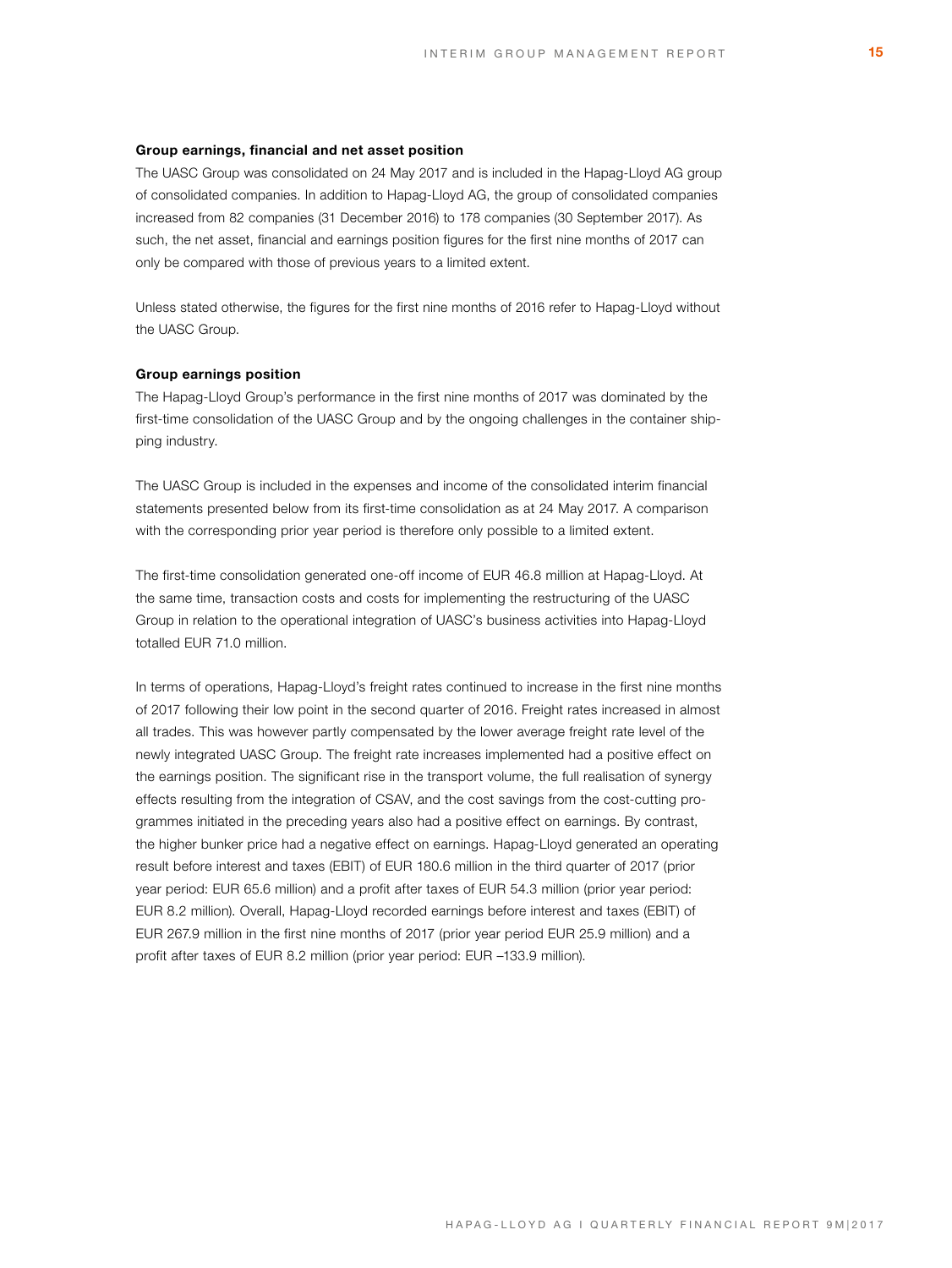### **Group earnings, financial and net asset position**

The UASC Group was consolidated on 24 May 2017 and is included in the Hapag-Lloyd AG group of consolidated companies. In addition to Hapag-Lloyd AG, the group of consolidated companies increased from 82 companies (31 December 2016) to 178 companies (30 September 2017). As such, the net asset, financial and earnings position figures for the first nine months of 2017 can only be compared with those of previous years to a limited extent.

Unless stated otherwise, the figures for the first nine months of 2016 refer to Hapag-Lloyd without the UASC Group.

# **Group earnings position**

The Hapag-Lloyd Group's performance in the first nine months of 2017 was dominated by the first-time consolidation of the UASC Group and by the ongoing challenges in the container shipping industry.

The UASC Group is included in the expenses and income of the consolidated interim financial statements presented below from its first-time consolidation as at 24 May 2017. A comparison with the corresponding prior year period is therefore only possible to a limited extent.

The first-time consolidation generated one-off income of EUR 46.8 million at Hapag-Lloyd. At the same time, transaction costs and costs for implementing the restructuring of the UASC Group in relation to the operational integration of UASC's business activities into Hapag-Lloyd totalled EUR 71.0 million.

In terms of operations, Hapag-Lloyd's freight rates continued to increase in the first nine months of 2017 following their low point in the second quarter of 2016. Freight rates increased in almost all trades. This was however partly compensated by the lower average freight rate level of the newly integrated UASC Group. The freight rate increases implemented had a positive effect on the earnings position. The significant rise in the transport volume, the full realisation of synergy effects resulting from the integration of CSAV, and the cost savings from the cost-cutting programmes initiated in the preceding years also had a positive effect on earnings. By contrast, the higher bunker price had a negative effect on earnings. Hapag-Lloyd generated an operating result before interest and taxes (EBIT) of EUR 180.6 million in the third quarter of 2017 (prior year period: EUR 65.6 million) and a profit after taxes of EUR 54.3 million (prior year period: EUR 8.2 million). Overall, Hapag-Lloyd recorded earnings before interest and taxes (EBIT) of EUR 267.9 million in the first nine months of 2017 (prior year period EUR 25.9 million) and a profit after taxes of EUR 8.2 million (prior year period: EUR –133.9 million).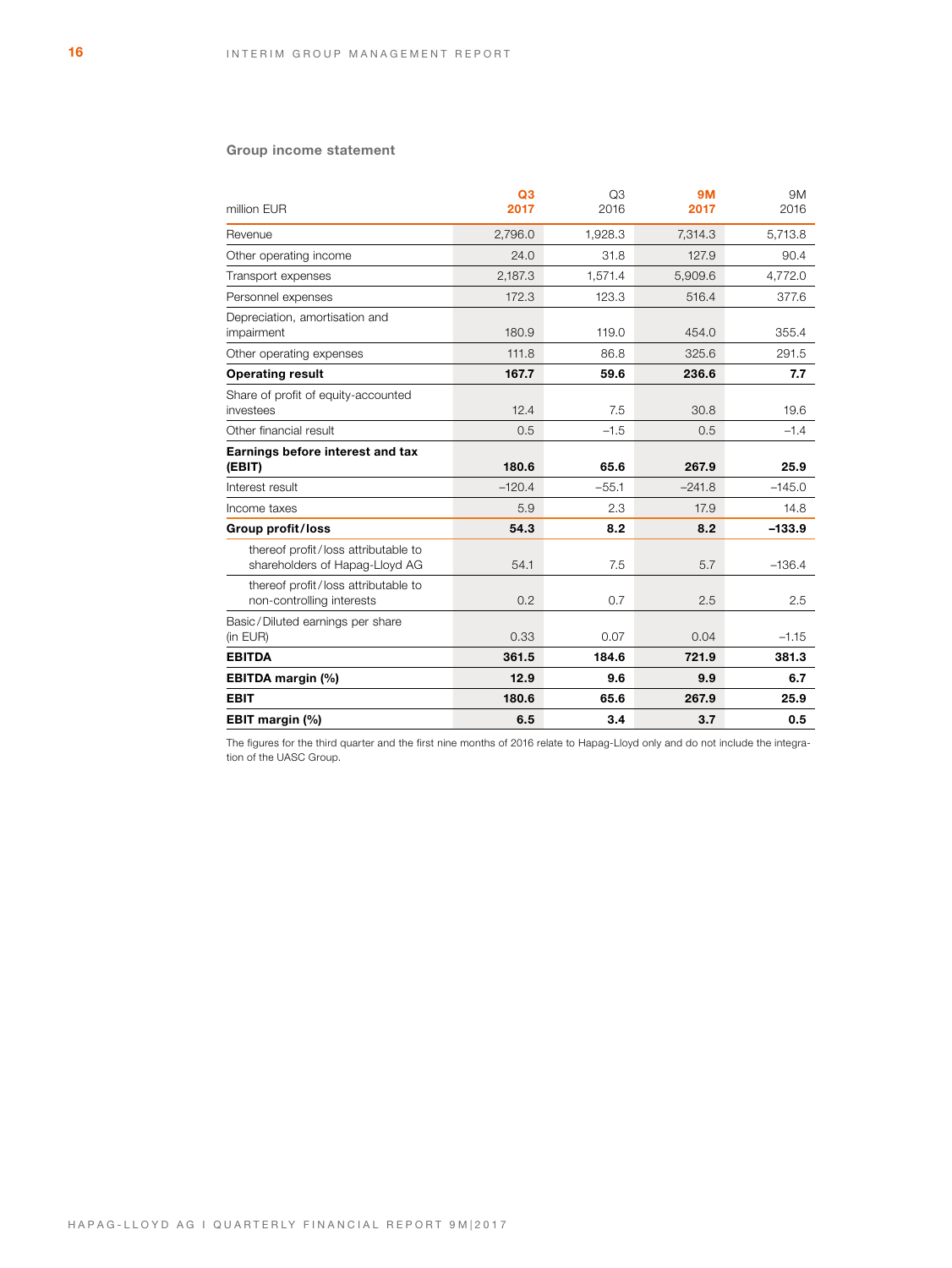# **Group income statement**

| million EUR                                                           | Q <sub>3</sub><br>2017 | Q3<br>2016 | <b>9M</b><br>2017 | 9M<br>2016 |
|-----------------------------------------------------------------------|------------------------|------------|-------------------|------------|
| Revenue                                                               | 2.796.0                | 1.928.3    | 7,314.3           | 5,713.8    |
| Other operating income                                                | 24.0                   | 31.8       | 127.9             | 90.4       |
| Transport expenses                                                    | 2,187.3                | 1,571.4    | 5.909.6           | 4,772.0    |
| Personnel expenses                                                    | 172.3                  | 123.3      | 516.4             | 377.6      |
| Depreciation, amortisation and<br>impairment                          | 180.9                  | 119.0      | 454.0             | 355.4      |
| Other operating expenses                                              | 111.8                  | 86.8       | 325.6             | 291.5      |
| <b>Operating result</b>                                               | 167.7                  | 59.6       | 236.6             | 7.7        |
| Share of profit of equity-accounted<br>investees                      | 12.4                   | 7.5        | 30.8              | 19.6       |
| Other financial result                                                | 0.5                    | $-1.5$     | 0.5               | $-1.4$     |
| Earnings before interest and tax<br>(EBIT)                            | 180.6                  | 65.6       | 267.9             | 25.9       |
| Interest result                                                       | $-120.4$               | $-55.1$    | $-241.8$          | $-145.0$   |
| Income taxes                                                          | 5.9                    | 2.3        | 17.9              | 14.8       |
| Group profit/loss                                                     | 54.3                   | 8.2        | 8.2               | $-133.9$   |
| thereof profit/loss attributable to<br>shareholders of Hapag-Lloyd AG | 54.1                   | 7.5        | 5.7               | $-136.4$   |
| thereof profit/loss attributable to<br>non-controlling interests      | 0.2                    | 0.7        | 2.5               | 2.5        |
| Basic/Diluted earnings per share<br>(in EUR)                          | 0.33                   | 0.07       | 0.04              | $-1.15$    |
| <b>EBITDA</b>                                                         | 361.5                  | 184.6      | 721.9             | 381.3      |
| EBITDA margin (%)                                                     | 12.9                   | 9.6        | 9.9               | 6.7        |
| <b>EBIT</b>                                                           | 180.6                  | 65.6       | 267.9             | 25.9       |
| EBIT margin (%)                                                       | 6.5                    | 3.4        | 3.7               | 0.5        |

The figures for the third quarter and the first nine months of 2016 relate to Hapag-Lloyd only and do not include the integration of the UASC Group.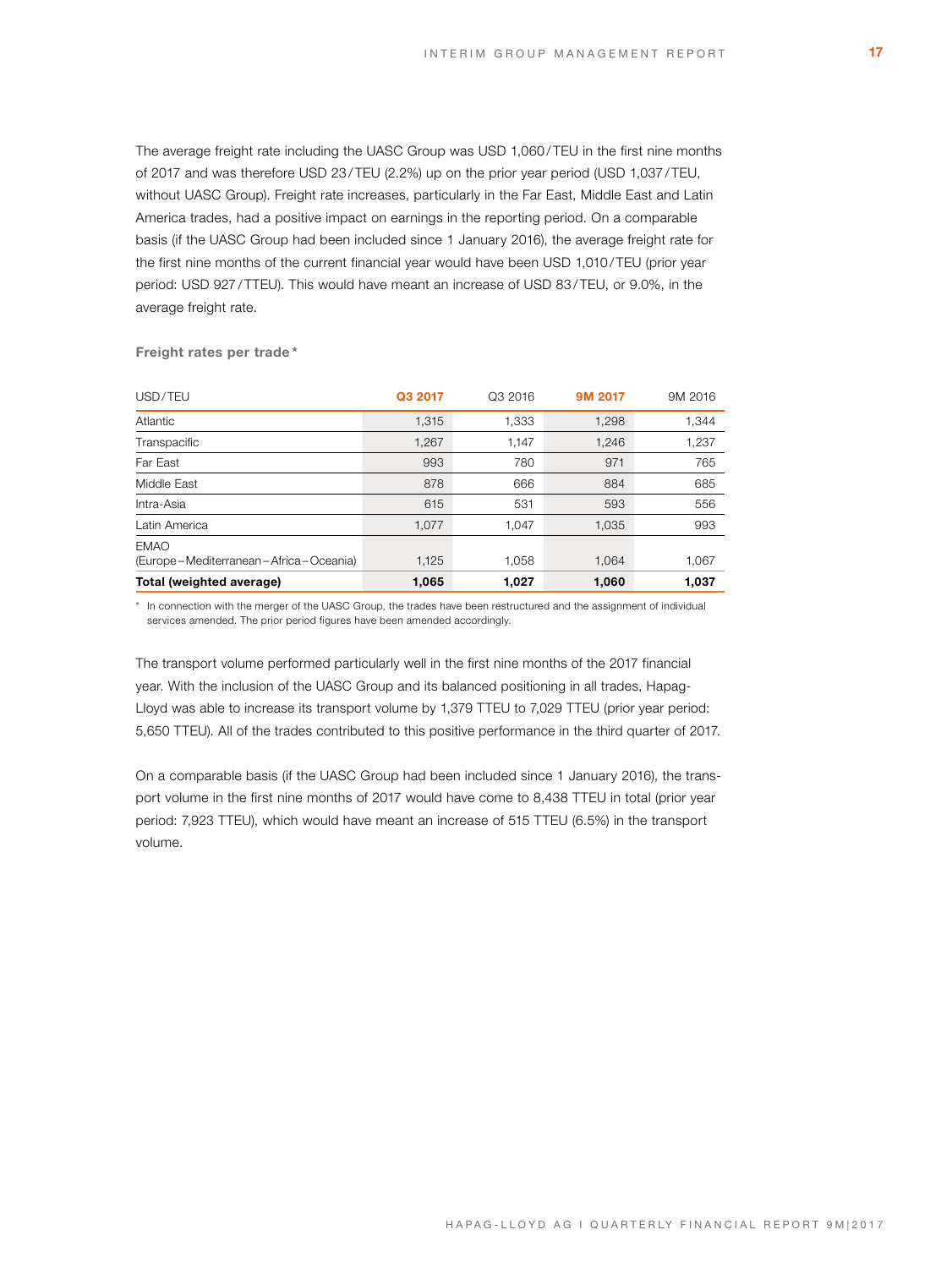The average freight rate including the UASC Group was USD 1,060/TEU in the first nine months of 2017 and was therefore USD 23/TEU (2.2%) up on the prior year period (USD 1,037/TEU, without UASC Group). Freight rate increases, particularly in the Far East, Middle East and Latin America trades, had a positive impact on earnings in the reporting period. On a comparable basis (if the UASC Group had been included since 1 January 2016), the average freight rate for the first nine months of the current financial year would have been USD 1,010/TEU (prior year period: USD 927/TTEU). This would have meant an increase of USD 83/TEU, or 9.0%, in the average freight rate.

| USD/TEU                                     | Q3 2017 | Q3 2016 | 9M 2017 | 9M 2016 |
|---------------------------------------------|---------|---------|---------|---------|
| Atlantic                                    | 1,315   | 1,333   | 1,298   | 1,344   |
| Transpacific                                | 1,267   | 1,147   | 1,246   | 1,237   |
| Far East                                    | 993     | 780     | 971     | 765     |
| Middle East                                 | 878     | 666     | 884     | 685     |
| Intra-Asia                                  | 615     | 531     | 593     | 556     |
| Latin America                               | 1,077   | 1.047   | 1,035   | 993     |
| <b>EMAO</b>                                 |         |         |         |         |
| (Europe – Mediterranean – Africa – Oceania) | 1,125   | 1,058   | 1,064   | 1,067   |
| Total (weighted average)                    | 1,065   | 1,027   | 1,060   | 1,037   |

**Freight rates per trade \***

\* In connection with the merger of the UASC Group, the trades have been restructured and the assignment of individual services amended. The prior period figures have been amended accordingly.

The transport volume performed particularly well in the first nine months of the 2017 financial year. With the inclusion of the UASC Group and its balanced positioning in all trades, Hapag-Lloyd was able to increase its transport volume by 1,379 TTEU to 7,029 TTEU (prior year period: 5,650 TTEU). All of the trades contributed to this positive performance in the third quarter of 2017.

On a comparable basis (if the UASC Group had been included since 1 January 2016), the transport volume in the first nine months of 2017 would have come to 8,438 TTEU in total (prior year period: 7,923 TTEU), which would have meant an increase of 515 TTEU (6.5%) in the transport volume.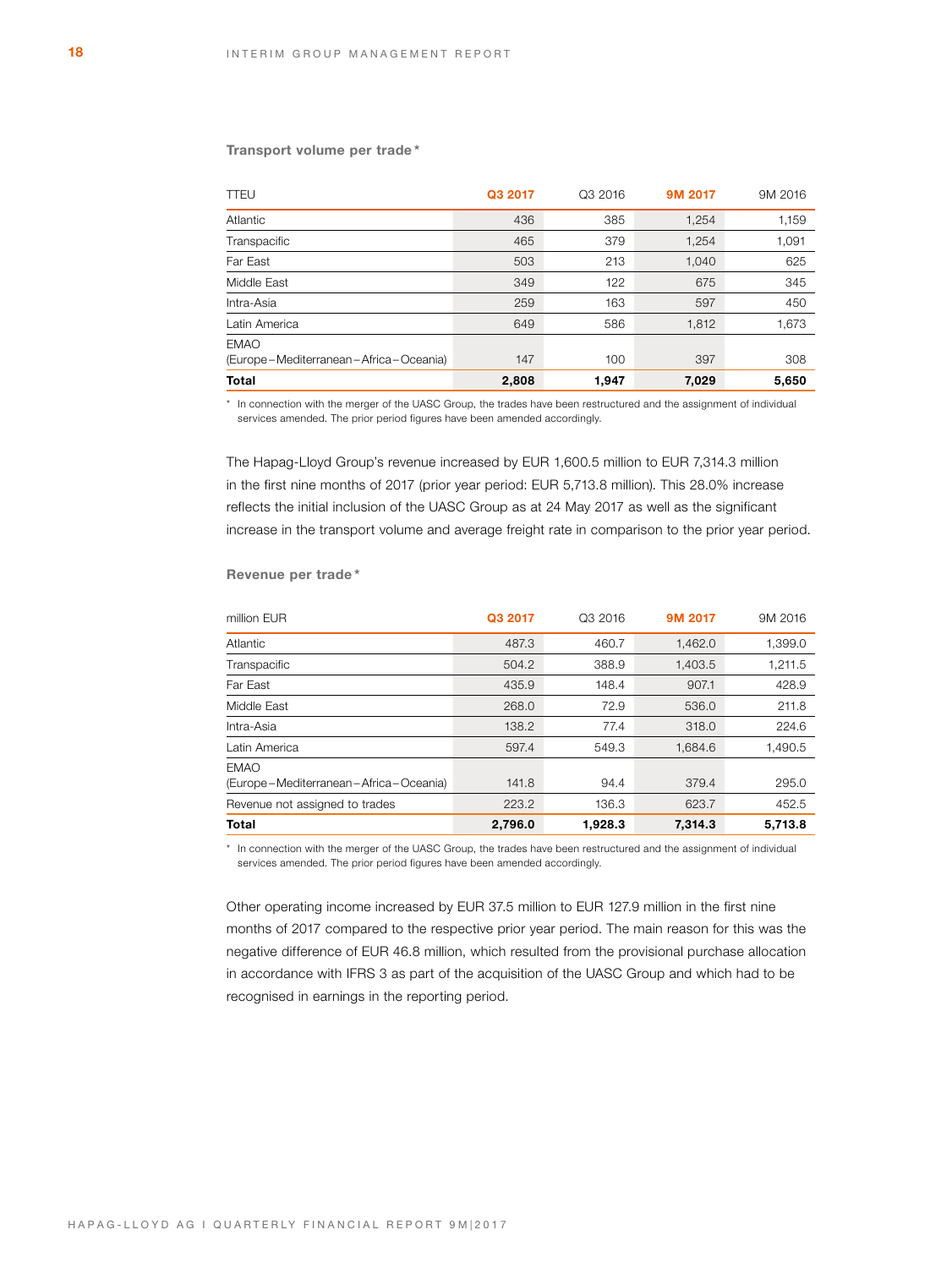### **Transport volume per trade \***

| <b>TTEU</b>                                          | Q3 2017 | Q3 2016 | 9M 2017 | 9M 2016 |
|------------------------------------------------------|---------|---------|---------|---------|
| Atlantic                                             | 436     | 385     | 1,254   | 1,159   |
| Transpacific                                         | 465     | 379     | 1,254   | 1,091   |
| Far East                                             | 503     | 213     | 1,040   | 625     |
| Middle East                                          | 349     | 122     | 675     | 345     |
| Intra-Asia                                           | 259     | 163     | 597     | 450     |
| Latin America                                        | 649     | 586     | 1,812   | 1,673   |
| <b>EMAO</b><br>(Europe-Mediterranean-Africa-Oceania) | 147     | 100     | 397     | 308     |
| <b>Total</b>                                         | 2,808   | 1,947   | 7,029   | 5,650   |

\* In connection with the merger of the UASC Group, the trades have been restructured and the assignment of individual services amended. The prior period figures have been amended accordingly.

The Hapag-Lloyd Group's revenue increased by EUR 1,600.5 million to EUR 7,314.3 million in the first nine months of 2017 (prior year period: EUR 5,713.8 million). This 28.0% increase reflects the initial inclusion of the UASC Group as at 24 May 2017 as well as the significant increase in the transport volume and average freight rate in comparison to the prior year period.

### **Revenue per trade \***

| million EUR                                          | Q3 2017 | Q3 2016 | 9M 2017 | 9M 2016 |
|------------------------------------------------------|---------|---------|---------|---------|
| Atlantic                                             | 487.3   | 460.7   | 1,462.0 | 1,399.0 |
| Transpacific                                         | 504.2   | 388.9   | 1,403.5 | 1,211.5 |
| Far East                                             | 435.9   | 148.4   | 907.1   | 428.9   |
| Middle East                                          | 268.0   | 72.9    | 536.0   | 211.8   |
| Intra-Asia                                           | 138.2   | 77.4    | 318.0   | 224.6   |
| Latin America                                        | 597.4   | 549.3   | 1,684.6 | 1,490.5 |
| <b>EMAO</b><br>(Europe-Mediterranean-Africa-Oceania) | 141.8   | 94.4    | 379.4   | 295.0   |
| Revenue not assigned to trades                       | 223.2   | 136.3   | 623.7   | 452.5   |
| Total                                                | 2,796.0 | 1,928.3 | 7,314.3 | 5,713.8 |

\* In connection with the merger of the UASC Group, the trades have been restructured and the assignment of individual services amended. The prior period figures have been amended accordingly.

Other operating income increased by EUR 37.5 million to EUR 127.9 million in the first nine months of 2017 compared to the respective prior year period. The main reason for this was the negative difference of EUR 46.8 million, which resulted from the provisional purchase allocation in accordance with IFRS 3 as part of the acquisition of the UASC Group and which had to be recognised in earnings in the reporting period.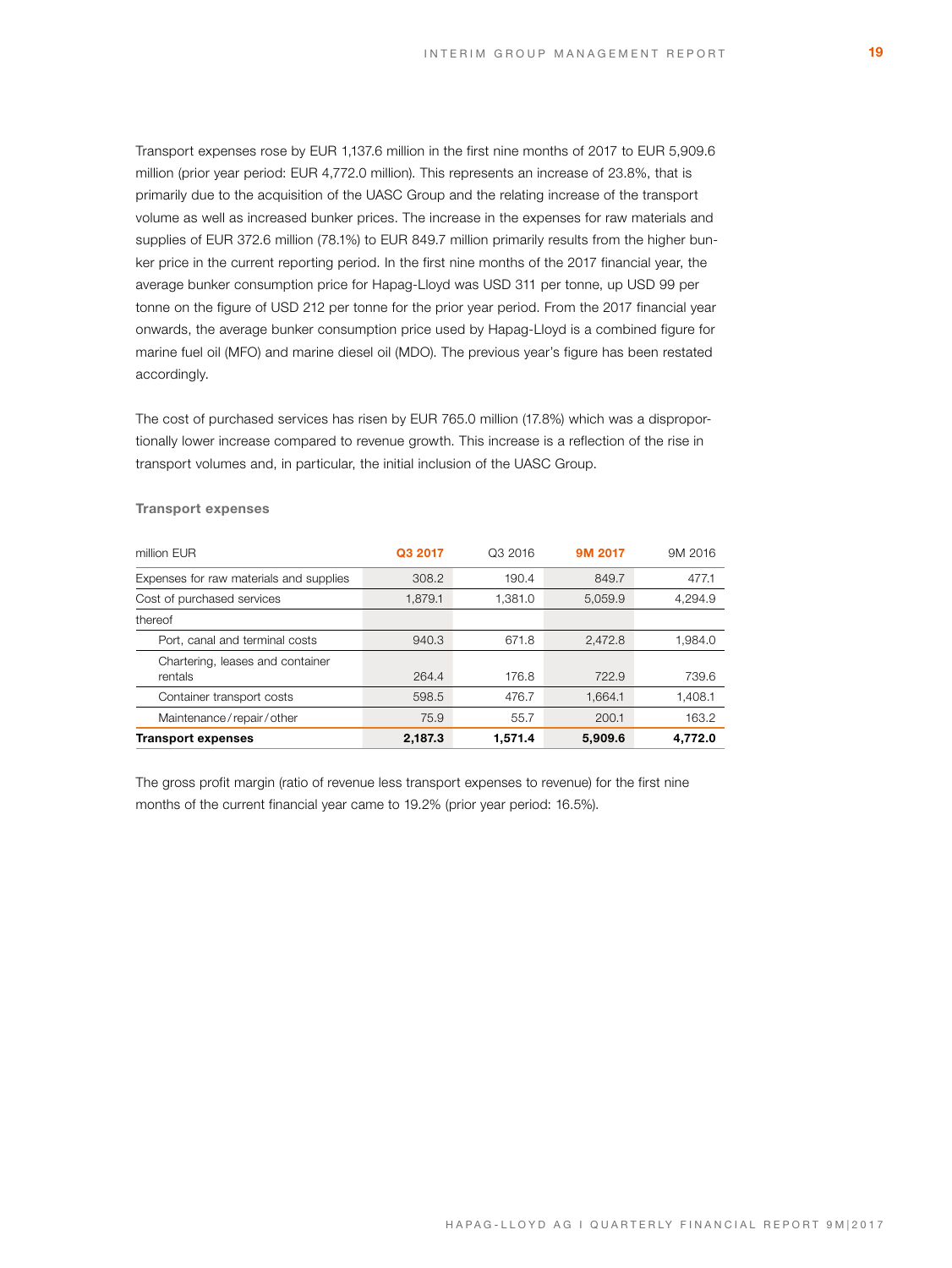Transport expenses rose by EUR 1,137.6 million in the first nine months of 2017 to EUR 5,909.6 million (prior year period: EUR 4,772.0 million). This represents an increase of 23.8%, that is primarily due to the acquisition of the UASC Group and the relating increase of the transport volume as well as increased bunker prices. The increase in the expenses for raw materials and supplies of EUR 372.6 million (78.1%) to EUR 849.7 million primarily results from the higher bunker price in the current reporting period. In the first nine months of the 2017 financial year, the average bunker consumption price for Hapag-Lloyd was USD 311 per tonne, up USD 99 per tonne on the figure of USD 212 per tonne for the prior year period. From the 2017 financial year onwards, the average bunker consumption price used by Hapag-Lloyd is a combined figure for marine fuel oil (MFO) and marine diesel oil (MDO). The previous year's figure has been restated accordingly.

The cost of purchased services has risen by EUR 765.0 million (17.8%) which was a disproportionally lower increase compared to revenue growth. This increase is a reflection of the rise in transport volumes and, in particular, the initial inclusion of the UASC Group.

| million EUR                                 | Q3 2017 | Q3 2016 | 9M 2017 | 9M 2016 |
|---------------------------------------------|---------|---------|---------|---------|
| Expenses for raw materials and supplies     | 308.2   | 190.4   | 849.7   | 477.1   |
| Cost of purchased services                  | 1.879.1 | 1.381.0 | 5.059.9 | 4.294.9 |
| thereof                                     |         |         |         |         |
| Port, canal and terminal costs              | 940.3   | 671.8   | 2,472.8 | 1,984.0 |
| Chartering, leases and container<br>rentals | 264.4   | 176.8   | 722.9   | 739.6   |
| Container transport costs                   | 598.5   | 476.7   | 1.664.1 | 1,408.1 |
| Maintenance/repair/other                    | 75.9    | 55.7    | 200.1   | 163.2   |
| <b>Transport expenses</b>                   | 2,187.3 | 1.571.4 | 5,909.6 | 4.772.0 |

#### **Transport expenses**

The gross profit margin (ratio of revenue less transport expenses to revenue) for the first nine months of the current financial year came to 19.2% (prior year period: 16.5%).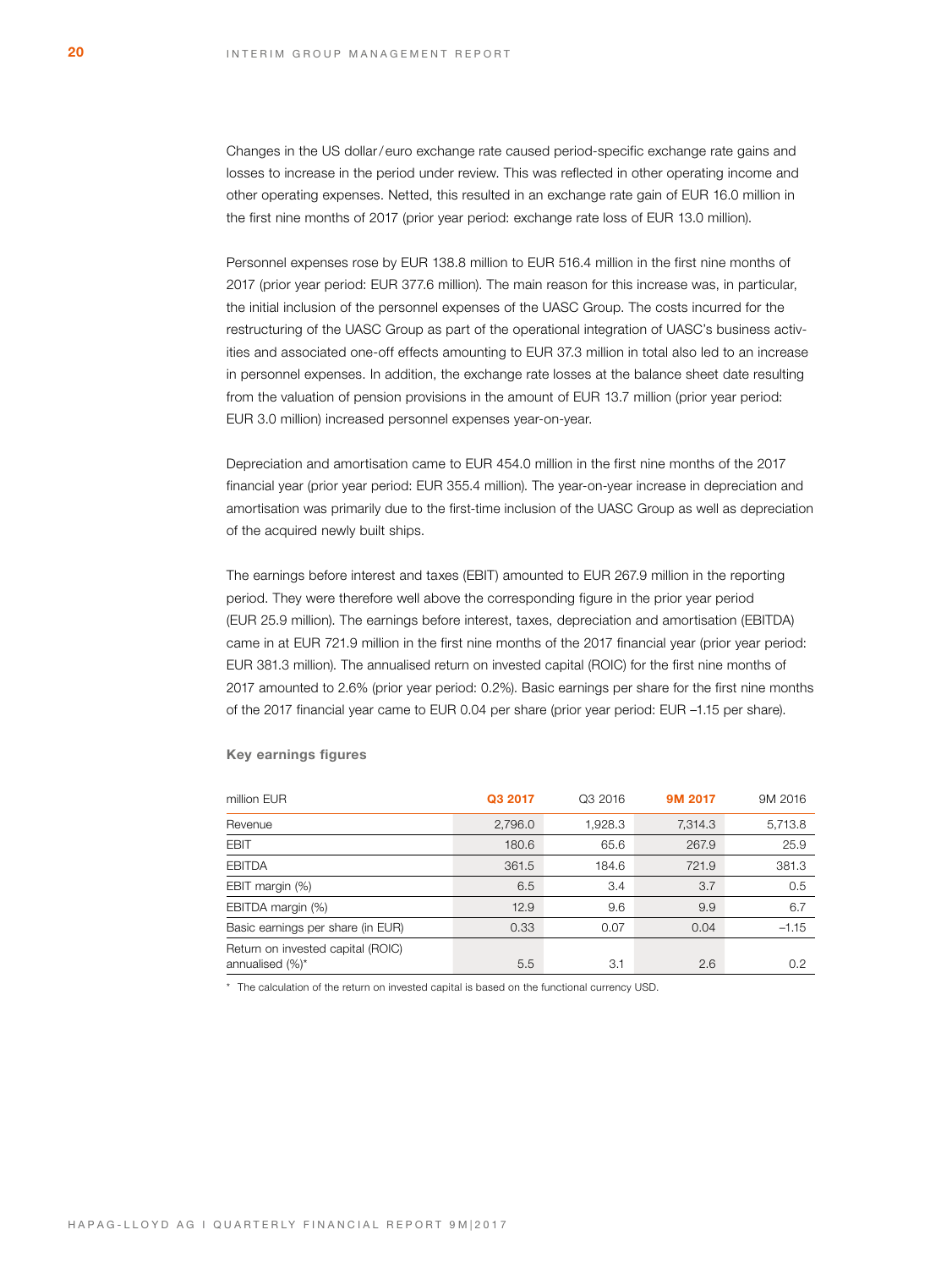Changes in the US dollar/ euro exchange rate caused period-specific exchange rate gains and losses to increase in the period under review. This was reflected in other operating income and other operating expenses. Netted, this resulted in an exchange rate gain of EUR 16.0 million in the first nine months of 2017 (prior year period: exchange rate loss of EUR 13.0 million).

Personnel expenses rose by EUR 138.8 million to EUR 516.4 million in the first nine months of 2017 (prior year period: EUR 377.6 million). The main reason for this increase was, in particular, the initial inclusion of the personnel expenses of the UASC Group. The costs incurred for the restructuring of the UASC Group as part of the operational integration of UASC's business activities and associated one-off effects amounting to EUR 37.3 million in total also led to an increase in personnel expenses. In addition, the exchange rate losses at the balance sheet date resulting from the valuation of pension provisions in the amount of EUR 13.7 million (prior year period: EUR 3.0 million) increased personnel expenses year-on-year.

Depreciation and amortisation came to EUR 454.0 million in the first nine months of the 2017 financial year (prior year period: EUR 355.4 million). The year-on-year increase in depreciation and amortisation was primarily due to the first-time inclusion of the UASC Group as well as depreciation of the acquired newly built ships.

The earnings before interest and taxes (EBIT) amounted to EUR 267.9 million in the reporting period. They were therefore well above the corresponding figure in the prior year period (EUR 25.9 million). The earnings before interest, taxes, depreciation and amortisation (EBITDA) came in at EUR 721.9 million in the first nine months of the 2017 financial year (prior year period: EUR 381.3 million). The annualised return on invested capital (ROIC) for the first nine months of 2017 amounted to 2.6% (prior year period: 0.2%). Basic earnings per share for the first nine months of the 2017 financial year came to EUR 0.04 per share (prior year period: EUR –1.15 per share).

| million EUR                       | Q3 2017 | Q3 2016 | 9M 2017 | 9M 2016 |
|-----------------------------------|---------|---------|---------|---------|
| Revenue                           | 2,796.0 | 1,928.3 | 7,314.3 | 5,713.8 |
| <b>EBIT</b>                       | 180.6   | 65.6    | 267.9   | 25.9    |
| <b>EBITDA</b>                     | 361.5   | 184.6   | 721.9   | 381.3   |
| EBIT margin (%)                   | 6.5     | 3.4     | 3.7     | 0.5     |
| EBITDA margin (%)                 | 12.9    | 9.6     | 9.9     | 6.7     |
| Basic earnings per share (in EUR) | 0.33    | 0.07    | 0.04    | $-1.15$ |
| Return on invested capital (ROIC) |         |         |         |         |
| annualised (%)*                   | 5.5     | 3.1     | 2.6     | 0.2     |

#### **Key earnings figures**

\* The calculation of the return on invested capital is based on the functional currency USD.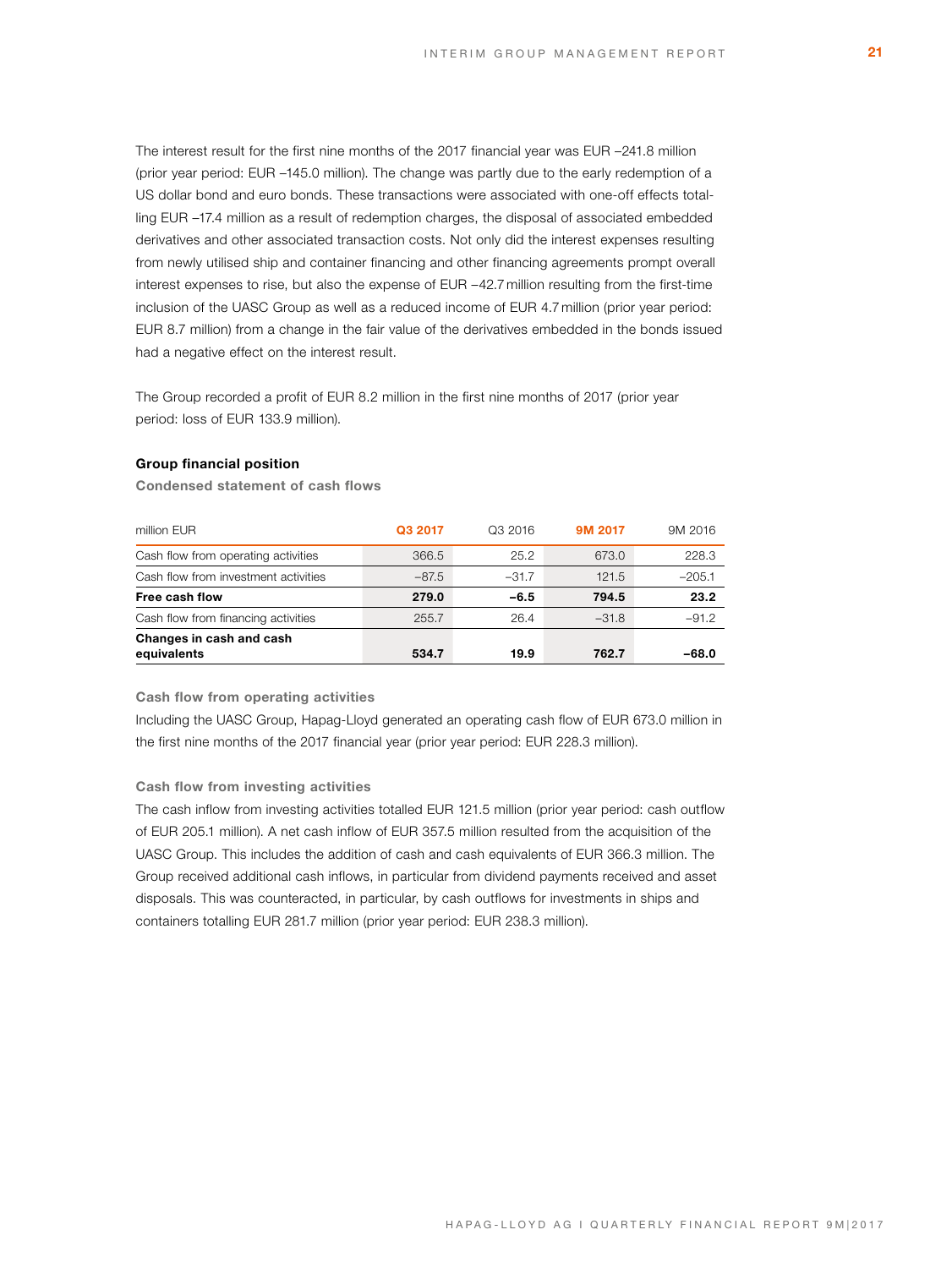The interest result for the first nine months of the 2017 financial year was EUR –241.8 million (prior year period: EUR –145.0 million). The change was partly due to the early redemption of a US dollar bond and euro bonds. These transactions were associated with one-off effects totalling EUR –17.4 million as a result of redemption charges, the disposal of associated embedded derivatives and other associated transaction costs. Not only did the interest expenses resulting from newly utilised ship and container financing and other financing agreements prompt overall interest expenses to rise, but also the expense of EUR –42.7 million resulting from the first-time inclusion of the UASC Group as well as a reduced income of EUR 4.7 million (prior year period: EUR 8.7 million) from a change in the fair value of the derivatives embedded in the bonds issued had a negative effect on the interest result.

The Group recorded a profit of EUR 8.2 million in the first nine months of 2017 (prior year period: loss of EUR 133.9 million).

### **Group financial position**

**Condensed statement of cash flows**

| Changes in cash and cash<br>equivalents | 534.7   | 19.9    | 762.7   | $-68.0$  |
|-----------------------------------------|---------|---------|---------|----------|
| Cash flow from financing activities     | 255.7   | 26.4    | $-31.8$ | $-91.2$  |
| Free cash flow                          | 279.0   | $-6.5$  | 794.5   | 23.2     |
| Cash flow from investment activities    | $-87.5$ | $-31.7$ | 121.5   | $-205.1$ |
| Cash flow from operating activities     | 366.5   | 25.2    | 673.0   | 228.3    |
| million EUR                             | Q3 2017 | Q3 2016 | 9M 2017 | 9M 2016  |

### **Cash flow from operating activities**

Including the UASC Group, Hapag-Lloyd generated an operating cash flow of EUR 673.0 million in the first nine months of the 2017 financial year (prior year period: EUR 228.3 million).

#### **Cash flow from investing activities**

The cash inflow from investing activities totalled EUR 121.5 million (prior year period: cash outflow of EUR 205.1 million). A net cash inflow of EUR 357.5 million resulted from the acquisition of the UASC Group. This includes the addition of cash and cash equivalents of EUR 366.3 million. The Group received additional cash inflows, in particular from dividend payments received and asset disposals. This was counteracted, in particular, by cash outflows for investments in ships and containers totalling EUR 281.7 million (prior year period: EUR 238.3 million).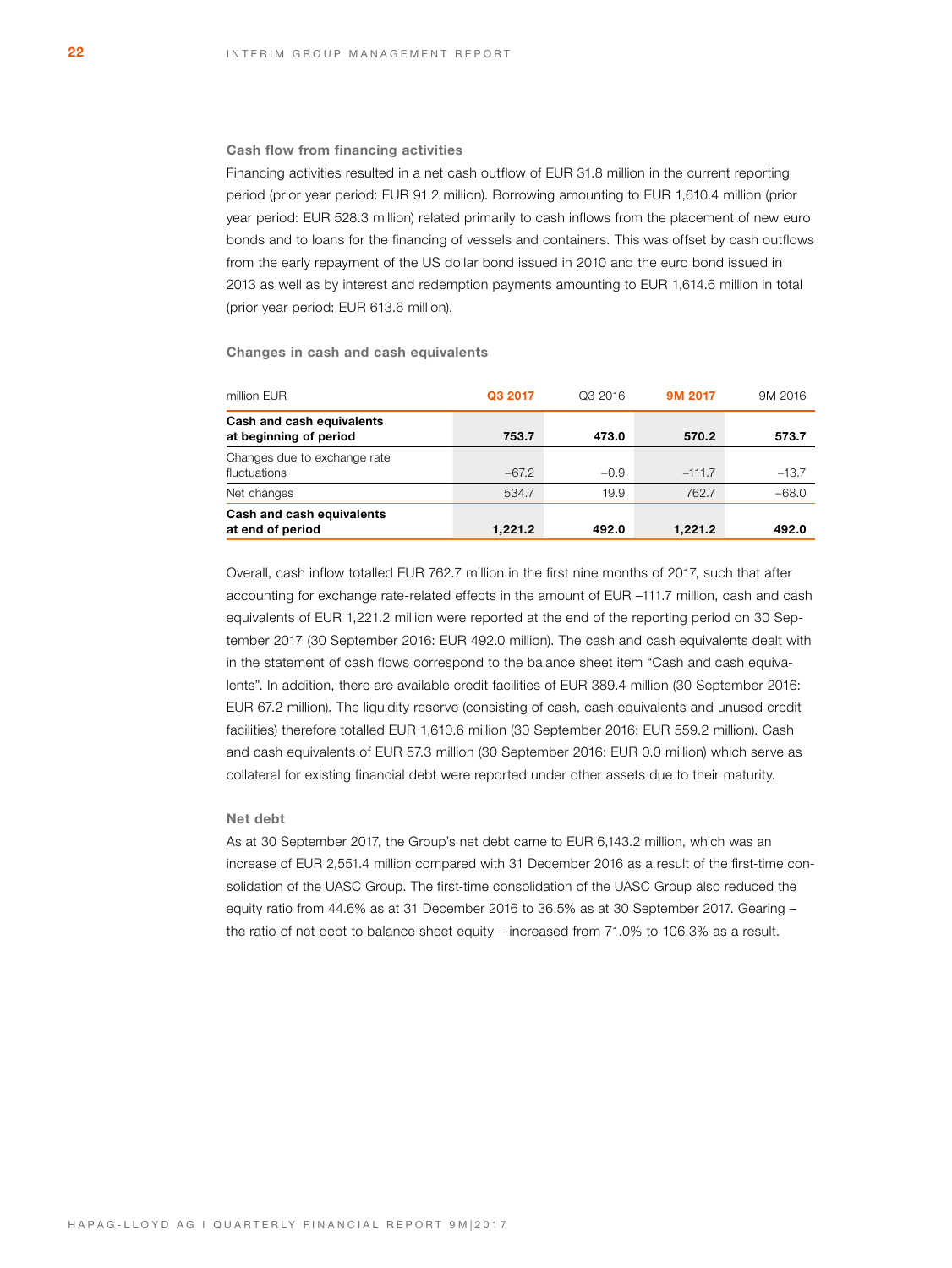#### **Cash flow from financing activities**

Financing activities resulted in a net cash outflow of EUR 31.8 million in the current reporting period (prior year period: EUR 91.2 million). Borrowing amounting to EUR 1,610.4 million (prior year period: EUR 528.3 million) related primarily to cash inflows from the placement of new euro bonds and to loans for the financing of vessels and containers. This was offset by cash outflows from the early repayment of the US dollar bond issued in 2010 and the euro bond issued in 2013 as well as by interest and redemption payments amounting to EUR 1,614.6 million in total (prior year period: EUR 613.6 million).

**Changes in cash and cash equivalents**

| million EUR                                         | Q3 2017 | Q3 2016 | 9M 2017  | 9M 2016 |
|-----------------------------------------------------|---------|---------|----------|---------|
| Cash and cash equivalents<br>at beginning of period | 753.7   | 473.0   | 570.2    | 573.7   |
| Changes due to exchange rate<br>fluctuations        | $-67.2$ | $-0.9$  | $-111.7$ | $-13.7$ |
| Net changes                                         | 534.7   | 19.9    | 762.7    | $-68.0$ |
| Cash and cash equivalents<br>at end of period       | 1,221.2 | 492.0   | 1.221.2  | 492.0   |

Overall, cash inflow totalled EUR 762.7 million in the first nine months of 2017, such that after accounting for exchange rate-related effects in the amount of EUR –111.7 million, cash and cash equivalents of EUR 1,221.2 million were reported at the end of the reporting period on 30 September 2017 (30 September 2016: EUR 492.0 million). The cash and cash equivalents dealt with in the statement of cash flows correspond to the balance sheet item "Cash and cash equivalents". In addition, there are available credit facilities of EUR 389.4 million (30 September 2016: EUR 67.2 million). The liquidity reserve (consisting of cash, cash equivalents and unused credit facilities) therefore totalled EUR 1,610.6 million (30 September 2016: EUR 559.2 million). Cash and cash equivalents of EUR 57.3 million (30 September 2016: EUR 0.0 million) which serve as collateral for existing financial debt were reported under other assets due to their maturity.

# **Net debt**

As at 30 September 2017, the Group's net debt came to EUR 6,143.2 million, which was an increase of EUR 2,551.4 million compared with 31 December 2016 as a result of the first-time consolidation of the UASC Group. The first-time consolidation of the UASC Group also reduced the equity ratio from 44.6% as at 31 December 2016 to 36.5% as at 30 September 2017. Gearing – the ratio of net debt to balance sheet equity – increased from 71.0% to 106.3% as a result.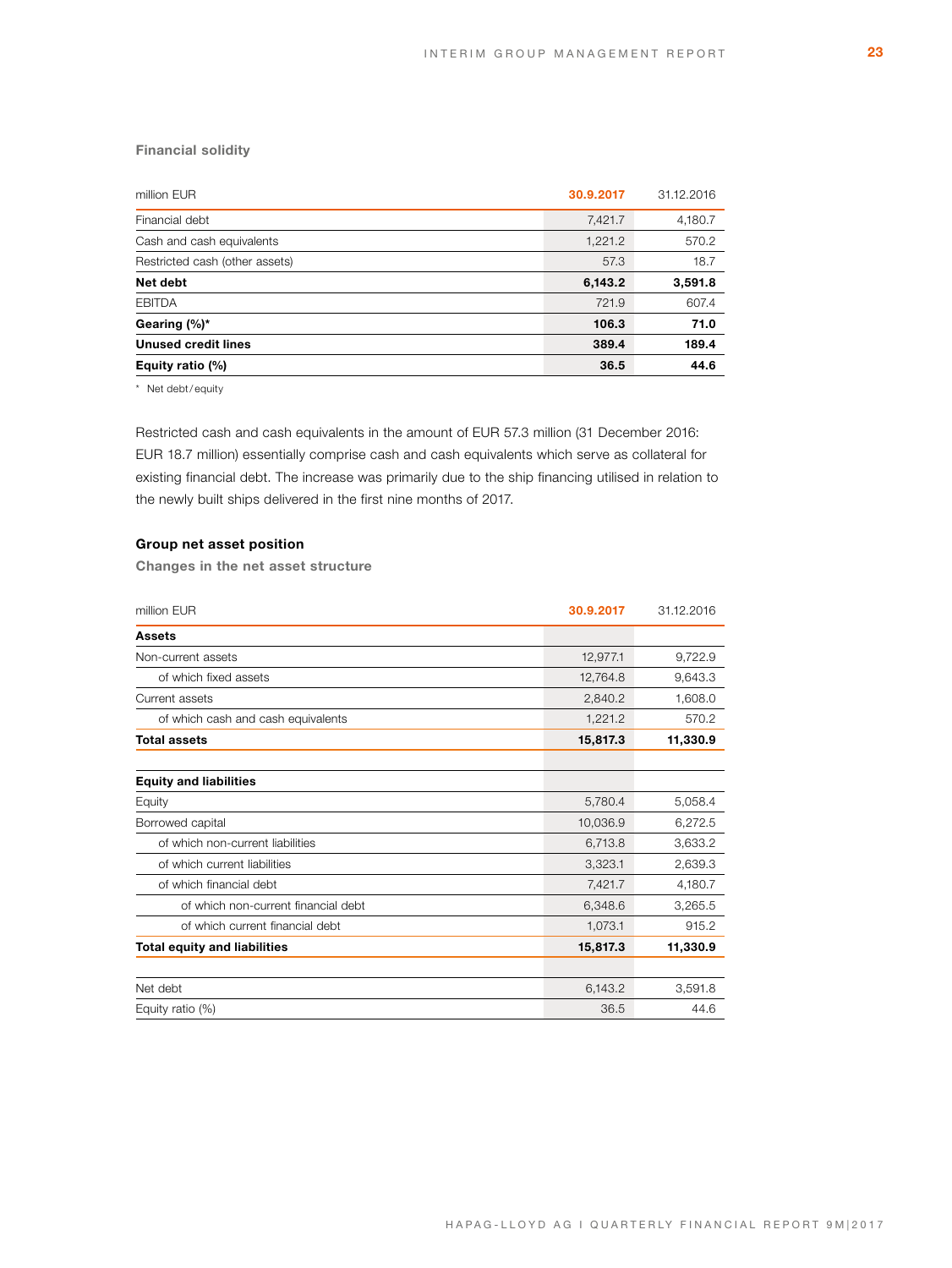# **Financial solidity**

| million EUR                    | 30.9.2017 | 31.12.2016 |
|--------------------------------|-----------|------------|
| Financial debt                 | 7,421.7   | 4,180.7    |
| Cash and cash equivalents      | 1,221.2   | 570.2      |
| Restricted cash (other assets) | 57.3      | 18.7       |
| Net debt                       | 6,143.2   | 3,591.8    |
| <b>EBITDA</b>                  | 721.9     | 607.4      |
| Gearing $(\%)^*$               | 106.3     | 71.0       |
| <b>Unused credit lines</b>     | 389.4     | 189.4      |
| Equity ratio (%)               | 36.5      | 44.6       |
|                                |           |            |

\* Net debt/ equity

Restricted cash and cash equivalents in the amount of EUR 57.3 million (31 December 2016: EUR 18.7 million) essentially comprise cash and cash equivalents which serve as collateral for existing financial debt. The increase was primarily due to the ship financing utilised in relation to the newly built ships delivered in the first nine months of 2017.

# **Group net asset position**

**Changes in the net asset structure**

| million EUR                         | 30.9.2017 | 31.12.2016 |
|-------------------------------------|-----------|------------|
| <b>Assets</b>                       |           |            |
| Non-current assets                  | 12,977.1  | 9,722.9    |
| of which fixed assets               | 12,764.8  | 9,643.3    |
| Current assets                      | 2,840.2   | 1,608.0    |
| of which cash and cash equivalents  | 1,221.2   | 570.2      |
| <b>Total assets</b>                 | 15,817.3  | 11,330.9   |
|                                     |           |            |
| <b>Equity and liabilities</b>       |           |            |
| Equity                              | 5,780.4   | 5,058.4    |
| Borrowed capital                    | 10,036.9  | 6,272.5    |
| of which non-current liabilities    | 6,713.8   | 3,633.2    |
| of which current liabilities        | 3,323.1   | 2,639.3    |
| of which financial debt             | 7,421.7   | 4,180.7    |
| of which non-current financial debt | 6,348.6   | 3,265.5    |
| of which current financial debt     | 1,073.1   | 915.2      |
| <b>Total equity and liabilities</b> | 15,817.3  | 11,330.9   |
|                                     |           |            |
| Net debt                            | 6,143.2   | 3.591.8    |
| Equity ratio (%)                    | 36.5      | 44.6       |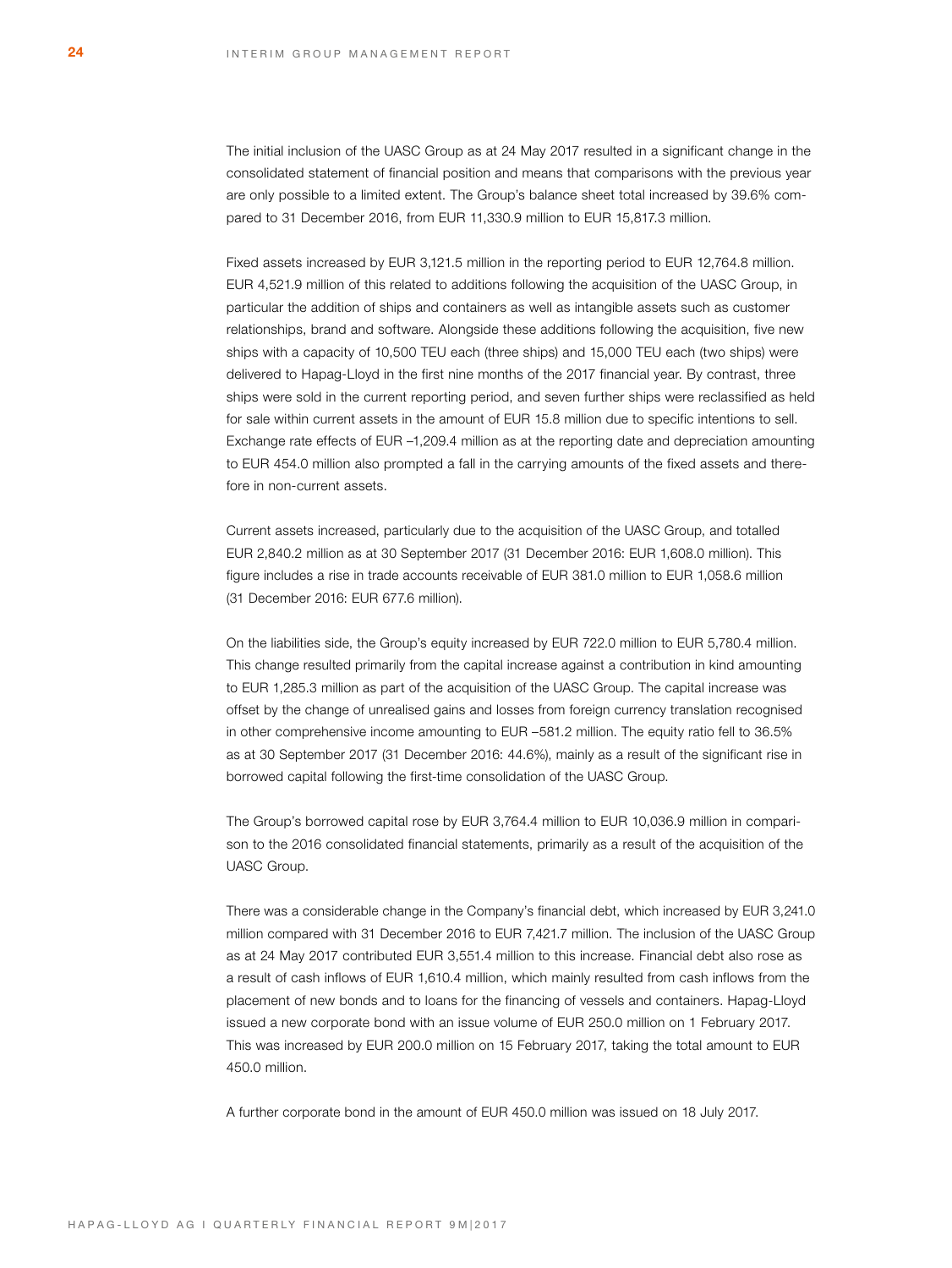The initial inclusion of the UASC Group as at 24 May 2017 resulted in a significant change in the consolidated statement of financial position and means that comparisons with the previous year are only possible to a limited extent. The Group's balance sheet total increased by 39.6% compared to 31 December 2016, from EUR 11,330.9 million to EUR 15,817.3 million.

Fixed assets increased by EUR 3,121.5 million in the reporting period to EUR 12,764.8 million. EUR 4,521.9 million of this related to additions following the acquisition of the UASC Group, in particular the addition of ships and containers as well as intangible assets such as customer relationships, brand and software. Alongside these additions following the acquisition, five new ships with a capacity of 10,500 TEU each (three ships) and 15,000 TEU each (two ships) were delivered to Hapag-Lloyd in the first nine months of the 2017 financial year. By contrast, three ships were sold in the current reporting period, and seven further ships were reclassified as held for sale within current assets in the amount of EUR 15.8 million due to specific intentions to sell. Exchange rate effects of EUR –1,209.4 million as at the reporting date and depreciation amounting to EUR 454.0 million also prompted a fall in the carrying amounts of the fixed assets and therefore in non-current assets.

Current assets increased, particularly due to the acquisition of the UASC Group, and totalled EUR 2,840.2 million as at 30 September 2017 (31 December 2016: EUR 1,608.0 million). This figure includes a rise in trade accounts receivable of EUR 381.0 million to EUR 1,058.6 million (31 December 2016: EUR 677.6 million).

On the liabilities side, the Group's equity increased by EUR 722.0 million to EUR 5,780.4 million. This change resulted primarily from the capital increase against a contribution in kind amounting to EUR 1,285.3 million as part of the acquisition of the UASC Group. The capital increase was offset by the change of unrealised gains and losses from foreign currency translation recognised in other comprehensive income amounting to EUR –581.2 million. The equity ratio fell to 36.5% as at 30 September 2017 (31 December 2016: 44.6%), mainly as a result of the significant rise in borrowed capital following the first-time consolidation of the UASC Group.

The Group's borrowed capital rose by EUR 3,764.4 million to EUR 10,036.9 million in comparison to the 2016 consolidated financial statements, primarily as a result of the acquisition of the UASC Group.

There was a considerable change in the Company's financial debt, which increased by EUR 3,241.0 million compared with 31 December 2016 to EUR 7,421.7 million. The inclusion of the UASC Group as at 24 May 2017 contributed EUR 3,551.4 million to this increase. Financial debt also rose as a result of cash inflows of EUR 1,610.4 million, which mainly resulted from cash inflows from the placement of new bonds and to loans for the financing of vessels and containers. Hapag-Lloyd issued a new corporate bond with an issue volume of EUR 250.0 million on 1 February 2017. This was increased by EUR 200.0 million on 15 February 2017, taking the total amount to EUR 450.0 million.

A further corporate bond in the amount of EUR 450.0 million was issued on 18 July 2017.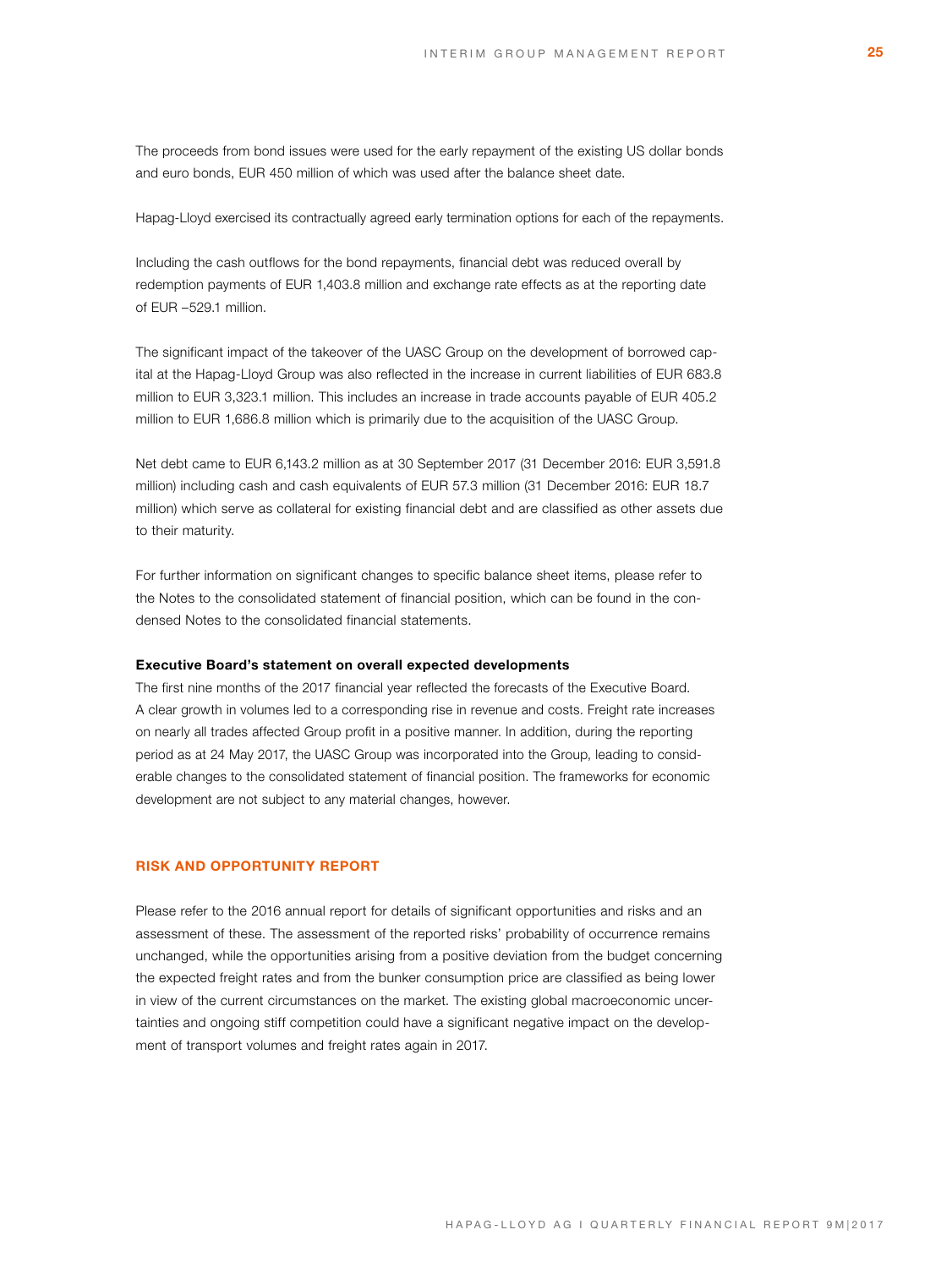The proceeds from bond issues were used for the early repayment of the existing US dollar bonds and euro bonds, EUR 450 million of which was used after the balance sheet date.

Hapag-Lloyd exercised its contractually agreed early termination options for each of the repayments.

Including the cash outflows for the bond repayments, financial debt was reduced overall by redemption payments of EUR 1,403.8 million and exchange rate effects as at the reporting date of EUR –529.1 million.

The significant impact of the takeover of the UASC Group on the development of borrowed capital at the Hapag-Lloyd Group was also reflected in the increase in current liabilities of EUR 683.8 million to EUR 3,323.1 million. This includes an increase in trade accounts payable of EUR 405.2 million to EUR 1,686.8 million which is primarily due to the acquisition of the UASC Group.

Net debt came to EUR 6,143.2 million as at 30 September 2017 (31 December 2016: EUR 3,591.8 million) including cash and cash equivalents of EUR 57.3 million (31 December 2016: EUR 18.7 million) which serve as collateral for existing financial debt and are classified as other assets due to their maturity.

For further information on significant changes to specific balance sheet items, please refer to the Notes to the consolidated statement of financial position, which can be found in the condensed Notes to the consolidated financial statements.

### **Executive Board's statement on overall expected developments**

The first nine months of the 2017 financial year reflected the forecasts of the Executive Board. A clear growth in volumes led to a corresponding rise in revenue and costs. Freight rate increases on nearly all trades affected Group profit in a positive manner. In addition, during the reporting period as at 24 May 2017, the UASC Group was incorporated into the Group, leading to considerable changes to the consolidated statement of financial position. The frameworks for economic development are not subject to any material changes, however.

### **RISK AND OPPORTUNITY REPORT**

Please refer to the 2016 annual report for details of significant opportunities and risks and an assessment of these. The assessment of the reported risks' probability of occurrence remains unchanged, while the opportunities arising from a positive deviation from the budget concerning the expected freight rates and from the bunker consumption price are classified as being lower in view of the current circumstances on the market. The existing global macroeconomic uncertainties and ongoing stiff competition could have a significant negative impact on the development of transport volumes and freight rates again in 2017.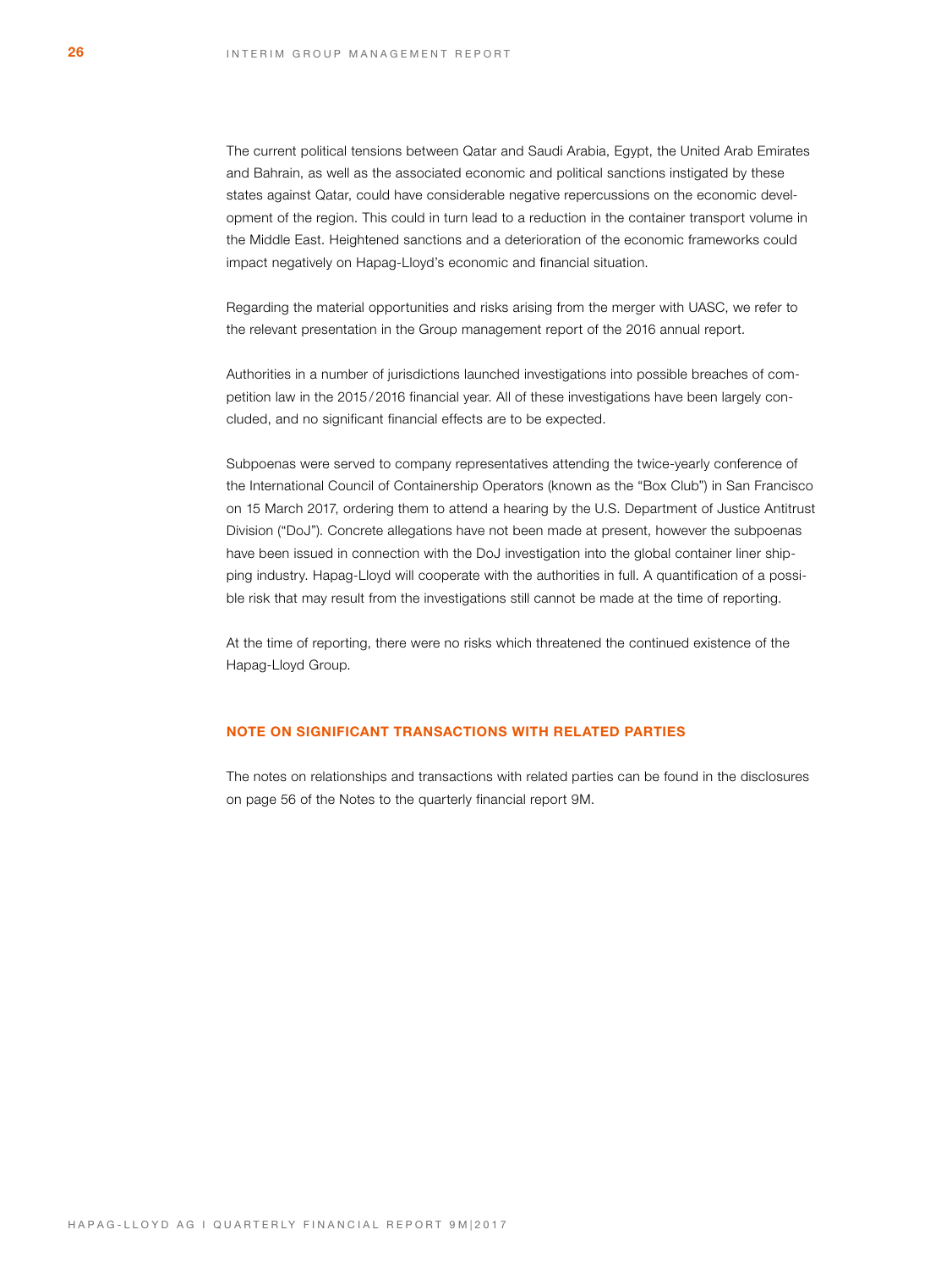The current political tensions between Qatar and Saudi Arabia, Egypt, the United Arab Emirates and Bahrain, as well as the associated economic and political sanctions instigated by these states against Qatar, could have considerable negative repercussions on the economic development of the region. This could in turn lead to a reduction in the container transport volume in the Middle East. Heightened sanctions and a deterioration of the economic frameworks could impact negatively on Hapag-Lloyd's economic and financial situation.

Regarding the material opportunities and risks arising from the merger with UASC, we refer to the relevant presentation in the Group management report of the 2016 annual report.

Authorities in a number of jurisdictions launched investigations into possible breaches of competition law in the 2015/2016 financial year. All of these investigations have been largely concluded, and no significant financial effects are to be expected.

Subpoenas were served to company representatives attending the twice-yearly conference of the International Council of Containership Operators (known as the "Box Club") in San Francisco on 15 March 2017, ordering them to attend a hearing by the U.S. Department of Justice Antitrust Division ("DoJ"). Concrete allegations have not been made at present, however the subpoenas have been issued in connection with the DoJ investigation into the global container liner shipping industry. Hapag-Lloyd will cooperate with the authorities in full. A quantification of a possible risk that may result from the investigations still cannot be made at the time of reporting.

At the time of reporting, there were no risks which threatened the continued existence of the Hapag-Lloyd Group.

# **NOTE ON SIGNIFICANT TRANSACTIONS WITH RELATED PARTIES**

The notes on relationships and transactions with related parties can be found in the disclosures on page 56 of the Notes to the quarterly financial report 9M.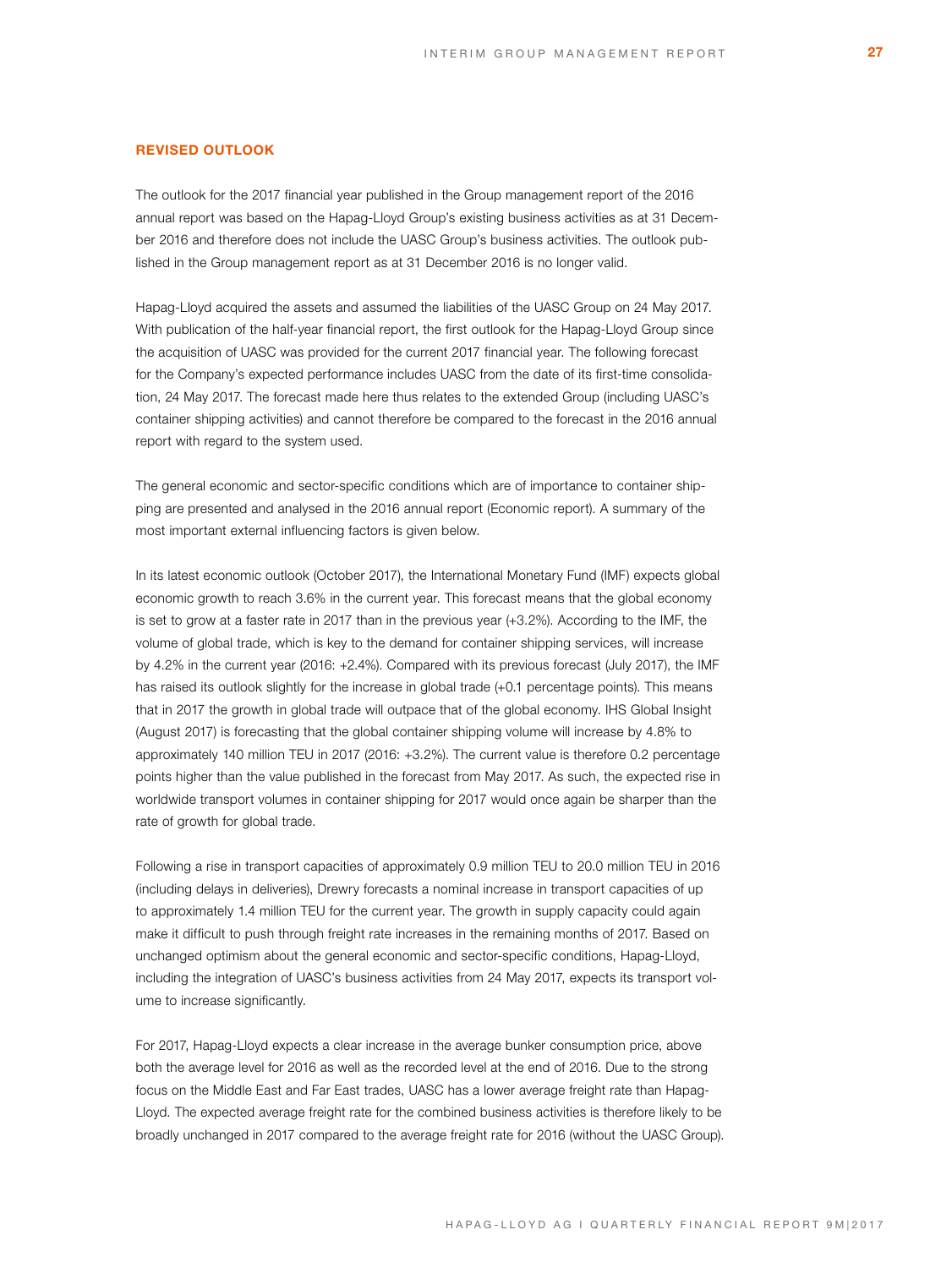# **REVISED OUTLOOK**

The outlook for the 2017 financial year published in the Group management report of the 2016 annual report was based on the Hapag-Lloyd Group's existing business activities as at 31 December 2016 and therefore does not include the UASC Group's business activities. The outlook published in the Group management report as at 31 December 2016 is no longer valid.

Hapag-Lloyd acquired the assets and assumed the liabilities of the UASC Group on 24 May 2017. With publication of the half-year financial report, the first outlook for the Hapag-Lloyd Group since the acquisition of UASC was provided for the current 2017 financial year. The following forecast for the Company's expected performance includes UASC from the date of its first-time consolidation, 24 May 2017. The forecast made here thus relates to the extended Group (including UASC's container shipping activities) and cannot therefore be compared to the forecast in the 2016 annual report with regard to the system used.

The general economic and sector-specific conditions which are of importance to container shipping are presented and analysed in the 2016 annual report (Economic report). A summary of the most important external influencing factors is given below.

In its latest economic outlook (October 2017), the International Monetary Fund (IMF) expects global economic growth to reach 3.6% in the current year. This forecast means that the global economy is set to grow at a faster rate in 2017 than in the previous year (+3.2%). According to the IMF, the volume of global trade, which is key to the demand for container shipping services, will increase by 4.2% in the current year (2016: +2.4%). Compared with its previous forecast (July 2017), the IMF has raised its outlook slightly for the increase in global trade  $(+0.1$  percentage points). This means that in 2017 the growth in global trade will outpace that of the global economy. IHS Global Insight (August 2017) is forecasting that the global container shipping volume will increase by 4.8% to approximately 140 million TEU in 2017 (2016: +3.2%). The current value is therefore 0.2 percentage points higher than the value published in the forecast from May 2017. As such, the expected rise in worldwide transport volumes in container shipping for 2017 would once again be sharper than the rate of growth for global trade.

Following a rise in transport capacities of approximately 0.9 million TEU to 20.0 million TEU in 2016 (including delays in deliveries), Drewry forecasts a nominal increase in transport capacities of up to approximately 1.4 million TEU for the current year. The growth in supply capacity could again make it difficult to push through freight rate increases in the remaining months of 2017. Based on unchanged optimism about the general economic and sector-specific conditions, Hapag-Lloyd, including the integration of UASC's business activities from 24 May 2017, expects its transport volume to increase significantly.

For 2017, Hapag-Lloyd expects a clear increase in the average bunker consumption price, above both the average level for 2016 as well as the recorded level at the end of 2016. Due to the strong focus on the Middle East and Far East trades, UASC has a lower average freight rate than Hapag-Lloyd. The expected average freight rate for the combined business activities is therefore likely to be broadly unchanged in 2017 compared to the average freight rate for 2016 (without the UASC Group).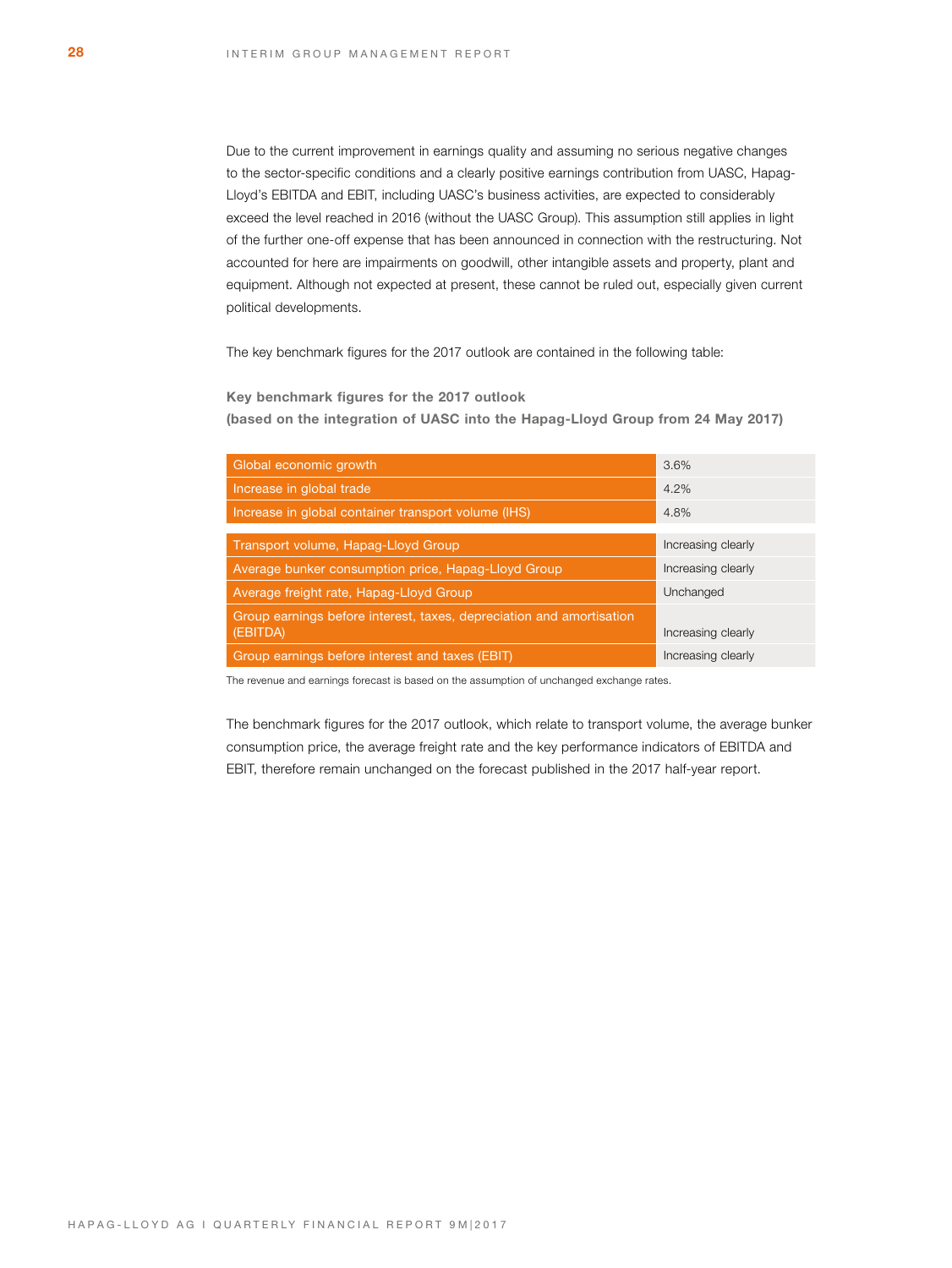Due to the current improvement in earnings quality and assuming no serious negative changes to the sector-specific conditions and a clearly positive earnings contribution from UASC, Hapag-Lloyd's EBITDA and EBIT, including UASC's business activities, are expected to considerably exceed the level reached in 2016 (without the UASC Group). This assumption still applies in light of the further one-off expense that has been announced in connection with the restructuring. Not accounted for here are impairments on goodwill, other intangible assets and property, plant and equipment. Although not expected at present, these cannot be ruled out, especially given current political developments.

The key benchmark figures for the 2017 outlook are contained in the following table:

**Key benchmark figures for the 2017 outlook** 

**(based on the integration of UASC into the Hapag-Lloyd Group from 24 May 2017)**

| Global economic growth                                               | 3.6%               |
|----------------------------------------------------------------------|--------------------|
| Increase in global trade                                             | 4.2%               |
| Increase in global container transport volume (IHS)                  | 4.8%               |
|                                                                      |                    |
| Transport volume, Hapag-Lloyd Group                                  | Increasing clearly |
| Average bunker consumption price, Hapag-Lloyd Group                  | Increasing clearly |
| Average freight rate, Hapag-Lloyd Group                              | Unchanged          |
| Group earnings before interest, taxes, depreciation and amortisation |                    |
| (EBITDA)                                                             | Increasing clearly |
| Group earnings before interest and taxes (EBIT)                      | Increasing clearly |

The revenue and earnings forecast is based on the assumption of unchanged exchange rates.

The benchmark figures for the 2017 outlook, which relate to transport volume, the average bunker consumption price, the average freight rate and the key performance indicators of EBITDA and EBIT, therefore remain unchanged on the forecast published in the 2017 half-year report.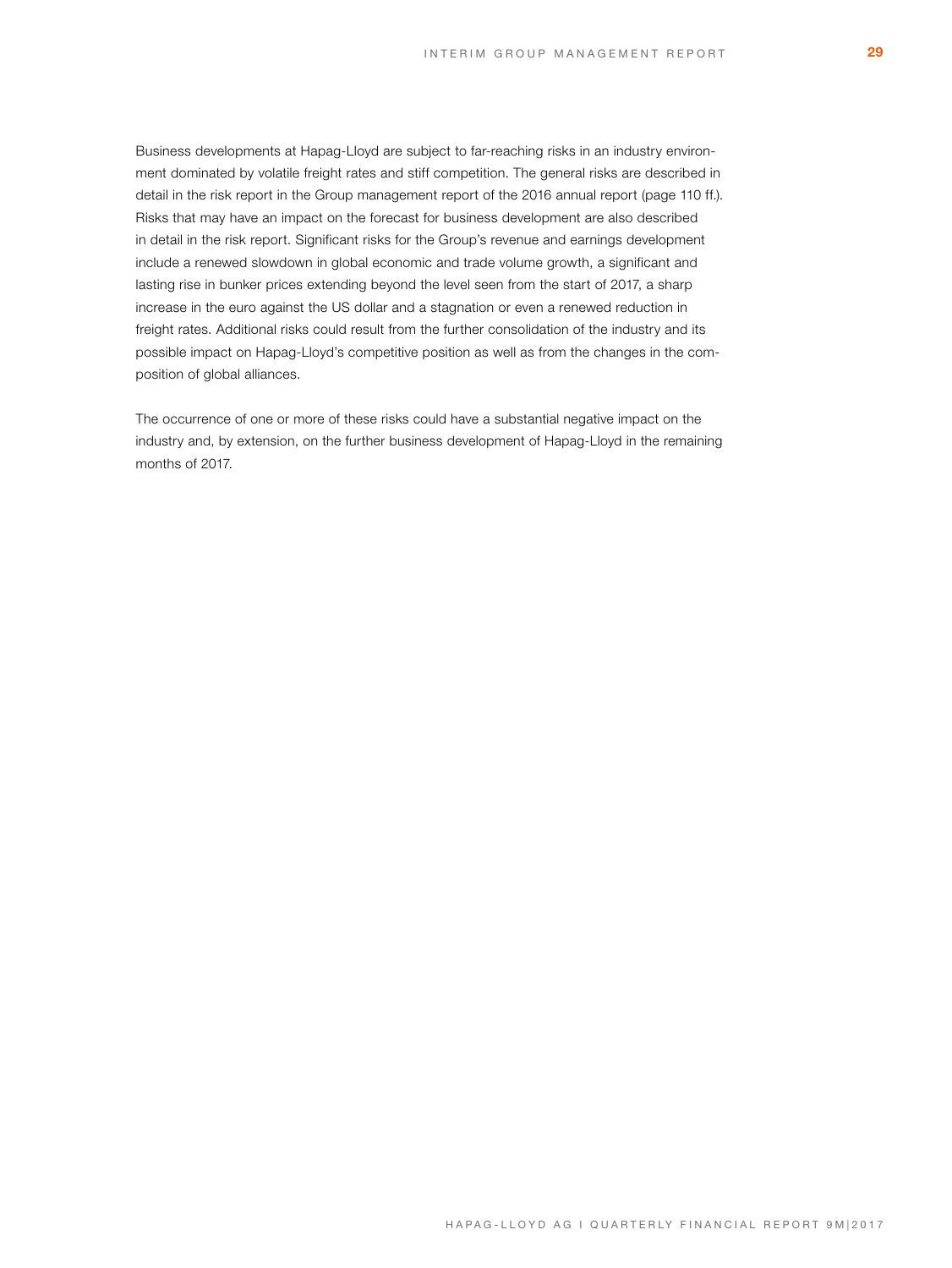Business developments at Hapag-Lloyd are subject to far-reaching risks in an industry environment dominated by volatile freight rates and stiff competition. The general risks are described in detail in the risk report in the Group management report of the 2016 annual report (page 110 ff.). Risks that may have an impact on the forecast for business development are also described in detail in the risk report. Significant risks for the Group's revenue and earnings development include a renewed slowdown in global economic and trade volume growth, a significant and lasting rise in bunker prices extending beyond the level seen from the start of 2017, a sharp increase in the euro against the US dollar and a stagnation or even a renewed reduction in freight rates. Additional risks could result from the further consolidation of the industry and its possible impact on Hapag-Lloyd's competitive position as well as from the changes in the composition of global alliances.

The occurrence of one or more of these risks could have a substantial negative impact on the industry and, by extension, on the further business development of Hapag-Lloyd in the remaining months of 2017.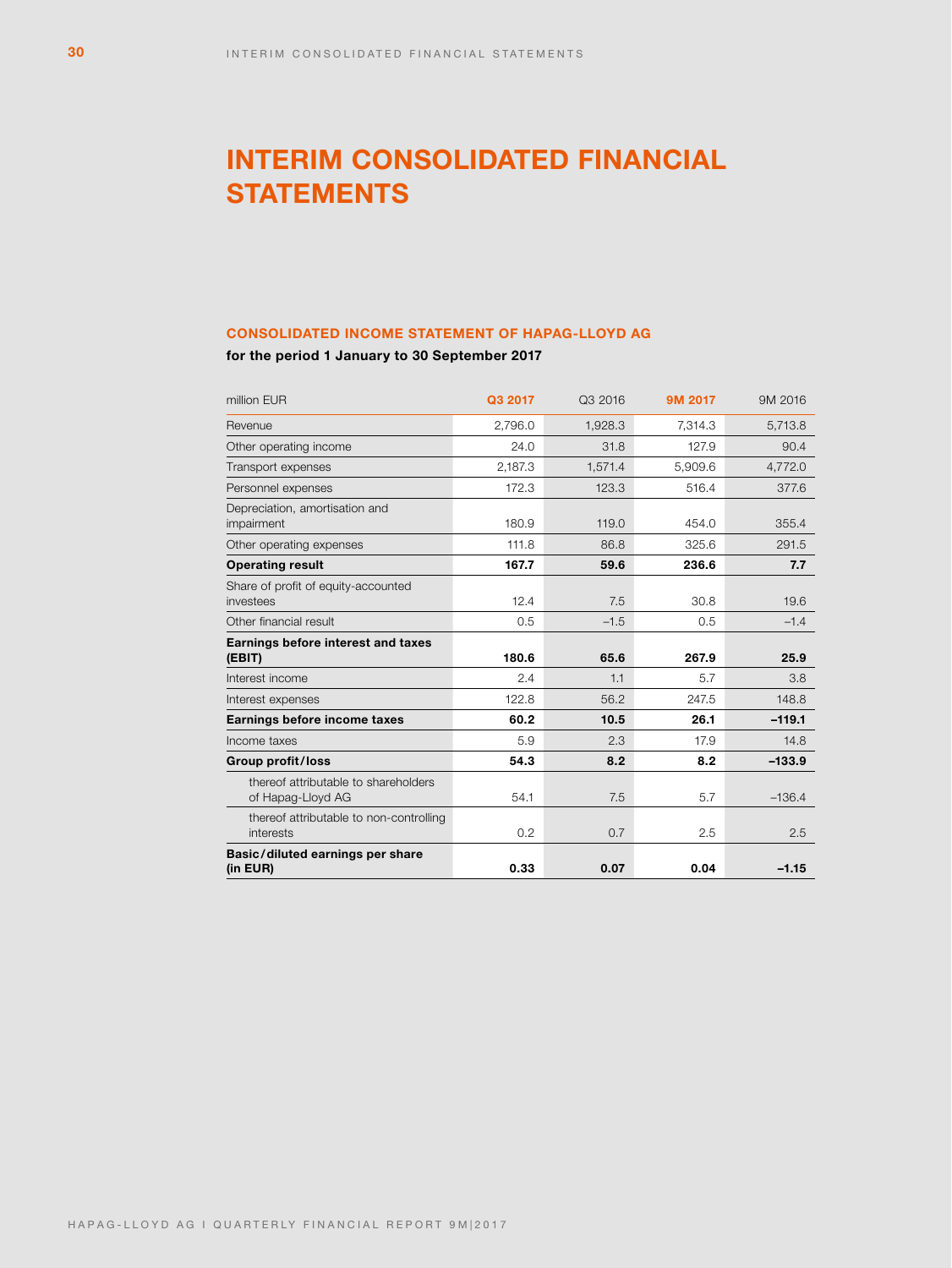# **INTERIM CONSOLIDATED FINANCIAL STATEMENTS**

# **CONSOLIDATED INCOME STATEMENT OF HAPAG-LLOYD AG**

**for the period 1 January to 30 September 2017**

| million EUR                                               | Q3 2017 | Q3 2016 | 9M 2017 | 9M 2016  |
|-----------------------------------------------------------|---------|---------|---------|----------|
| Revenue                                                   | 2,796.0 | 1,928.3 | 7.314.3 | 5,713.8  |
| Other operating income                                    | 24.0    | 31.8    | 127.9   | 90.4     |
| Transport expenses                                        | 2,187.3 | 1,571.4 | 5.909.6 | 4,772.0  |
| Personnel expenses                                        | 172.3   | 123.3   | 516.4   | 377.6    |
| Depreciation, amortisation and<br>impairment              | 180.9   | 119.0   | 454.0   | 355.4    |
| Other operating expenses                                  | 111.8   | 86.8    | 325.6   | 291.5    |
| <b>Operating result</b>                                   | 167.7   | 59.6    | 236.6   | 7.7      |
| Share of profit of equity-accounted<br>investees          | 12.4    | 7.5     | 30.8    | 19.6     |
| Other financial result                                    | 0.5     | $-1.5$  | 0.5     | $-1.4$   |
| Earnings before interest and taxes<br>(EBIT)              | 180.6   | 65.6    | 267.9   | 25.9     |
| Interest income                                           | 2.4     | 1.1     | 5.7     | 3.8      |
| Interest expenses                                         | 122.8   | 56.2    | 247.5   | 148.8    |
| Earnings before income taxes                              | 60.2    | 10.5    | 26.1    | $-119.1$ |
| Income taxes                                              | 5.9     | 2.3     | 17.9    | 14.8     |
| Group profit/loss                                         | 54.3    | 8.2     | 8.2     | $-133.9$ |
| thereof attributable to shareholders<br>of Hapag-Lloyd AG | 54.1    | 7.5     | 5.7     | $-136.4$ |
| thereof attributable to non-controlling<br>interests      | 0.2     | 0.7     | 2.5     | 2.5      |
| Basic/diluted earnings per share<br>(in EUR)              | 0.33    | 0.07    | 0.04    | $-1.15$  |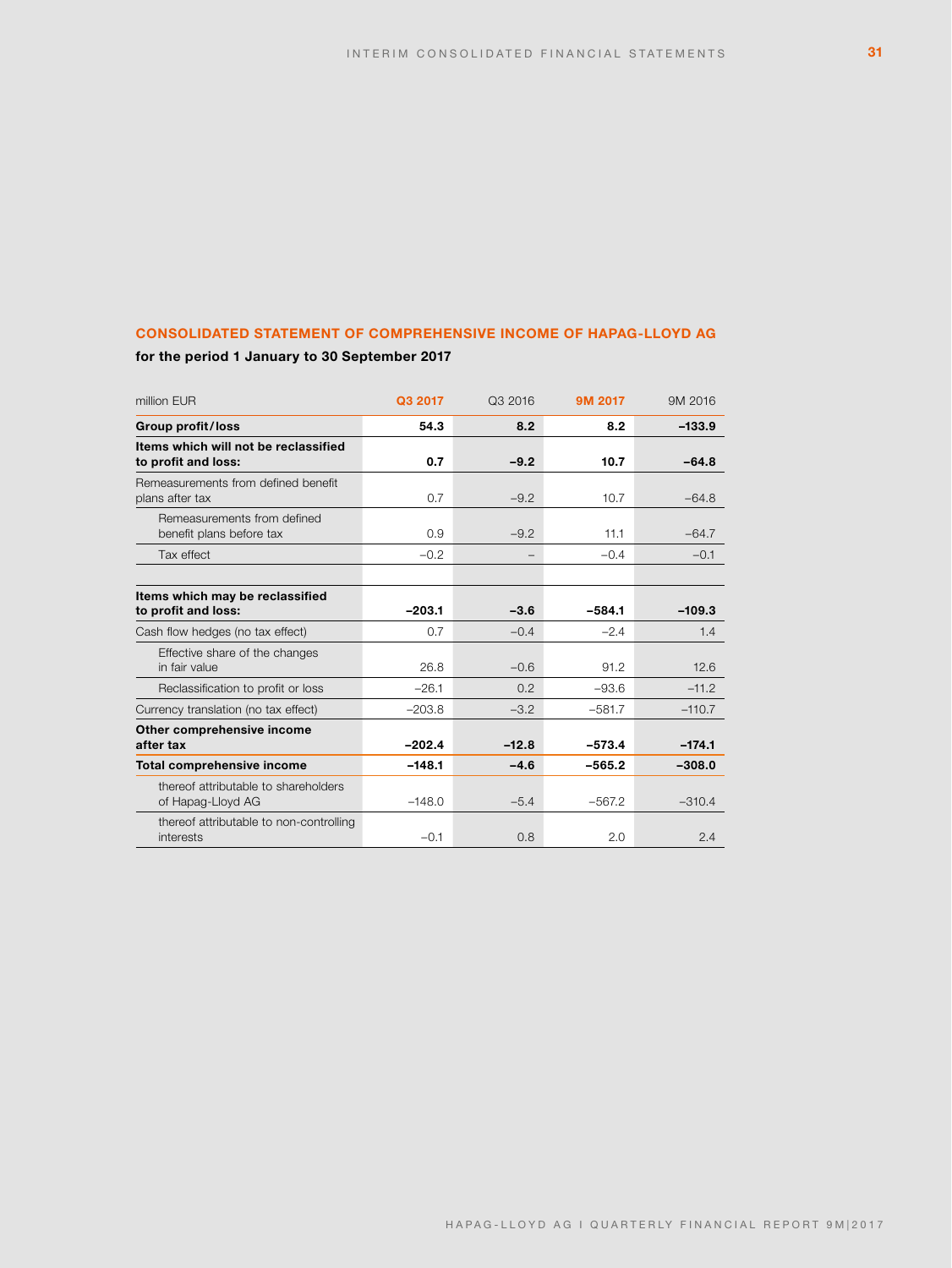# **CONSOLIDATED STATEMENT OF COMPREHENSIVE INCOME OF HAPAG-LLOYD AG**

**for the period 1 January to 30 September 2017**

| million EUR                                                 | Q3 2017  | Q3 2016 | 9M 2017  | 9M 2016  |
|-------------------------------------------------------------|----------|---------|----------|----------|
| <b>Group profit/loss</b>                                    | 54.3     | 8.2     | 8.2      | $-133.9$ |
| Items which will not be reclassified<br>to profit and loss: | 0.7      | $-9.2$  | 10.7     | $-64.8$  |
| Remeasurements from defined benefit<br>plans after tax      | 0.7      | $-9.2$  | 10.7     | $-64.8$  |
| Remeasurements from defined<br>benefit plans before tax     | 0.9      | $-9.2$  | 11.1     | $-64.7$  |
| Tax effect                                                  | $-0.2$   |         | $-0.4$   | $-0.1$   |
|                                                             |          |         |          |          |
| Items which may be reclassified<br>to profit and loss:      | $-203.1$ | $-3.6$  | $-584.1$ | $-109.3$ |
| Cash flow hedges (no tax effect)                            | 0.7      | $-0.4$  | $-2.4$   | 1.4      |
| Effective share of the changes<br>in fair value             | 26.8     | $-0.6$  | 91.2     | 12.6     |
| Reclassification to profit or loss                          | $-26.1$  | 0.2     | $-93.6$  | $-11.2$  |
| Currency translation (no tax effect)                        | $-203.8$ | $-3.2$  | $-581.7$ | $-110.7$ |
| Other comprehensive income<br>after tax                     | $-202.4$ | $-12.8$ | $-573.4$ | $-174.1$ |
| Total comprehensive income                                  | $-148.1$ | $-4.6$  | $-565.2$ | $-308.0$ |
| thereof attributable to shareholders<br>of Hapag-Lloyd AG   | $-148.0$ | $-5.4$  | $-567.2$ | $-310.4$ |
| thereof attributable to non-controlling<br>interests        | $-0.1$   | 0.8     | 2.0      | 2.4      |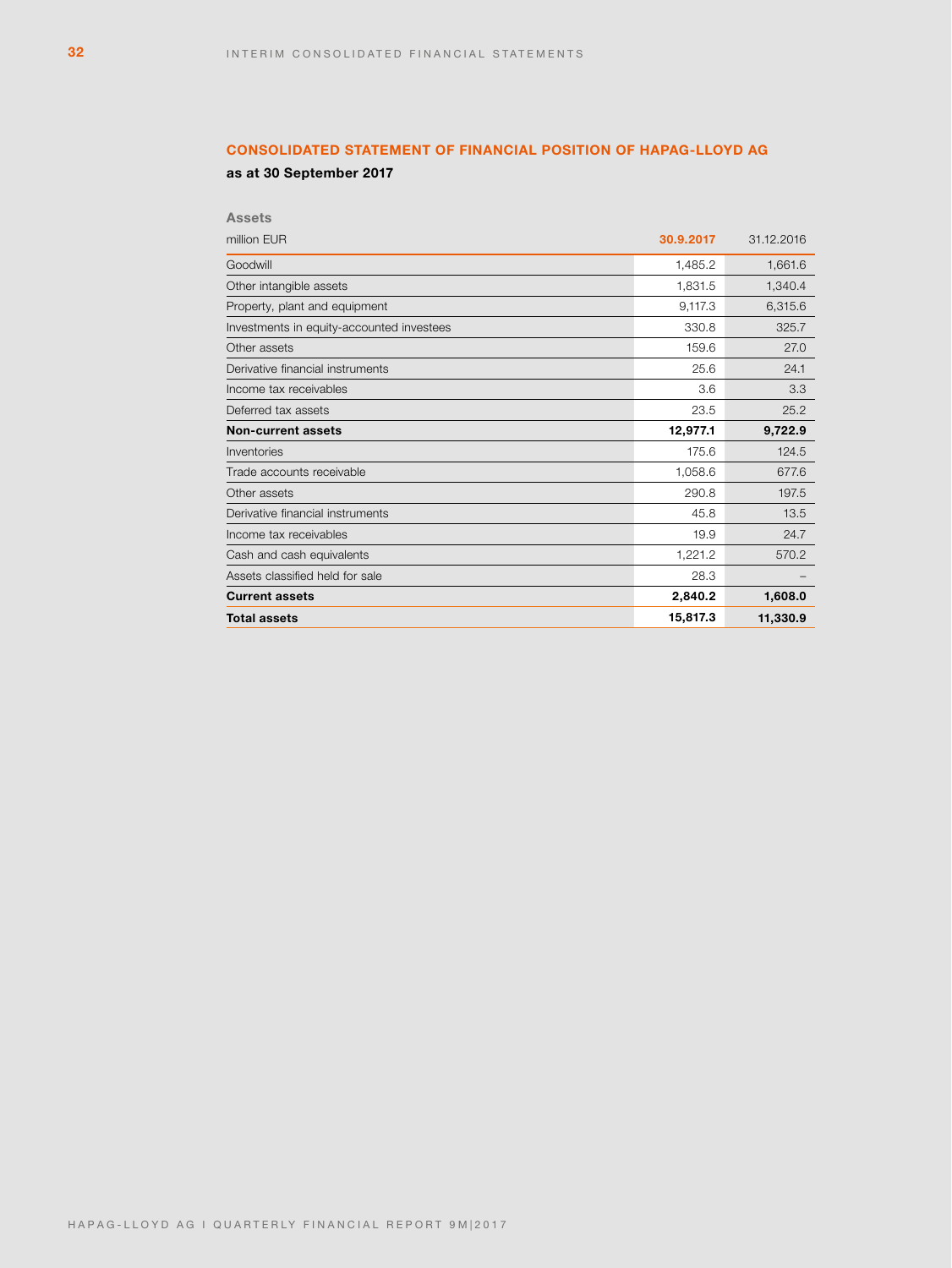# **CONSOLIDATED STATEMENT OF FINANCIAL POSITION OF HAPAG-LLOYD AG**

**as at 30 September 2017**

| <b>Assets</b>                             |           |            |
|-------------------------------------------|-----------|------------|
| million EUR                               | 30.9.2017 | 31.12.2016 |
| Goodwill                                  | 1.485.2   | 1,661.6    |
| Other intangible assets                   | 1,831.5   | 1,340.4    |
| Property, plant and equipment             | 9,117.3   | 6,315.6    |
| Investments in equity-accounted investees | 330.8     | 325.7      |
| Other assets                              | 159.6     | 27.0       |
| Derivative financial instruments          | 25.6      | 24.1       |
| Income tax receivables                    | 3.6       | 3.3        |
| Deferred tax assets                       | 23.5      | 25.2       |
| <b>Non-current assets</b>                 | 12,977.1  | 9.722.9    |
| Inventories                               | 175.6     | 124.5      |
| Trade accounts receivable                 | 1,058.6   | 677.6      |
| Other assets                              | 290.8     | 197.5      |
| Derivative financial instruments          | 45.8      | 13.5       |
| Income tax receivables                    | 19.9      | 24.7       |
| Cash and cash equivalents                 | 1,221.2   | 570.2      |
| Assets classified held for sale           | 28.3      |            |
| <b>Current assets</b>                     | 2,840.2   | 1,608.0    |
| <b>Total assets</b>                       | 15,817.3  | 11,330.9   |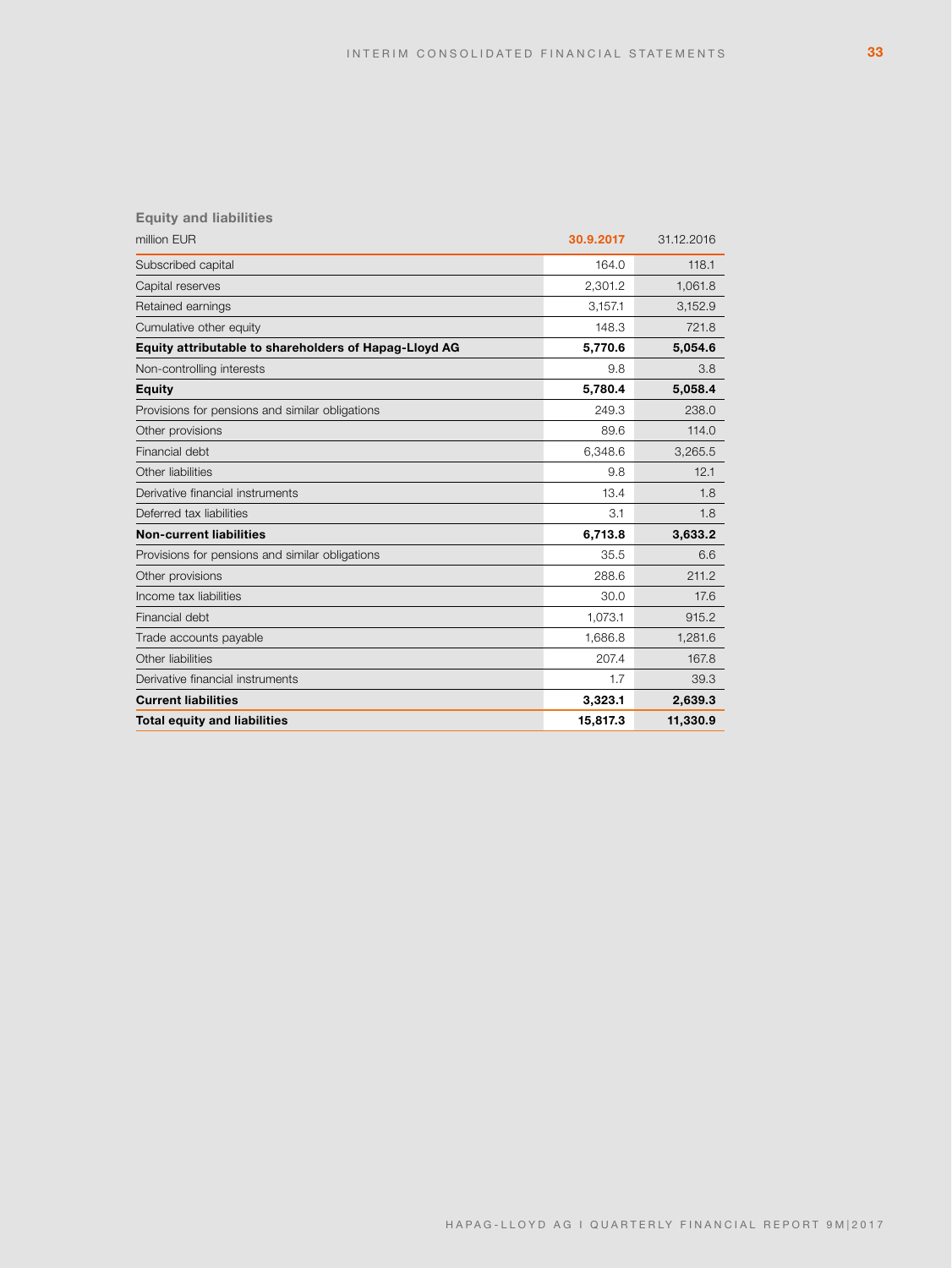# **Equity and liabilities**

| million EUR                                           | 30.9.2017 | 31.12.2016 |
|-------------------------------------------------------|-----------|------------|
| Subscribed capital                                    | 164.0     | 118.1      |
| Capital reserves                                      | 2.301.2   | 1,061.8    |
| Retained earnings                                     | 3,157.1   | 3,152.9    |
| Cumulative other equity                               | 148.3     | 721.8      |
| Equity attributable to shareholders of Hapag-Lloyd AG | 5,770.6   | 5,054.6    |
| Non-controlling interests                             | 9.8       | 3.8        |
| <b>Equity</b>                                         | 5,780.4   | 5,058.4    |
| Provisions for pensions and similar obligations       | 249.3     | 238.0      |
| Other provisions                                      | 89.6      | 114.0      |
| Financial debt                                        | 6,348.6   | 3,265.5    |
| Other liabilities                                     | 9.8       | 12.1       |
| Derivative financial instruments                      | 13.4      | 1.8        |
| Deferred tax liabilities                              | 3.1       | 1.8        |
| <b>Non-current liabilities</b>                        | 6,713.8   | 3,633.2    |
| Provisions for pensions and similar obligations       | 35.5      | 6.6        |
| Other provisions                                      | 288.6     | 211.2      |
| Income tax liabilities                                | 30.0      | 17.6       |
| Financial debt                                        | 1.073.1   | 915.2      |
| Trade accounts payable                                | 1,686.8   | 1,281.6    |
| Other liabilities                                     | 207.4     | 167.8      |
| Derivative financial instruments                      | 1.7       | 39.3       |
| <b>Current liabilities</b>                            | 3,323.1   | 2,639.3    |
| <b>Total equity and liabilities</b>                   | 15,817.3  | 11,330.9   |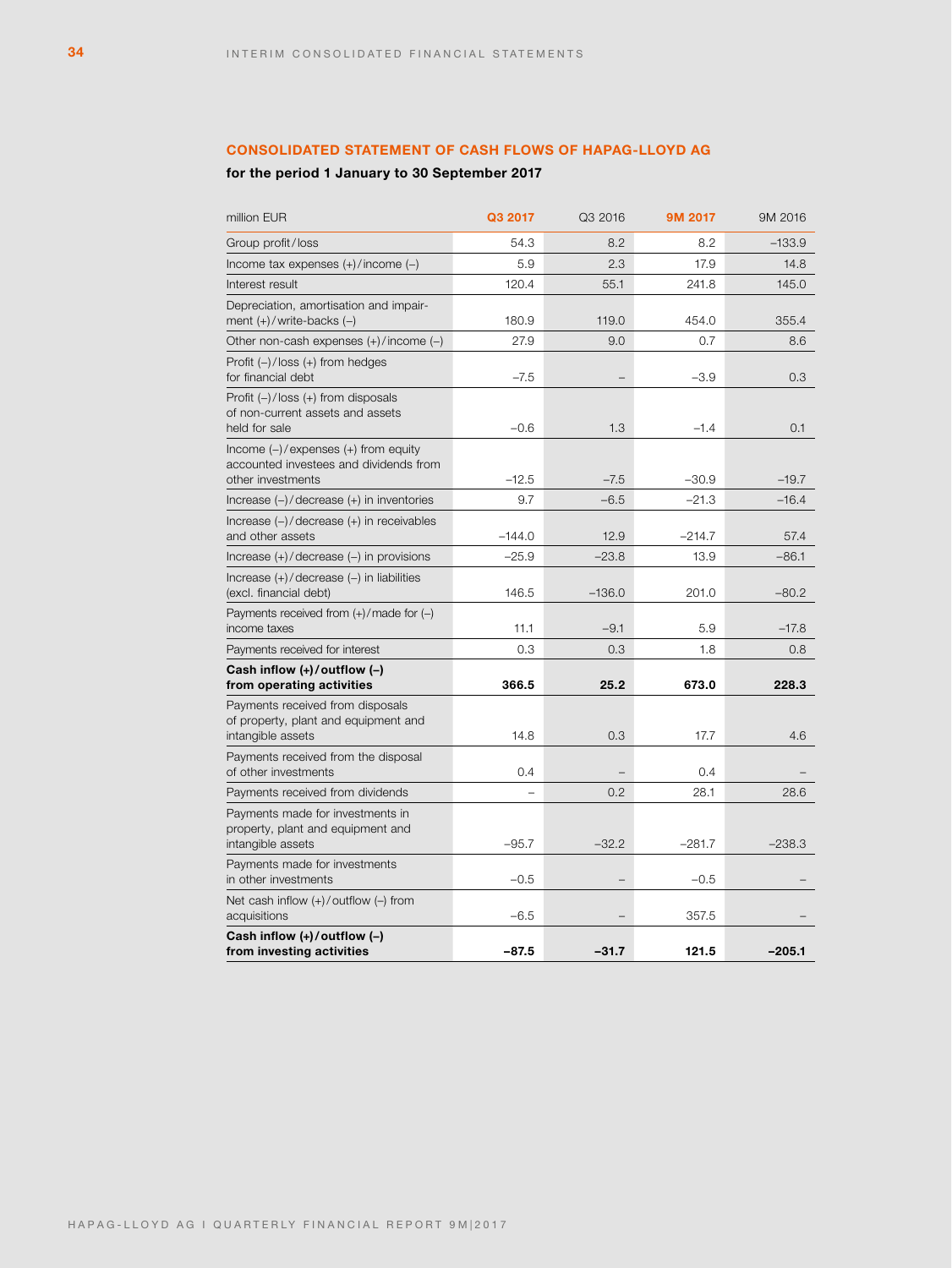# **CONSOLIDATED STATEMENT OF CASH FLOWS OF HAPAG-LLOYD AG**

# **for the period 1 January to 30 September 2017**

| million EUR                                                                                             | Q3 2017  | Q3 2016  | 9M 2017  | 9M 2016  |
|---------------------------------------------------------------------------------------------------------|----------|----------|----------|----------|
| Group profit/loss                                                                                       | 54.3     | 8.2      | 8.2      | $-133.9$ |
| Income tax expenses (+)/income (-)                                                                      | 5.9      | 2.3      | 17.9     | 14.8     |
| Interest result                                                                                         | 120.4    | 55.1     | 241.8    | 145.0    |
| Depreciation, amortisation and impair-<br>ment (+)/write-backs (-)                                      | 180.9    | 119.0    | 454.0    | 355.4    |
| Other non-cash expenses (+)/income (-)                                                                  | 27.9     | 9.0      | 0.7      | 8.6      |
| Profit (–)/loss (+) from hedges<br>for financial debt                                                   | $-7.5$   |          | $-3.9$   | 0.3      |
| Profit (-)/loss (+) from disposals<br>of non-current assets and assets<br>held for sale                 | $-0.6$   | 1.3      | $-1.4$   | 0.1      |
| Income $(-)/$ expenses $(+)$ from equity<br>accounted investees and dividends from<br>other investments | $-12.5$  | $-7.5$   | $-30.9$  | $-19.7$  |
| Increase (-)/decrease (+) in inventories                                                                | 9.7      | $-6.5$   | $-21.3$  | $-16.4$  |
| Increase (-)/decrease (+) in receivables<br>and other assets                                            | $-144.0$ | 12.9     | $-214.7$ | 57.4     |
| Increase $(+)/$ decrease $(-)$ in provisions                                                            | $-25.9$  | $-23.8$  | 13.9     | $-86.1$  |
| Increase (+)/decrease (-) in liabilities<br>(excl. financial debt)                                      | 146.5    | $-136.0$ | 201.0    | $-80.2$  |
| Payments received from $(+)/$ made for $(-)$<br>income taxes                                            | 11.1     | $-9.1$   | 5.9      | $-17.8$  |
| Payments received for interest                                                                          | 0.3      | 0.3      | 1.8      | 0.8      |
| Cash inflow (+)/outflow (-)<br>from operating activities                                                | 366.5    | 25.2     | 673.0    | 228.3    |
| Payments received from disposals<br>of property, plant and equipment and<br>intangible assets           | 14.8     | 0.3      | 17.7     | 4.6      |
| Payments received from the disposal<br>of other investments                                             | 0.4      |          | 0.4      |          |
| Payments received from dividends                                                                        |          | 0.2      | 28.1     | 28.6     |
| Payments made for investments in<br>property, plant and equipment and<br>intangible assets              | $-95.7$  | $-32.2$  | $-281.7$ | $-238.3$ |
| Payments made for investments<br>in other investments                                                   | $-0.5$   |          | $-0.5$   |          |
| Net cash inflow $(+)/$ outflow $(-)$ from<br>acquisitions                                               | $-6.5$   |          | 357.5    |          |
| Cash inflow (+)/outflow (-)<br>from investing activities                                                | $-87.5$  | $-31.7$  | 121.5    | $-205.1$ |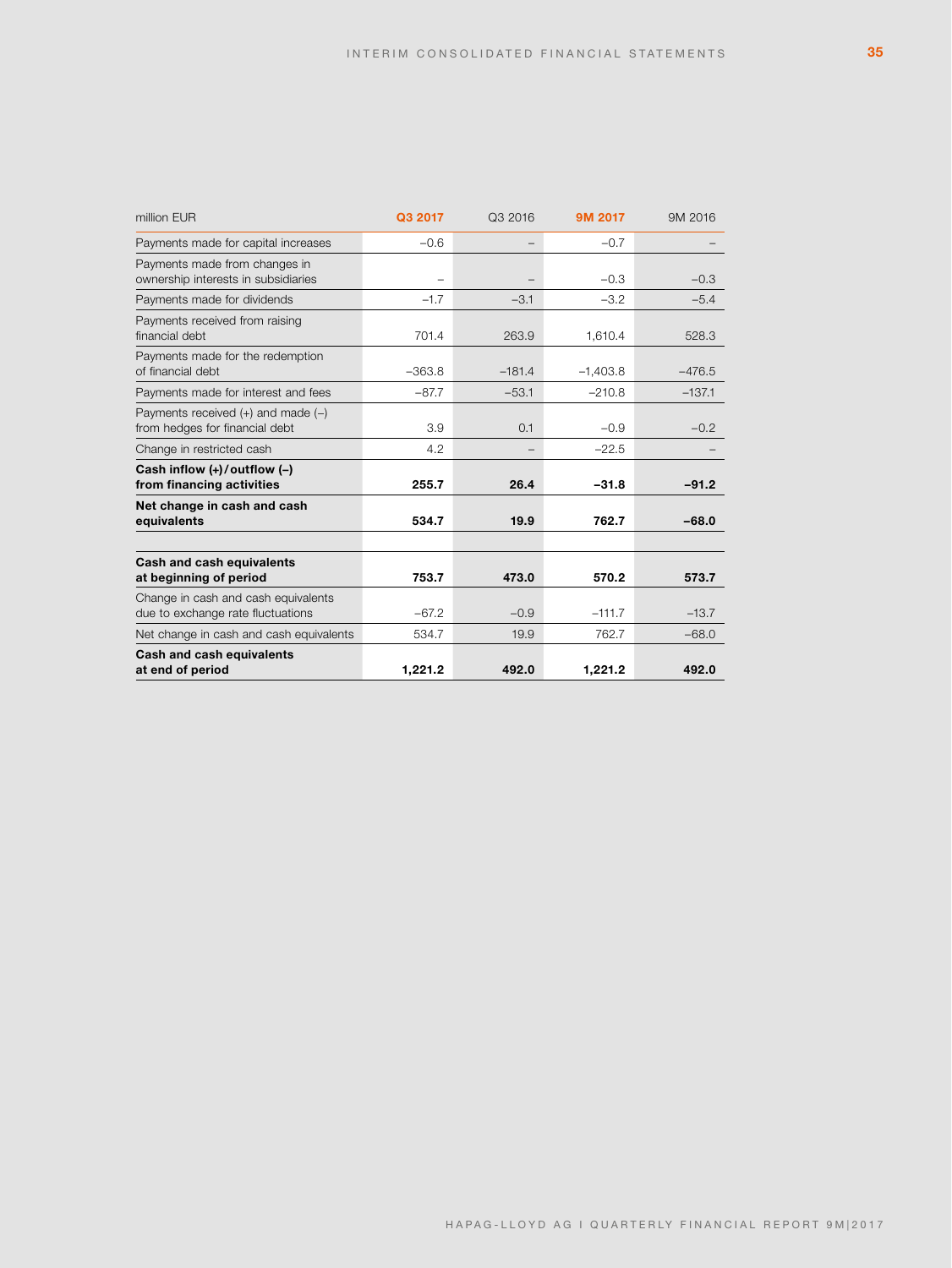| million EUR                                                              | Q3 2017  | Q3 2016  | 9M 2017    | 9M 2016  |
|--------------------------------------------------------------------------|----------|----------|------------|----------|
| Payments made for capital increases                                      | $-0.6$   | -        | $-0.7$     |          |
| Payments made from changes in<br>ownership interests in subsidiaries     |          |          | $-0.3$     | $-0.3$   |
| Payments made for dividends                                              | $-1.7$   | $-3.1$   | $-3.2$     | $-5.4$   |
| Payments received from raising<br>financial debt                         | 701.4    | 263.9    | 1,610.4    | 528.3    |
| Payments made for the redemption<br>of financial debt                    | $-363.8$ | $-181.4$ | $-1.403.8$ | $-476.5$ |
| Payments made for interest and fees                                      | $-87.7$  | $-53.1$  | $-210.8$   | $-137.1$ |
| Payments received $(+)$ and made $(-)$<br>from hedges for financial debt | 3.9      | 0.1      | $-0.9$     | $-0.2$   |
| Change in restricted cash                                                | 4.2      |          | $-22.5$    |          |
| Cash inflow $(+)/$ outflow $(-)$<br>from financing activities            | 255.7    | 26.4     | $-31.8$    | $-91.2$  |
| Net change in cash and cash<br>equivalents                               | 534.7    | 19.9     | 762.7      | $-68.0$  |
| <b>Cash and cash equivalents</b><br>at beginning of period               | 753.7    | 473.0    | 570.2      | 573.7    |
| Change in cash and cash equivalents<br>due to exchange rate fluctuations | $-67.2$  | $-0.9$   | $-111.7$   | $-13.7$  |
| Net change in cash and cash equivalents                                  | 534.7    | 19.9     | 762.7      | $-68.0$  |
| Cash and cash equivalents<br>at end of period                            | 1,221.2  | 492.0    | 1,221.2    | 492.0    |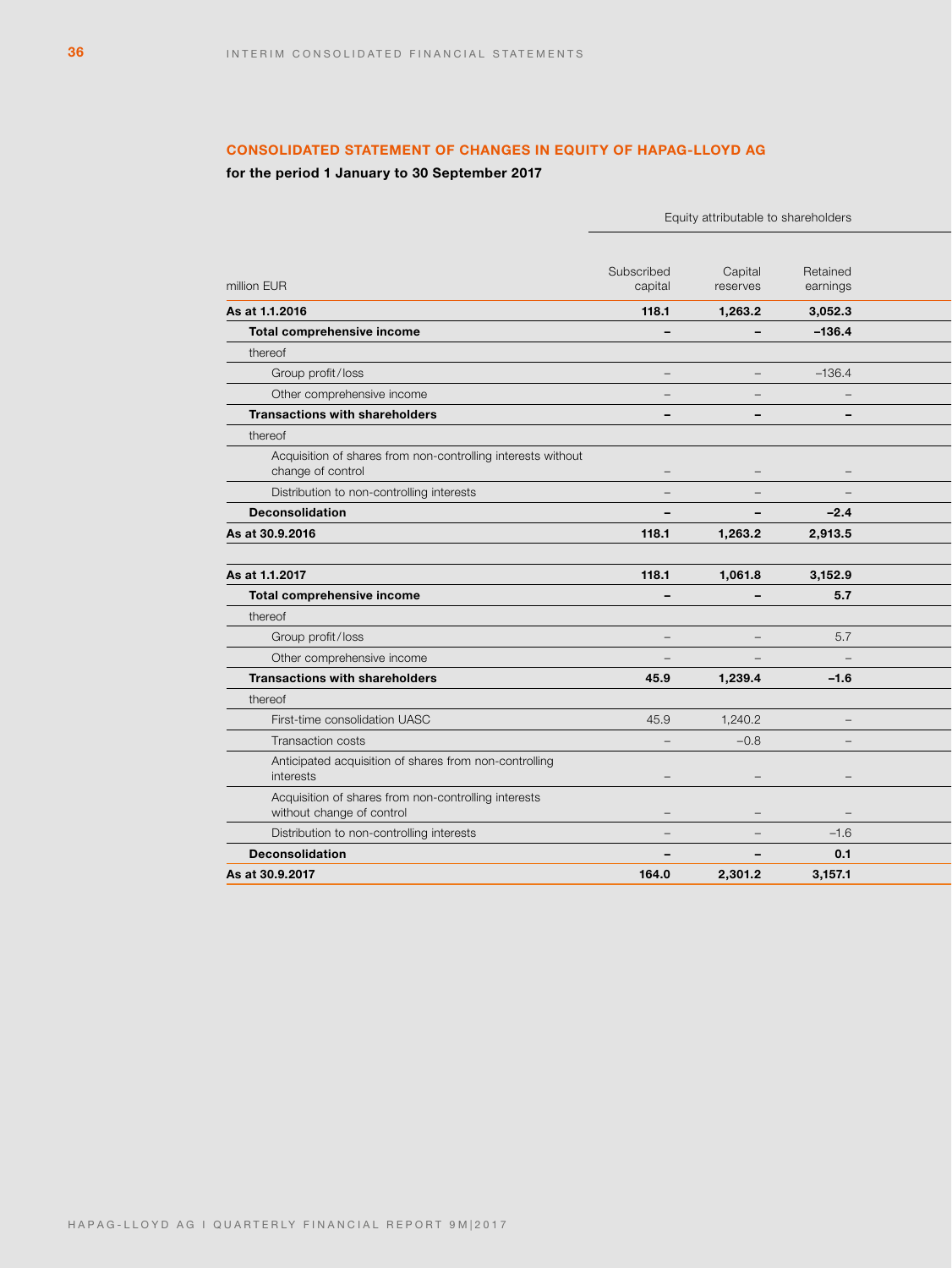# **CONSOLIDATED STATEMENT OF CHANGES IN EQUITY OF HAPAG-LLOYD AG**

# **for the period 1 January to 30 September 2017**

|                                                                                   |                          | Equity attributable to shareholders |                                 |
|-----------------------------------------------------------------------------------|--------------------------|-------------------------------------|---------------------------------|
|                                                                                   | Subscribed               | Capital                             | Retained                        |
| million EUR                                                                       | capital                  | reserves                            | earnings                        |
| As at 1.1.2016                                                                    | 118.1                    | 1,263.2                             | 3,052.3                         |
| Total comprehensive income                                                        | $\overline{\phantom{a}}$ | $\overline{\phantom{a}}$            | $-136.4$                        |
| thereof                                                                           |                          |                                     |                                 |
| Group profit/loss                                                                 | $\overline{\phantom{a}}$ | $\sim$                              | $-136.4$                        |
| Other comprehensive income                                                        | $\overline{\phantom{m}}$ | $\overline{\phantom{m}}$            | $\overline{\phantom{a}}$        |
| <b>Transactions with shareholders</b>                                             | $\overline{\phantom{a}}$ | $\overline{\phantom{0}}$            | $\overline{\phantom{a}}$        |
| thereof                                                                           |                          |                                     |                                 |
| Acquisition of shares from non-controlling interests without<br>change of control | $ \,$                    | $\hspace{0.1mm}-\hspace{0.1mm}$     | $\qquad \qquad -$               |
| Distribution to non-controlling interests                                         | $\equiv$                 | $\overline{\phantom{a}}$            | $\equiv$                        |
| <b>Deconsolidation</b>                                                            | $\overline{\phantom{a}}$ | $\overline{\phantom{a}}$            | $-2.4$                          |
| As at 30.9.2016                                                                   | 118.1                    | 1,263.2                             | 2,913.5                         |
|                                                                                   |                          |                                     |                                 |
| As at 1.1.2017                                                                    | 118.1                    | 1,061.8                             | 3,152.9                         |
| Total comprehensive income                                                        | $\overline{\phantom{a}}$ | $\overline{\phantom{a}}$            | 5.7                             |
| thereof                                                                           |                          |                                     |                                 |
| Group profit/loss                                                                 | $\overline{\phantom{m}}$ | $\overline{\phantom{m}}$            | 5.7                             |
| Other comprehensive income                                                        | $\overline{\phantom{a}}$ | $\overline{\phantom{a}}$            | $\overline{\phantom{a}}$        |
| <b>Transactions with shareholders</b>                                             | 45.9                     | 1,239.4                             | $-1.6$                          |
| thereof                                                                           |                          |                                     |                                 |
| First-time consolidation UASC                                                     | 45.9                     | 1,240.2                             | $\overline{\phantom{a}}$        |
| Transaction costs                                                                 | $\overline{\phantom{a}}$ | $-0.8$                              | $\overline{\phantom{a}}$        |
| Anticipated acquisition of shares from non-controlling<br>interests               | $\overline{\phantom{m}}$ | $\overline{\phantom{m}}$            | $\qquad \qquad -$               |
| Acquisition of shares from non-controlling interests<br>without change of control | $\overline{\phantom{m}}$ | $\overline{\phantom{m}}$            | $\hspace{0.1mm}-\hspace{0.1mm}$ |
| Distribution to non-controlling interests                                         | $\equiv$                 | $\overline{\phantom{m}}$            | $-1.6$                          |
| <b>Deconsolidation</b>                                                            | $\overline{\phantom{a}}$ | $\overline{\phantom{0}}$            | 0.1                             |
| As at 30.9.2017                                                                   | 164.0                    | 2,301.2                             | 3,157.1                         |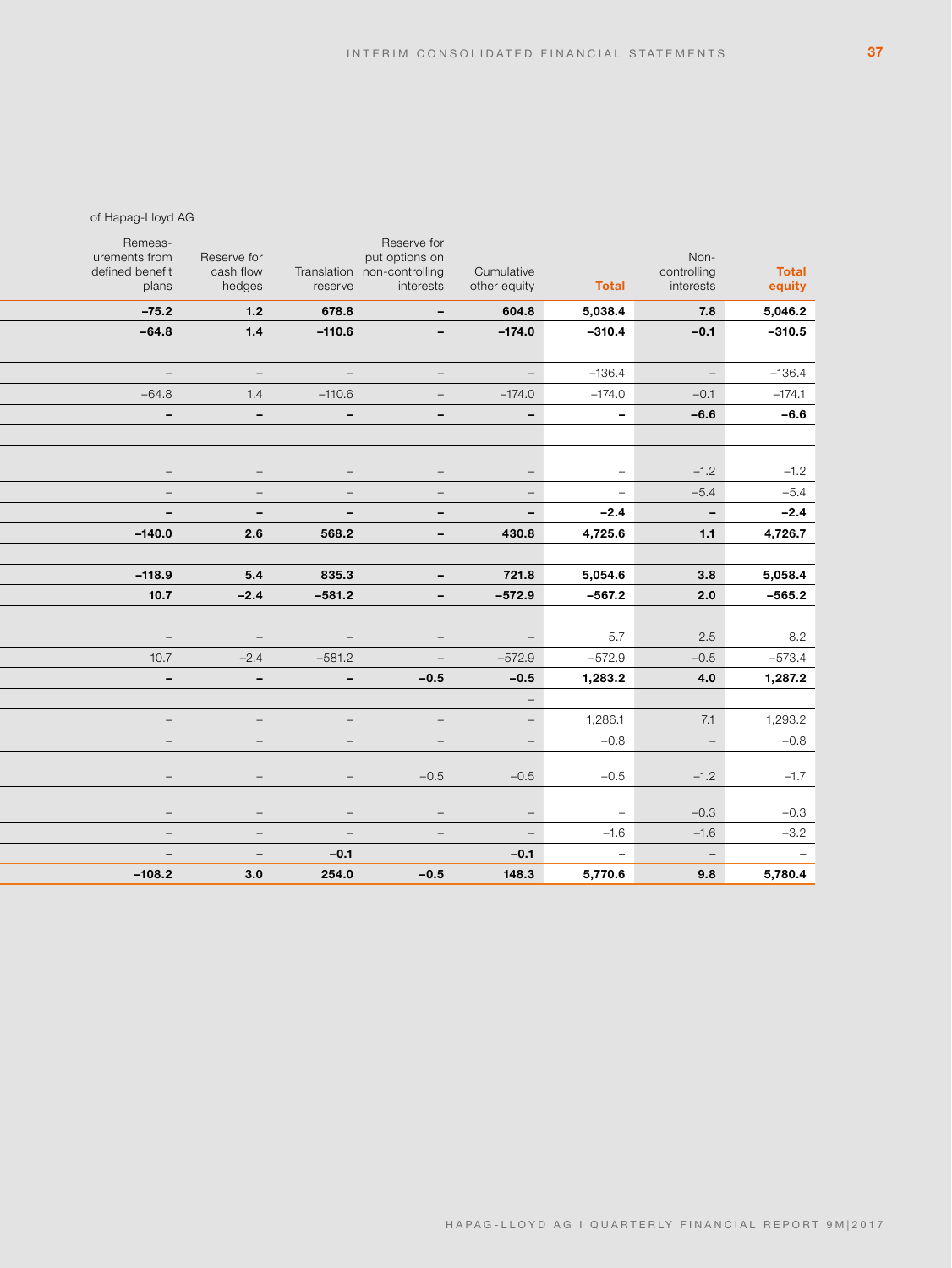|                |                     |                                 |                          | Reserve for                     |                                 |                                 | Remeas-                          |
|----------------|---------------------|---------------------------------|--------------------------|---------------------------------|---------------------------------|---------------------------------|----------------------------------|
| <b>Total</b>   | Non-<br>controlling |                                 | Cumulative               | put options on                  | Translation non-controlling     | Reserve for<br>cash flow        | urements from<br>defined benefit |
| equity         | interests           | <b>Total</b>                    | other equity             | interests                       | reserve                         | hedges                          | plans                            |
| 5,046.2        | 7.8                 | 5,038.4                         | 604.8                    | $\sim$                          | 678.8                           | 1.2                             | $-75.2$                          |
| $-310.5$       | $-0.1$              | $-310.4$                        | $-174.0$                 | $\sim$                          | $-110.6$                        | 1.4                             | $-64.8$                          |
|                |                     |                                 |                          |                                 |                                 |                                 |                                  |
| $-136.4$       | $\sim$              | $-136.4$                        | $\sim$                   | $\sim$                          | $\sim$                          | $\equiv$                        | $\equiv$                         |
| $-174.1$       | $-0.1$              | $-174.0$                        | $-174.0$                 | $\equiv$                        | $-110.6$                        | 1.4                             | $-64.8$                          |
| $-6.6$         | $-6.6$              | $\overline{\phantom{a}}$        | $\overline{\phantom{a}}$ | $\sim$                          | $\overline{\phantom{a}}$        | $\overline{\phantom{a}}$        | $\overline{\phantom{a}}$         |
|                |                     |                                 |                          |                                 |                                 |                                 |                                  |
|                |                     |                                 |                          |                                 |                                 |                                 |                                  |
| $-1.2$         | $-1.2$              | $\hspace{0.1mm}-\hspace{0.1mm}$ | $ \,$                    | $-$                             | $\overline{\phantom{m}}$        |                                 | $\overline{\phantom{a}}$         |
| $-5.4$         | $-5.4$              | $\hspace{0.1mm}-\hspace{0.1mm}$ | $\sim$                   | $\hspace{0.1mm}-\hspace{0.1mm}$ | $\overline{\phantom{m}}$        | $\hspace{0.1mm}-\hspace{0.1mm}$ | $-$                              |
| $-2.4$         | $\sim$              | $-2.4$                          | $\sim$                   | $\sim$                          | $\overline{\phantom{a}}$        | $\overline{\phantom{a}}$        | $\overline{\phantom{a}}$         |
| 4,726.7        | 1.1                 | 4,725.6                         | 430.8                    | $\sim$                          | 568.2                           | 2.6                             | $-140.0$                         |
| 5,058.4        | 3.8                 | 5,054.6                         | 721.8                    | $\sim$                          | 835.3                           | 5.4                             | $-118.9$                         |
| $-565.2$       | 2.0                 | $-567.2$                        | $-572.9$                 | $\sim$                          | $-581.2$                        | $-2.4$                          | 10.7                             |
|                |                     |                                 |                          |                                 |                                 |                                 |                                  |
| 8.2            | 2.5                 | 5.7                             | $\equiv$                 | $\equiv$                        | $\equiv$                        | $\equiv$                        | $\equiv$                         |
| $-573.4$       | $-0.5$              | $-572.9$                        | $-572.9$                 | $\hspace{0.1mm}-\hspace{0.1mm}$ | $-581.2$                        | $-2.4$                          | 10.7                             |
| 1,287.2        | 4.0                 | 1,283.2                         | $-0.5$                   | $-0.5$                          | $\sim$                          | $\overline{\phantom{a}}$        | $\overline{\phantom{a}}$         |
|                |                     |                                 | $\equiv$                 |                                 |                                 |                                 |                                  |
| 1,293.2        | 7.1                 | 1,286.1                         | $\sim$                   | $\sim$                          | $ \,$                           | $-$                             | $\hspace{0.1mm}-\hspace{0.1mm}$  |
| $-0.8$         | $\equiv$            | $-0.8$                          | $\equiv$                 | $\equiv$                        | $\equiv$                        | $\overline{\phantom{m}}$        | $\equiv$                         |
|                |                     |                                 |                          |                                 |                                 |                                 |                                  |
| $-1.7$         | $-1.2$              | $-0.5$                          | $-0.5$                   | $-0.5$                          | $-$                             | $\overline{\phantom{a}}$        | $\overline{\phantom{m}}$         |
| $-0.3$         | $-0.3$              | $\hspace{0.1mm}-\hspace{0.1mm}$ | $\equiv$                 | $\hspace{0.1mm}-\hspace{0.1mm}$ | $\qquad \qquad -$               | $\overline{\phantom{0}}$        | $\overline{\phantom{a}}$         |
| $-3.2$         | $-1.6$              | $-1.6$                          | $\sim$                   | $\sim$                          | $\hspace{0.1mm}-\hspace{0.1mm}$ | $ \,$                           | $\equiv$                         |
| $\blacksquare$ | $\mathbb{L}^2$      | $\sim$                          | $-0.1$                   |                                 | $-0.1$                          | $\overline{\phantom{a}}$        | $\overline{\phantom{a}}$         |
| 5,780.4        | 9.8                 | 5,770.6                         | 148.3                    | $-0.5$                          | 254.0                           | 3.0                             | $-108.2$                         |

of Hapag-Lloyd AG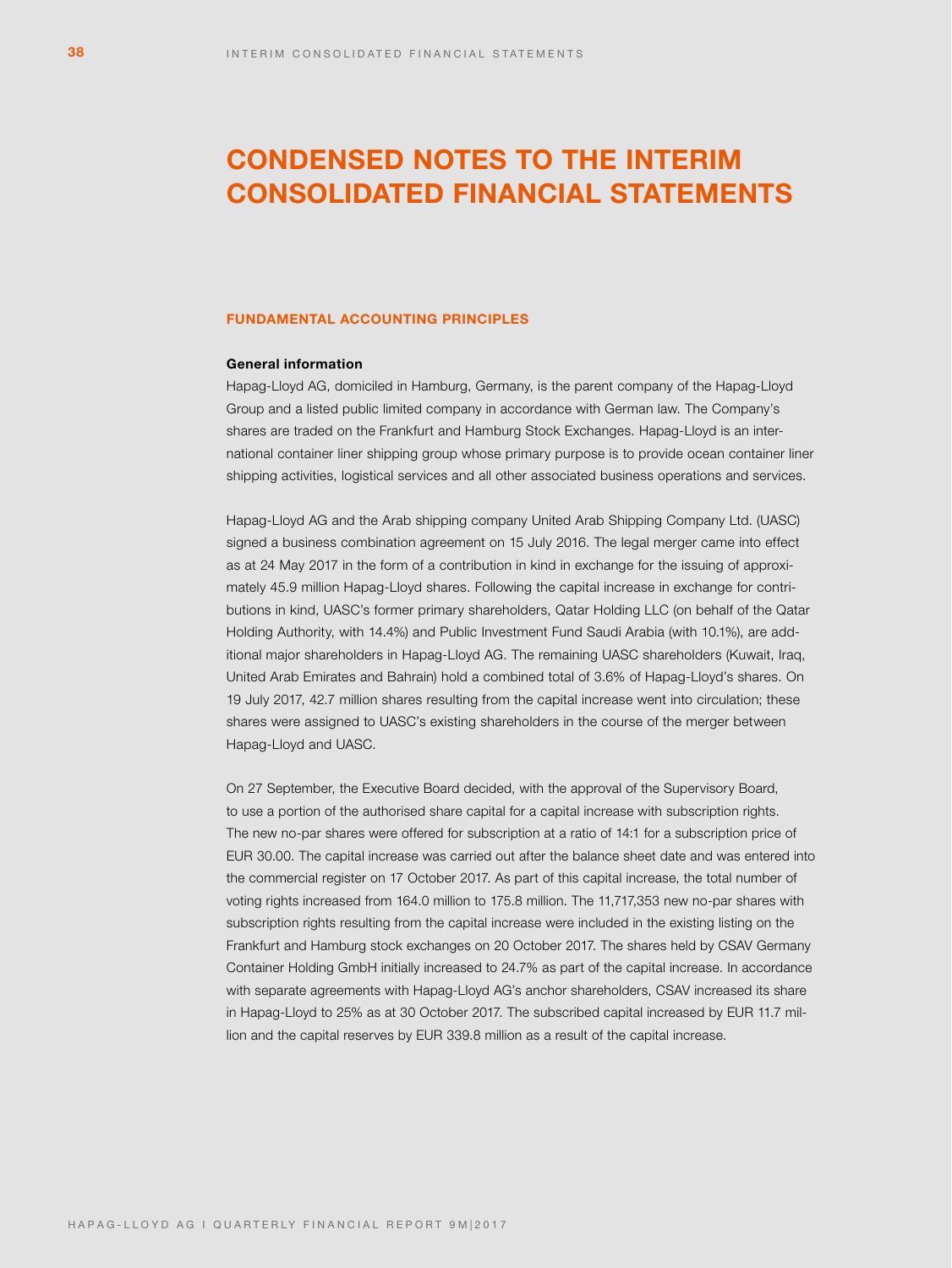# **CONDENSED NOTES TO THE INTERIM CONSOLIDATED FINANCIAL STATEMENTS**

### **FUNDAMENTAL ACCOUNTING PRINCIPLES**

# **General information**

Hapag-Lloyd AG, domiciled in Hamburg, Germany, is the parent company of the Hapag-Lloyd Group and a listed public limited company in accordance with German law. The Company's shares are traded on the Frankfurt and Hamburg Stock Exchanges. Hapag-Lloyd is an international container liner shipping group whose primary purpose is to provide ocean container liner shipping activities, logistical services and all other associated business operations and services.

Hapag-Lloyd AG and the Arab shipping company United Arab Shipping Company Ltd. (UASC) signed a business combination agreement on 15 July 2016. The legal merger came into effect as at 24 May 2017 in the form of a contribution in kind in exchange for the issuing of approximately 45.9 million Hapag-Lloyd shares. Following the capital increase in exchange for contributions in kind, UASC's former primary shareholders, Qatar Holding LLC (on behalf of the Qatar Holding Authority, with 14.4%) and Public Investment Fund Saudi Arabia (with 10.1%), are additional major shareholders in Hapag-Lloyd AG. The remaining UASC shareholders (Kuwait, Iraq, United Arab Emirates and Bahrain) hold a combined total of 3.6% of Hapag-Lloyd's shares. On 19 July 2017, 42.7 million shares resulting from the capital increase went into circulation; these shares were assigned to UASC's existing shareholders in the course of the merger between Hapag-Lloyd and UASC.

On 27 September, the Executive Board decided, with the approval of the Supervisory Board, to use a portion of the authorised share capital for a capital increase with subscription rights. The new no-par shares were offered for subscription at a ratio of 14:1 for a subscription price of EUR 30.00. The capital increase was carried out after the balance sheet date and was entered into the commercial register on 17 October 2017. As part of this capital increase, the total number of voting rights increased from 164.0 million to 175.8 million. The 11,717,353 new no-par shares with subscription rights resulting from the capital increase were included in the existing listing on the Frankfurt and Hamburg stock exchanges on 20 October 2017. The shares held by CSAV Germany Container Holding GmbH initially increased to 24.7% as part of the capital increase. In accordance with separate agreements with Hapag-Lloyd AG's anchor shareholders, CSAV increased its share in Hapag-Lloyd to 25% as at 30 October 2017. The subscribed capital increased by EUR 11.7 million and the capital reserves by EUR 339.8 million as a result of the capital increase.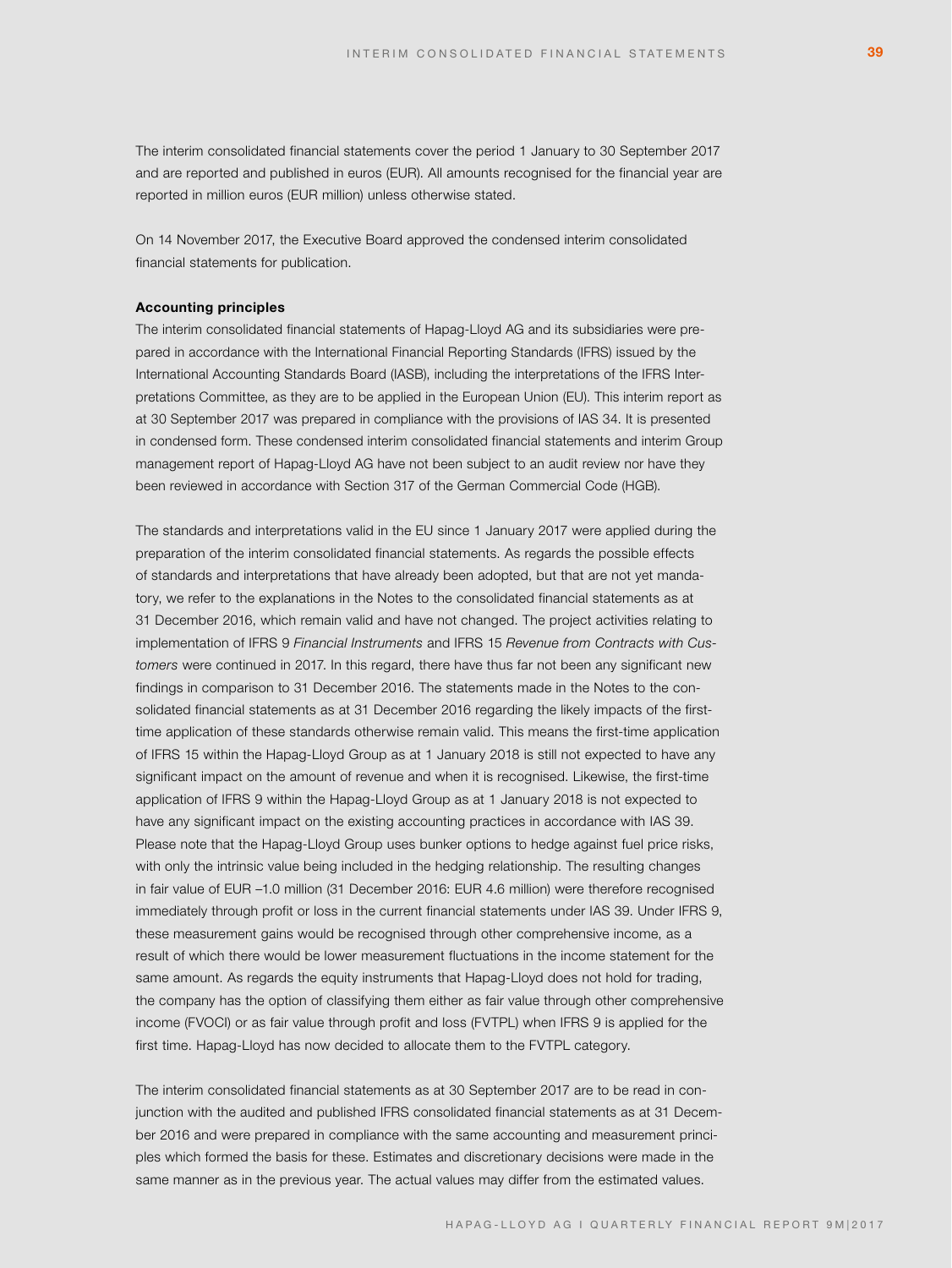The interim consolidated financial statements cover the period 1 January to 30 September 2017 and are reported and published in euros (EUR). All amounts recognised for the financial year are reported in million euros (EUR million) unless otherwise stated.

On 14 November 2017, the Executive Board approved the condensed interim consolidated financial statements for publication.

### **Accounting principles**

The interim consolidated financial statements of Hapag-Lloyd AG and its subsidiaries were prepared in accordance with the International Financial Reporting Standards (IFRS) issued by the International Accounting Standards Board (IASB), including the interpretations of the IFRS Interpretations Committee, as they are to be applied in the European Union (EU). This interim report as at 30 September 2017 was prepared in compliance with the provisions of IAS 34. It is presented in condensed form. These condensed interim consolidated financial statements and interim Group management report of Hapag-Lloyd AG have not been subject to an audit review nor have they been reviewed in accordance with Section 317 of the German Commercial Code (HGB).

The standards and interpretations valid in the EU since 1 January 2017 were applied during the preparation of the interim consolidated financial statements. As regards the possible effects of standards and interpretations that have already been adopted, but that are not yet mandatory, we refer to the explanations in the Notes to the consolidated financial statements as at 31 December 2016, which remain valid and have not changed. The project activities relating to implementation of IFRS 9 *Financial Instruments* and IFRS 15 *Revenue from Contracts with Customers* were continued in 2017. In this regard, there have thus far not been any significant new findings in comparison to 31 December 2016. The statements made in the Notes to the consolidated financial statements as at 31 December 2016 regarding the likely impacts of the firsttime application of these standards otherwise remain valid. This means the first-time application of IFRS 15 within the Hapag-Lloyd Group as at 1 January 2018 is still not expected to have any significant impact on the amount of revenue and when it is recognised. Likewise, the first-time application of IFRS 9 within the Hapag-Lloyd Group as at 1 January 2018 is not expected to have any significant impact on the existing accounting practices in accordance with IAS 39. Please note that the Hapag-Lloyd Group uses bunker options to hedge against fuel price risks, with only the intrinsic value being included in the hedging relationship. The resulting changes in fair value of EUR –1.0 million (31 December 2016: EUR 4.6 million) were therefore recognised immediately through profit or loss in the current financial statements under IAS 39. Under IFRS 9, these measurement gains would be recognised through other comprehensive income, as a result of which there would be lower measurement fluctuations in the income statement for the same amount. As regards the equity instruments that Hapag-Lloyd does not hold for trading, the company has the option of classifying them either as fair value through other comprehensive income (FVOCI) or as fair value through profit and loss (FVTPL) when IFRS 9 is applied for the first time. Hapag-Lloyd has now decided to allocate them to the FVTPL category.

The interim consolidated financial statements as at 30 September 2017 are to be read in conjunction with the audited and published IFRS consolidated financial statements as at 31 December 2016 and were prepared in compliance with the same accounting and measurement principles which formed the basis for these. Estimates and discretionary decisions were made in the same manner as in the previous year. The actual values may differ from the estimated values.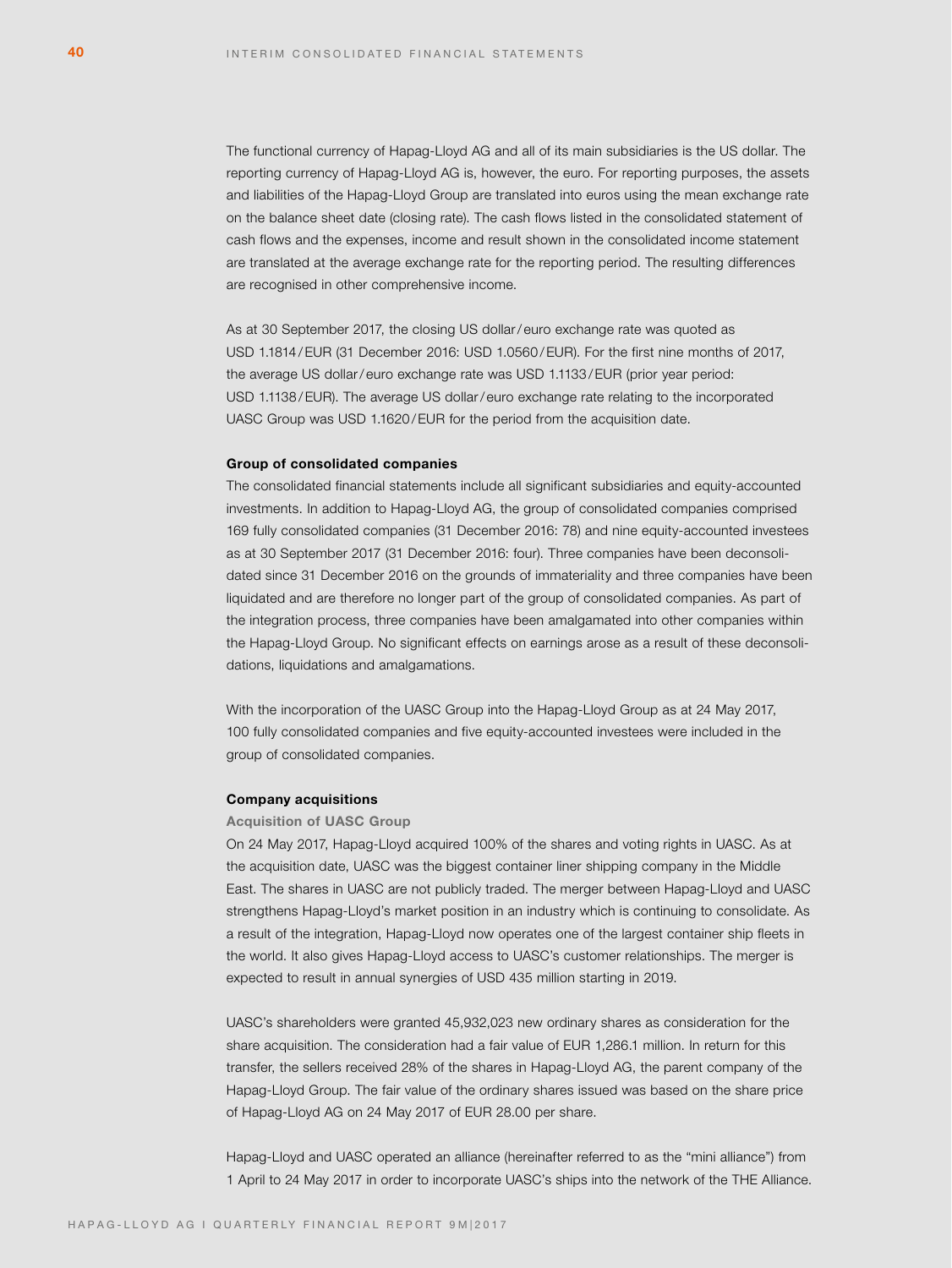The functional currency of Hapag-Lloyd AG and all of its main subsidiaries is the US dollar. The reporting currency of Hapag-Lloyd AG is, however, the euro. For reporting purposes, the assets and liabilities of the Hapag-Lloyd Group are translated into euros using the mean exchange rate on the balance sheet date (closing rate). The cash flows listed in the consolidated statement of cash flows and the expenses, income and result shown in the consolidated income statement are translated at the average exchange rate for the reporting period. The resulting differences are recognised in other comprehensive income.

As at 30 September 2017, the closing US dollar/ euro exchange rate was quoted as USD 1.1814 /EUR (31 December 2016: USD 1.0560 /EUR). For the first nine months of 2017, the average US dollar/euro exchange rate was USD 1.1133/EUR (prior year period: USD 1.1138 /EUR). The average US dollar/ euro exchange rate relating to the incorporated UASC Group was USD 1.1620 /EUR for the period from the acquisition date.

### **Group of consolidated companies**

The consolidated financial statements include all significant subsidiaries and equity-accounted investments. In addition to Hapag-Lloyd AG, the group of consolidated companies comprised 169 fully consolidated companies (31 December 2016: 78) and nine equity-accounted investees as at 30 September 2017 (31 December 2016: four). Three companies have been deconsolidated since 31 December 2016 on the grounds of immateriality and three companies have been liquidated and are therefore no longer part of the group of consolidated companies. As part of the integration process, three companies have been amalgamated into other companies within the Hapag-Lloyd Group. No significant effects on earnings arose as a result of these deconsolidations, liquidations and amalgamations.

With the incorporation of the UASC Group into the Hapag-Lloyd Group as at 24 May 2017, 100 fully consolidated companies and five equity-accounted investees were included in the group of consolidated companies.

# **Company acquisitions**

### **Acquisition of UASC Group**

On 24 May 2017, Hapag-Lloyd acquired 100% of the shares and voting rights in UASC. As at the acquisition date, UASC was the biggest container liner shipping company in the Middle East. The shares in UASC are not publicly traded. The merger between Hapag-Lloyd and UASC strengthens Hapag-Lloyd's market position in an industry which is continuing to consolidate. As a result of the integration, Hapag-Lloyd now operates one of the largest container ship fleets in the world. It also gives Hapag-Lloyd access to UASC's customer relationships. The merger is expected to result in annual synergies of USD 435 million starting in 2019.

UASC's shareholders were granted 45,932,023 new ordinary shares as consideration for the share acquisition. The consideration had a fair value of EUR 1,286.1 million. In return for this transfer, the sellers received 28% of the shares in Hapag-Lloyd AG, the parent company of the Hapag-Lloyd Group. The fair value of the ordinary shares issued was based on the share price of Hapag-Lloyd AG on 24 May 2017 of EUR 28.00 per share.

Hapag-Lloyd and UASC operated an alliance (hereinafter referred to as the "mini alliance") from 1 April to 24 May 2017 in order to incorporate UASC's ships into the network of the THE Alliance.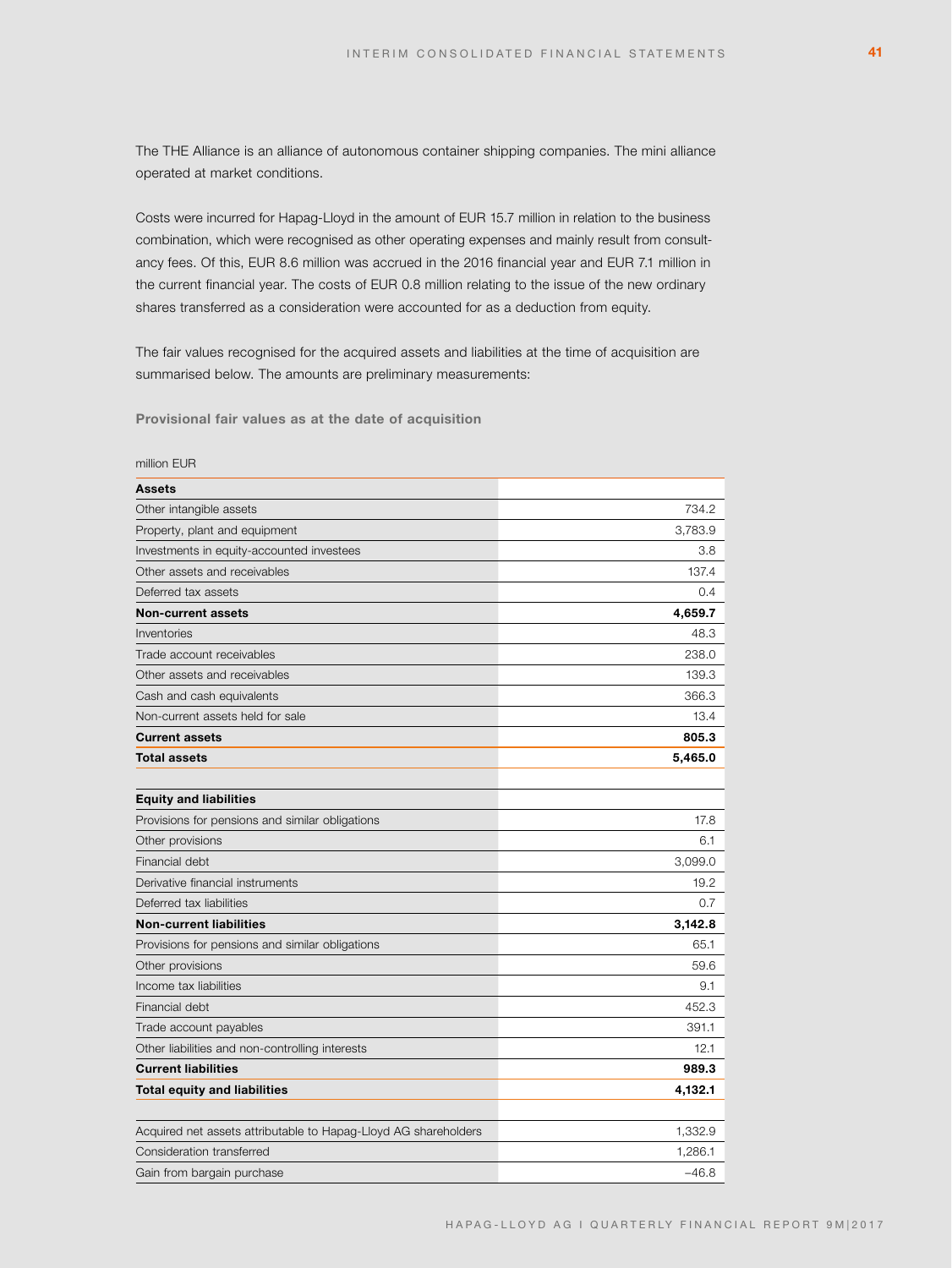The THE Alliance is an alliance of autonomous container shipping companies. The mini alliance operated at market conditions.

Costs were incurred for Hapag-Lloyd in the amount of EUR 15.7 million in relation to the business combination, which were recognised as other operating expenses and mainly result from consultancy fees. Of this, EUR 8.6 million was accrued in the 2016 financial year and EUR 7.1 million in the current financial year. The costs of EUR 0.8 million relating to the issue of the new ordinary shares transferred as a consideration were accounted for as a deduction from equity.

The fair values recognised for the acquired assets and liabilities at the time of acquisition are summarised below. The amounts are preliminary measurements:

**Provisional fair values as at the date of acquisition**

| <b>Assets</b>                                                   |         |
|-----------------------------------------------------------------|---------|
| Other intangible assets                                         | 734.2   |
| Property, plant and equipment                                   | 3,783.9 |
| Investments in equity-accounted investees                       | 3.8     |
| Other assets and receivables                                    | 137.4   |
| Deferred tax assets                                             | 0.4     |
| <b>Non-current assets</b>                                       | 4,659.7 |
| Inventories                                                     | 48.3    |
| Trade account receivables                                       | 238.0   |
| Other assets and receivables                                    | 139.3   |
| Cash and cash equivalents                                       | 366.3   |
| Non-current assets held for sale                                | 13.4    |
| <b>Current assets</b>                                           | 805.3   |
| <b>Total assets</b>                                             | 5,465.0 |
|                                                                 |         |
| <b>Equity and liabilities</b>                                   |         |
| Provisions for pensions and similar obligations                 | 17.8    |
| Other provisions                                                | 6.1     |
| Financial debt                                                  | 3,099.0 |
| Derivative financial instruments                                | 19.2    |
| Deferred tax liabilities                                        | 0.7     |
| <b>Non-current liabilities</b>                                  | 3,142.8 |
| Provisions for pensions and similar obligations                 | 65.1    |
| Other provisions                                                | 59.6    |
| Income tax liabilities                                          | 9.1     |
| Financial debt                                                  | 452.3   |
| Trade account payables                                          | 391.1   |
| Other liabilities and non-controlling interests                 | 12.1    |
| <b>Current liabilities</b>                                      | 989.3   |
| <b>Total equity and liabilities</b>                             | 4,132.1 |
|                                                                 |         |
| Acquired net assets attributable to Hapag-Lloyd AG shareholders | 1,332.9 |
| Consideration transferred                                       | 1,286.1 |
| Gain from bargain purchase                                      | $-46.8$ |

#### million EUR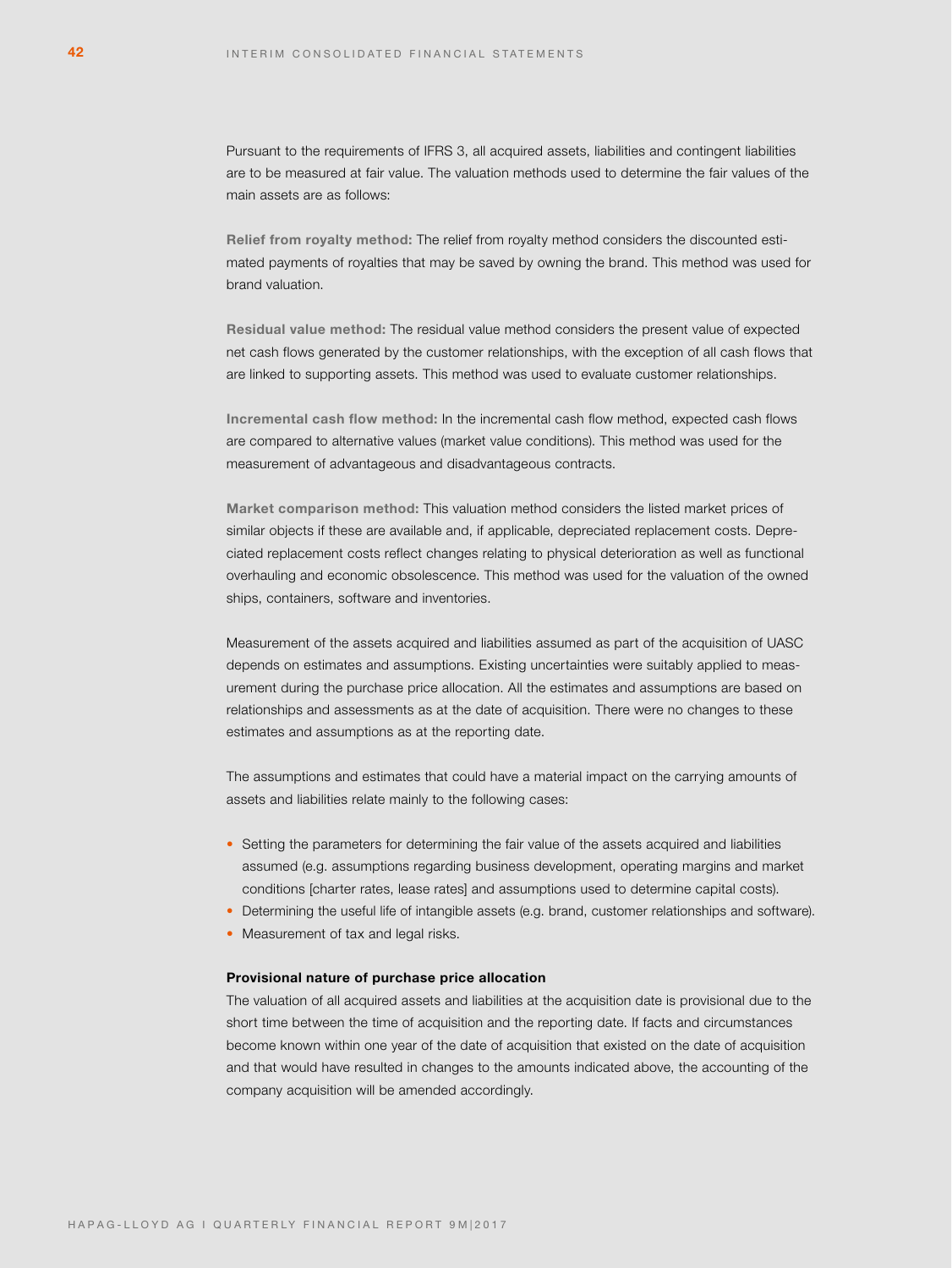Pursuant to the requirements of IFRS 3, all acquired assets, liabilities and contingent liabilities are to be measured at fair value. The valuation methods used to determine the fair values of the main assets are as follows:

**Relief from royalty method:** The relief from royalty method considers the discounted estimated payments of royalties that may be saved by owning the brand. This method was used for brand valuation.

**Residual value method:** The residual value method considers the present value of expected net cash flows generated by the customer relationships, with the exception of all cash flows that are linked to supporting assets. This method was used to evaluate customer relationships.

**Incremental cash flow method:** In the incremental cash flow method, expected cash flows are compared to alternative values (market value conditions). This method was used for the measurement of advantageous and disadvantageous contracts.

**Market comparison method:** This valuation method considers the listed market prices of similar objects if these are available and, if applicable, depreciated replacement costs. Depreciated replacement costs reflect changes relating to physical deterioration as well as functional overhauling and economic obsolescence. This method was used for the valuation of the owned ships, containers, software and inventories.

Measurement of the assets acquired and liabilities assumed as part of the acquisition of UASC depends on estimates and assumptions. Existing uncertainties were suitably applied to measurement during the purchase price allocation. All the estimates and assumptions are based on relationships and assessments as at the date of acquisition. There were no changes to these estimates and assumptions as at the reporting date.

The assumptions and estimates that could have a material impact on the carrying amounts of assets and liabilities relate mainly to the following cases:

- Setting the parameters for determining the fair value of the assets acquired and liabilities assumed (e.g. assumptions regarding business development, operating margins and market conditions [charter rates, lease rates] and assumptions used to determine capital costs).
- Determining the useful life of intangible assets (e.g. brand, customer relationships and software).
- Measurement of tax and legal risks.

# **Provisional nature of purchase price allocation**

The valuation of all acquired assets and liabilities at the acquisition date is provisional due to the short time between the time of acquisition and the reporting date. If facts and circumstances become known within one year of the date of acquisition that existed on the date of acquisition and that would have resulted in changes to the amounts indicated above, the accounting of the company acquisition will be amended accordingly.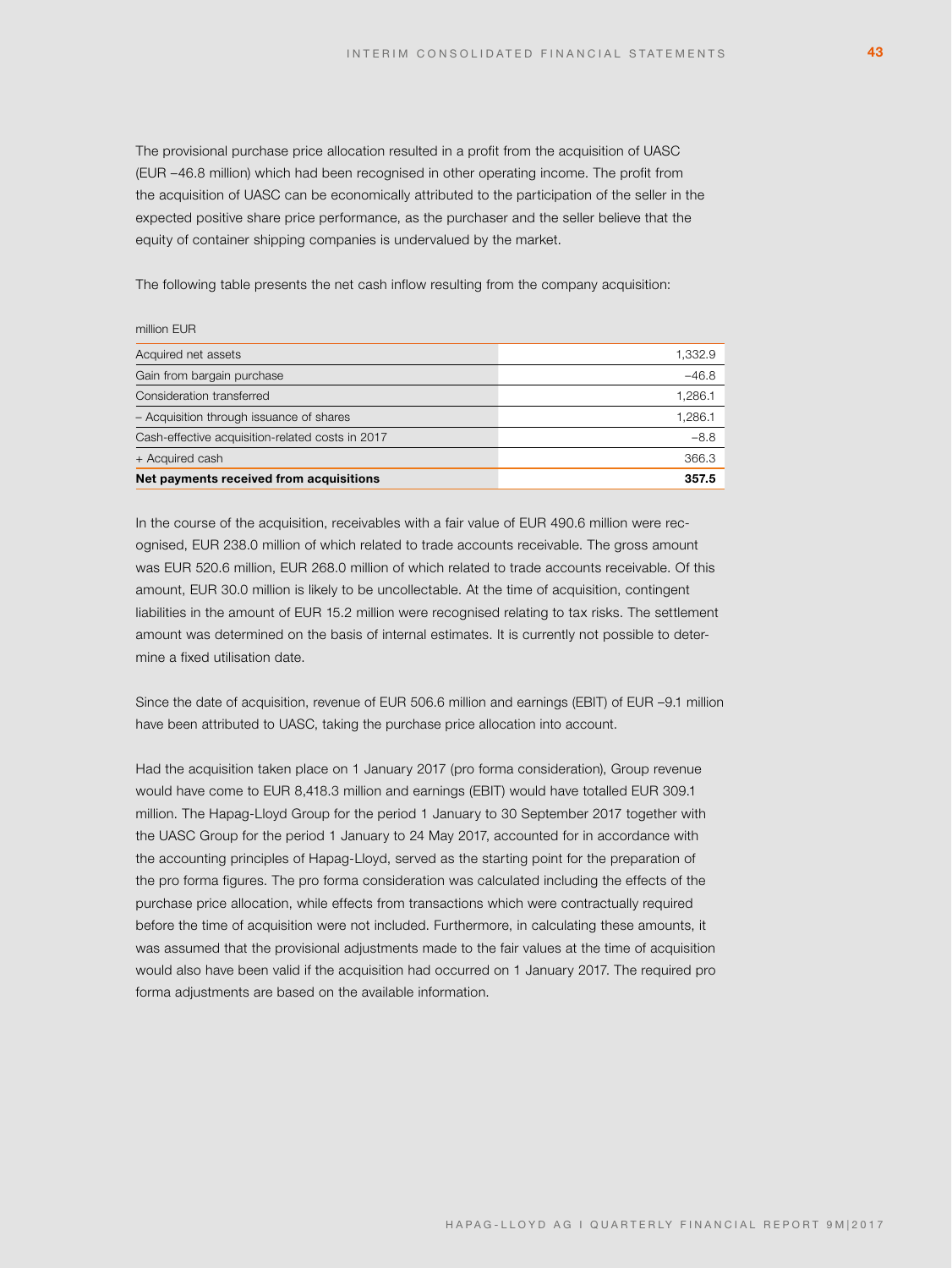The provisional purchase price allocation resulted in a profit from the acquisition of UASC (EUR –46.8 million) which had been recognised in other operating income. The profit from the acquisition of UASC can be economically attributed to the participation of the seller in the expected positive share price performance, as the purchaser and the seller believe that the equity of container shipping companies is undervalued by the market.

The following table presents the net cash inflow resulting from the company acquisition:

### million EUR

| Acquired net assets                              | 1,332.9 |
|--------------------------------------------------|---------|
| Gain from bargain purchase                       | $-46.8$ |
| Consideration transferred                        | 1,286.1 |
| - Acquisition through issuance of shares         | 1,286.1 |
| Cash-effective acquisition-related costs in 2017 | $-8.8$  |
| + Acquired cash                                  | 366.3   |
| Net payments received from acquisitions          | 357.5   |

In the course of the acquisition, receivables with a fair value of EUR 490.6 million were recognised, EUR 238.0 million of which related to trade accounts receivable. The gross amount was EUR 520.6 million, EUR 268.0 million of which related to trade accounts receivable. Of this amount, EUR 30.0 million is likely to be uncollectable. At the time of acquisition, contingent liabilities in the amount of EUR 15.2 million were recognised relating to tax risks. The settlement amount was determined on the basis of internal estimates. It is currently not possible to determine a fixed utilisation date.

Since the date of acquisition, revenue of EUR 506.6 million and earnings (EBIT) of EUR –9.1 million have been attributed to UASC, taking the purchase price allocation into account.

Had the acquisition taken place on 1 January 2017 (pro forma consideration), Group revenue would have come to EUR 8,418.3 million and earnings (EBIT) would have totalled EUR 309.1 million. The Hapag-Lloyd Group for the period 1 January to 30 September 2017 together with the UASC Group for the period 1 January to 24 May 2017, accounted for in accordance with the accounting principles of Hapag-Lloyd, served as the starting point for the preparation of the pro forma figures. The pro forma consideration was calculated including the effects of the purchase price allocation, while effects from transactions which were contractually required before the time of acquisition were not included. Furthermore, in calculating these amounts, it was assumed that the provisional adjustments made to the fair values at the time of acquisition would also have been valid if the acquisition had occurred on 1 January 2017. The required pro forma adjustments are based on the available information.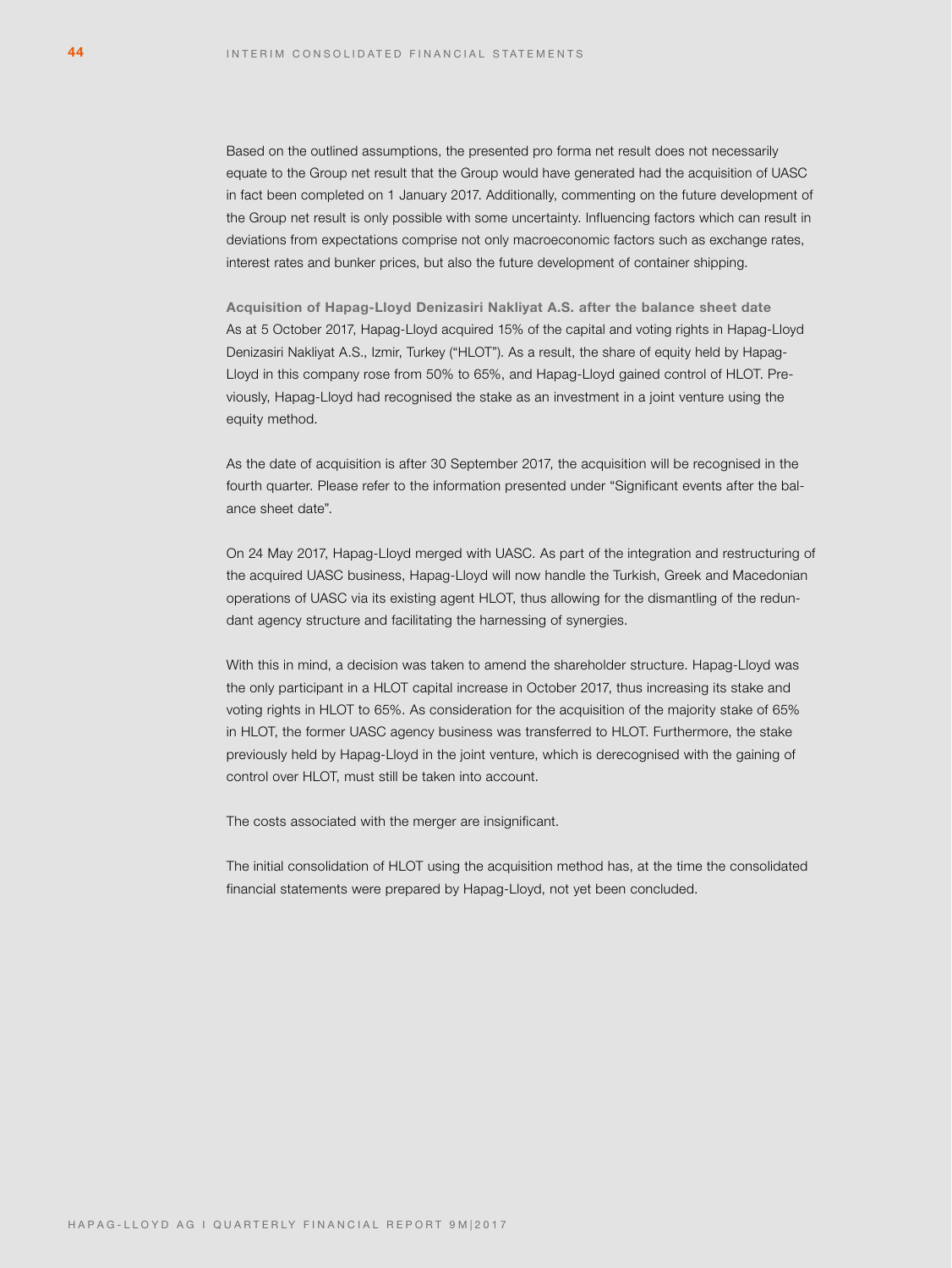Based on the outlined assumptions, the presented pro forma net result does not necessarily equate to the Group net result that the Group would have generated had the acquisition of UASC in fact been completed on 1 January 2017. Additionally, commenting on the future development of the Group net result is only possible with some uncertainty. Influencing factors which can result in deviations from expectations comprise not only macroeconomic factors such as exchange rates, interest rates and bunker prices, but also the future development of container shipping.

**Acquisition of Hapag-Lloyd Denizasiri Nakliyat A.S. after the balance sheet date** As at 5 October 2017, Hapag-Lloyd acquired 15% of the capital and voting rights in Hapag-Lloyd Denizasiri Nakliyat A.S., Izmir, Turkey ("HLOT"). As a result, the share of equity held by Hapag-Lloyd in this company rose from 50% to 65%, and Hapag-Lloyd gained control of HLOT. Previously, Hapag-Lloyd had recognised the stake as an investment in a joint venture using the equity method.

As the date of acquisition is after 30 September 2017, the acquisition will be recognised in the fourth quarter. Please refer to the information presented under "Significant events after the balance sheet date".

On 24 May 2017, Hapag-Lloyd merged with UASC. As part of the integration and restructuring of the acquired UASC business, Hapag-Lloyd will now handle the Turkish, Greek and Macedonian operations of UASC via its existing agent HLOT, thus allowing for the dismantling of the redundant agency structure and facilitating the harnessing of synergies.

With this in mind, a decision was taken to amend the shareholder structure. Hapag-Lloyd was the only participant in a HLOT capital increase in October 2017, thus increasing its stake and voting rights in HLOT to 65%. As consideration for the acquisition of the majority stake of 65% in HLOT, the former UASC agency business was transferred to HLOT. Furthermore, the stake previously held by Hapag-Lloyd in the joint venture, which is derecognised with the gaining of control over HLOT, must still be taken into account.

The costs associated with the merger are insignificant.

The initial consolidation of HLOT using the acquisition method has, at the time the consolidated financial statements were prepared by Hapag-Lloyd, not yet been concluded.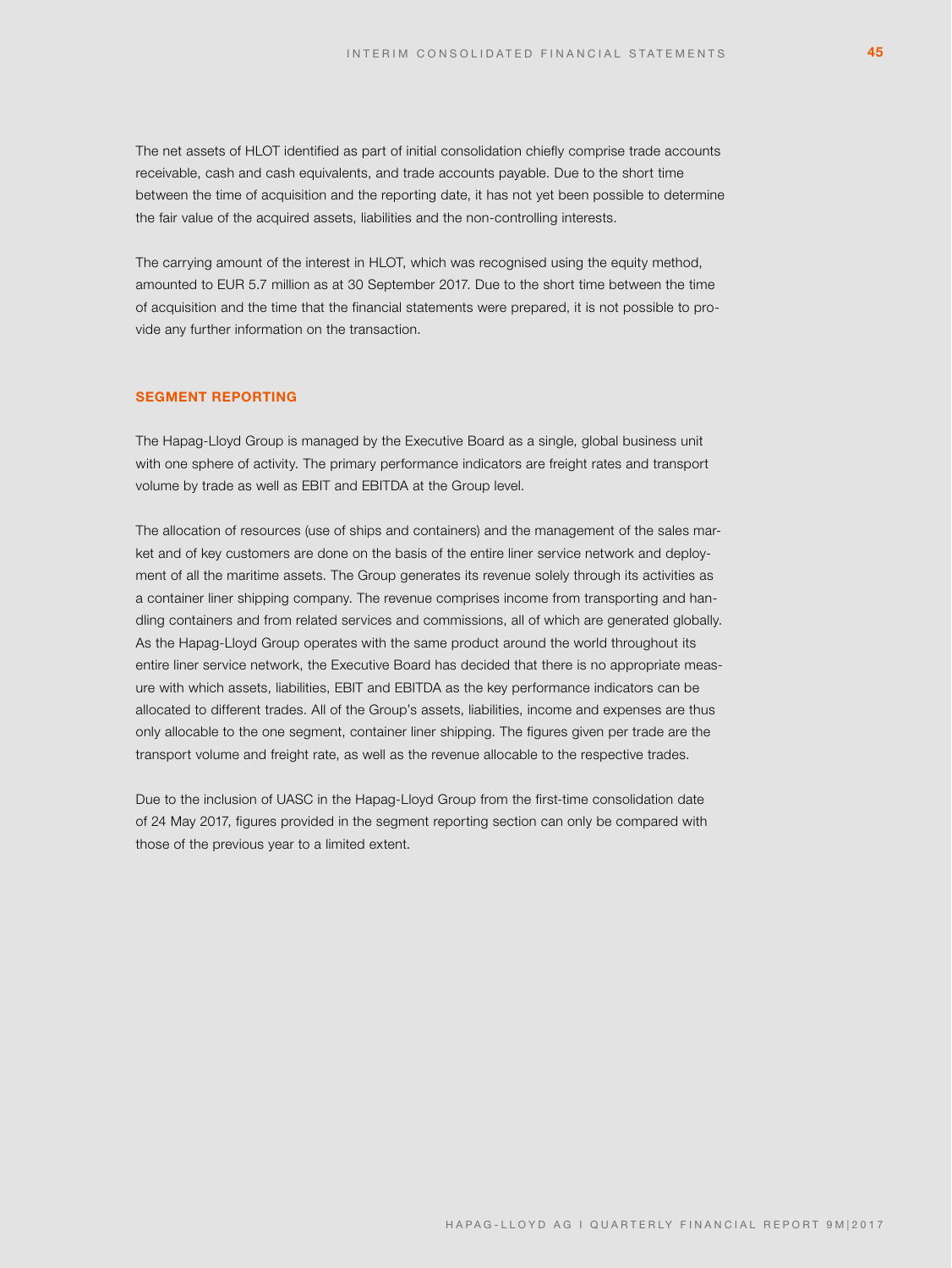The net assets of HLOT identified as part of initial consolidation chiefly comprise trade accounts receivable, cash and cash equivalents, and trade accounts payable. Due to the short time between the time of acquisition and the reporting date, it has not yet been possible to determine the fair value of the acquired assets, liabilities and the non-controlling interests.

The carrying amount of the interest in HLOT, which was recognised using the equity method, amounted to EUR 5.7 million as at 30 September 2017. Due to the short time between the time of acquisition and the time that the financial statements were prepared, it is not possible to provide any further information on the transaction.

# **SEGMENT REPORTING**

The Hapag-Lloyd Group is managed by the Executive Board as a single, global business unit with one sphere of activity. The primary performance indicators are freight rates and transport volume by trade as well as EBIT and EBITDA at the Group level.

The allocation of resources (use of ships and containers) and the management of the sales market and of key customers are done on the basis of the entire liner service network and deployment of all the maritime assets. The Group generates its revenue solely through its activities as a container liner shipping company. The revenue comprises income from transporting and handling containers and from related services and commissions, all of which are generated globally. As the Hapag-Lloyd Group operates with the same product around the world throughout its entire liner service network, the Executive Board has decided that there is no appropriate measure with which assets, liabilities, EBIT and EBITDA as the key performance indicators can be allocated to different trades. All of the Group's assets, liabilities, income and expenses are thus only allocable to the one segment, container liner shipping. The figures given per trade are the transport volume and freight rate, as well as the revenue allocable to the respective trades.

Due to the inclusion of UASC in the Hapag-Lloyd Group from the first-time consolidation date of 24 May 2017, figures provided in the segment reporting section can only be compared with those of the previous year to a limited extent.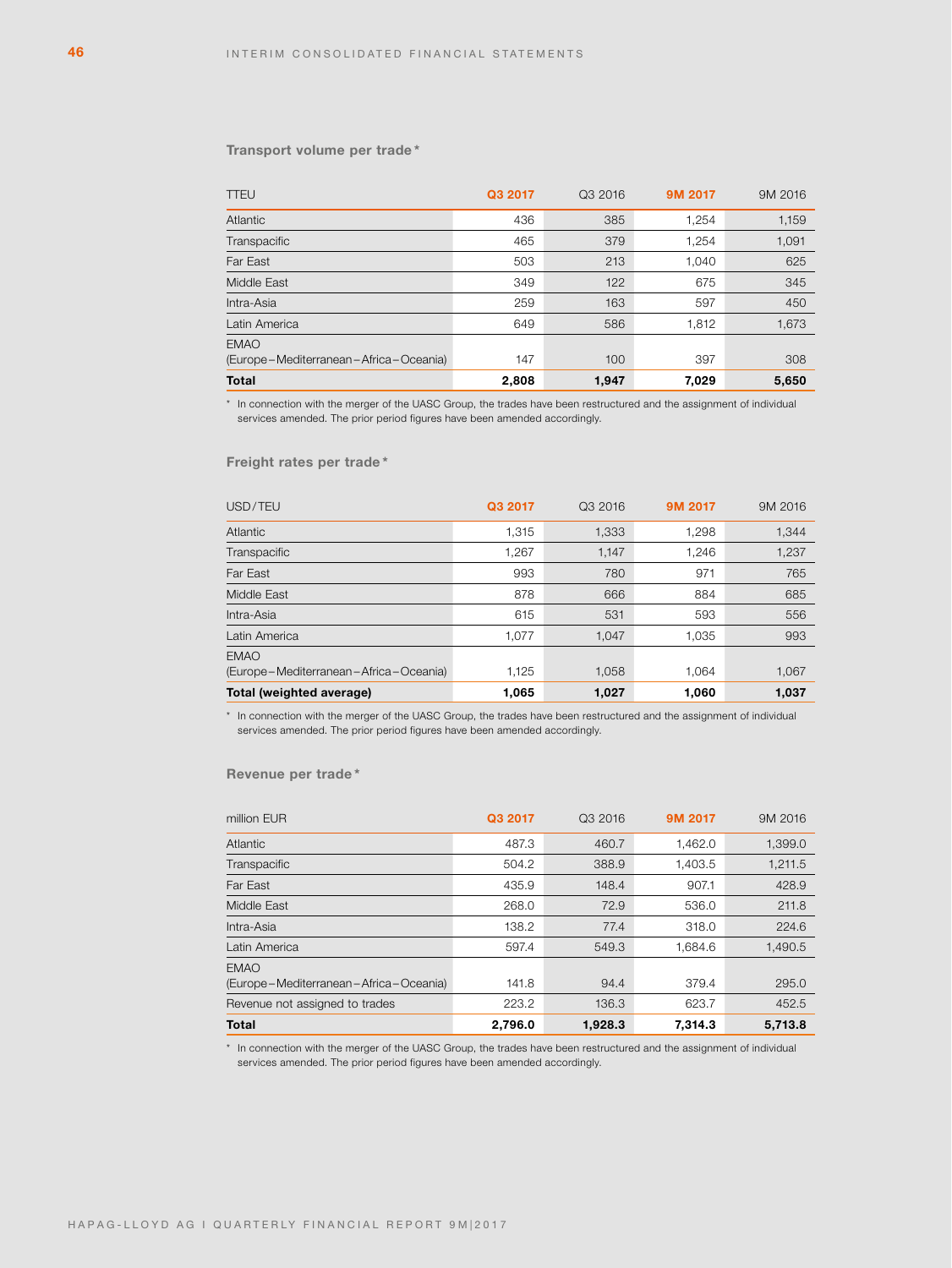### **Transport volume per trade \***

| <b>TTEU</b>                                                | Q3 2017 | Q3 2016 | 9M 2017 | 9M 2016 |
|------------------------------------------------------------|---------|---------|---------|---------|
| Atlantic                                                   | 436     | 385     | 1.254   | 1,159   |
| Transpacific                                               | 465     | 379     | 1,254   | 1,091   |
| Far East                                                   | 503     | 213     | 1,040   | 625     |
| Middle East                                                | 349     | 122     | 675     | 345     |
| Intra-Asia                                                 | 259     | 163     | 597     | 450     |
| Latin America                                              | 649     | 586     | 1,812   | 1,673   |
| <b>EMAO</b><br>(Europe – Mediterranean – Africa – Oceania) | 147     | 100     | 397     | 308     |
| <b>Total</b>                                               | 2,808   | 1,947   | 7,029   | 5,650   |

\* In connection with the merger of the UASC Group, the trades have been restructured and the assignment of individual services amended. The prior period figures have been amended accordingly.

# **Freight rates per trade \***

| USD/TEU                               | Q3 2017 | Q3 2016 | 9M 2017 | 9M 2016 |
|---------------------------------------|---------|---------|---------|---------|
| Atlantic                              | 1,315   | 1,333   | 1,298   | 1,344   |
| Transpacific                          | 1,267   | 1,147   | 1,246   | 1,237   |
| Far East                              | 993     | 780     | 971     | 765     |
| Middle East                           | 878     | 666     | 884     | 685     |
| Intra-Asia                            | 615     | 531     | 593     | 556     |
| Latin America                         | 1,077   | 1.047   | 1,035   | 993     |
| <b>EMAO</b>                           |         |         |         |         |
| (Europe-Mediterranean-Africa-Oceania) | 1,125   | 1,058   | 1.064   | 1,067   |
| Total (weighted average)              | 1,065   | 1,027   | 1,060   | 1.037   |

\* In connection with the merger of the UASC Group, the trades have been restructured and the assignment of individual services amended. The prior period figures have been amended accordingly.

# **Revenue per trade \***

| Total                                                      | 2,796.0 | 1,928.3 | 7,314.3 | 5,713.8 |
|------------------------------------------------------------|---------|---------|---------|---------|
| Revenue not assigned to trades                             | 223.2   | 136.3   | 623.7   | 452.5   |
| <b>EMAO</b><br>(Europe – Mediterranean – Africa – Oceania) | 141.8   | 94.4    | 379.4   | 295.0   |
| Latin America                                              | 597.4   | 549.3   | 1.684.6 | 1,490.5 |
| Intra-Asia                                                 | 138.2   | 77.4    | 318.0   | 224.6   |
| Middle East                                                | 268.0   | 72.9    | 536.0   | 211.8   |
| Far East                                                   | 435.9   | 148.4   | 907.1   | 428.9   |
| Transpacific                                               | 504.2   | 388.9   | 1,403.5 | 1,211.5 |
| Atlantic                                                   | 487.3   | 460.7   | 1,462.0 | 1,399.0 |
| million EUR                                                | Q3 2017 | Q3 2016 | 9M 2017 | 9M 2016 |

\* In connection with the merger of the UASC Group, the trades have been restructured and the assignment of individual services amended. The prior period figures have been amended accordingly.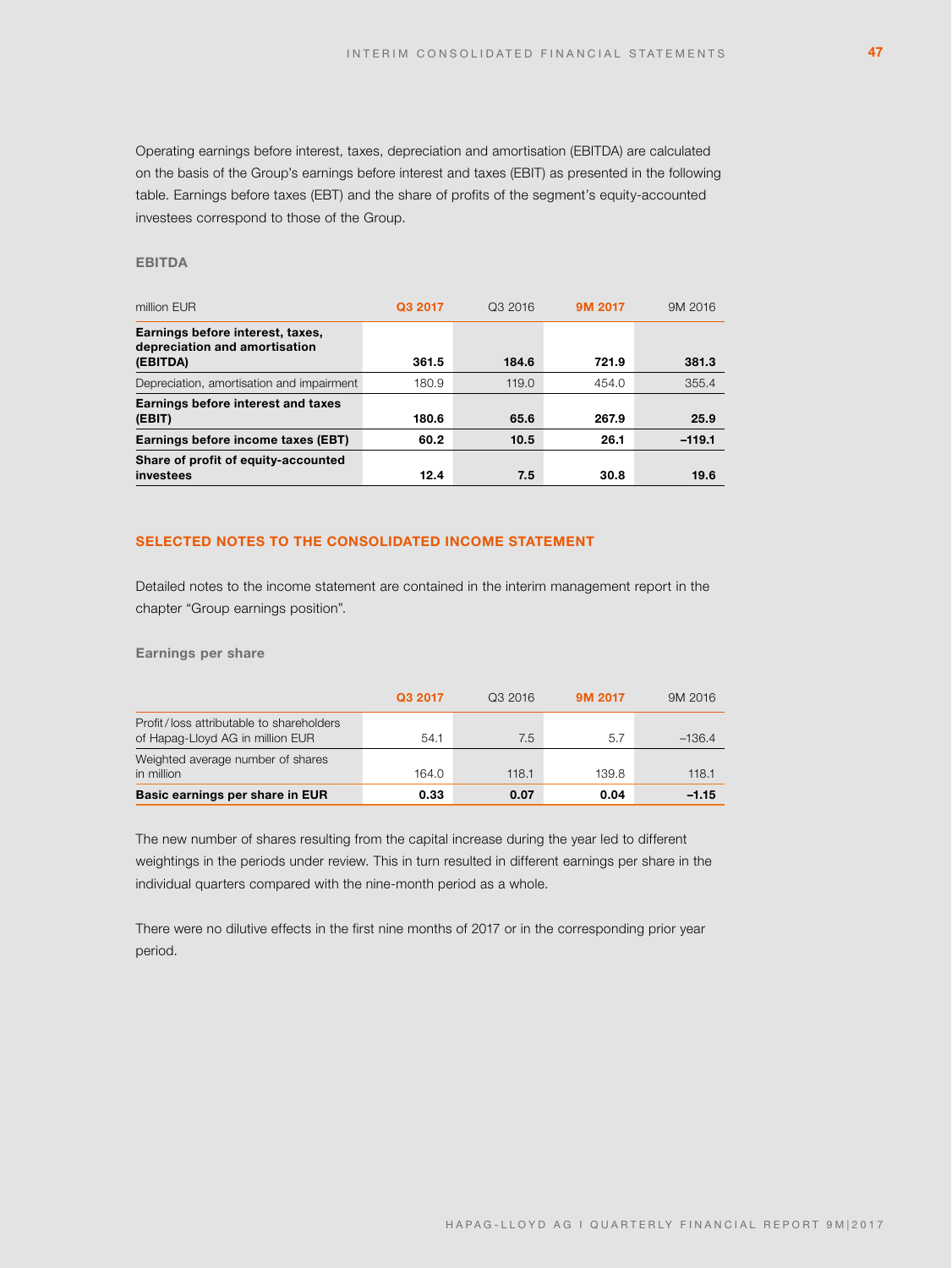Operating earnings before interest, taxes, depreciation and amortisation (EBITDA) are calculated on the basis of the Group's earnings before interest and taxes (EBIT) as presented in the following table. Earnings before taxes (EBT) and the share of profits of the segment's equity-accounted investees correspond to those of the Group.

# **EBITDA**

| million EUR                                                                   | Q3 2017 | Q3 2016 | 9M 2017 | 9M 2016  |
|-------------------------------------------------------------------------------|---------|---------|---------|----------|
| Earnings before interest, taxes,<br>depreciation and amortisation<br>(EBITDA) | 361.5   | 184.6   | 721.9   | 381.3    |
| Depreciation, amortisation and impairment                                     | 180.9   | 119.0   | 454.0   | 355.4    |
| Earnings before interest and taxes<br>(EBIT)                                  | 180.6   | 65.6    | 267.9   | 25.9     |
| Earnings before income taxes (EBT)                                            | 60.2    | 10.5    | 26.1    | $-119.1$ |
| Share of profit of equity-accounted<br>investees                              | 12.4    | 7.5     | 30.8    | 19.6     |

# **SELECTED NOTES TO THE CONSOLIDATED INCOME STATEMENT**

Detailed notes to the income statement are contained in the interim management report in the chapter "Group earnings position".

**Earnings per share**

| Basic earnings per share in EUR                                              | 0.33    | 0.07    | 0.04    | $-1.15$  |
|------------------------------------------------------------------------------|---------|---------|---------|----------|
| Weighted average number of shares<br>in million                              | 164.0   | 118.1   | 139.8   | 118.1    |
| Profit/loss attributable to shareholders<br>of Hapag-Lloyd AG in million EUR | 54.1    | 7.5     | 5.7     | $-136.4$ |
|                                                                              | Q3 2017 | Q3 2016 | 9M 2017 | 9M 2016  |

The new number of shares resulting from the capital increase during the year led to different weightings in the periods under review. This in turn resulted in different earnings per share in the individual quarters compared with the nine-month period as a whole.

There were no dilutive effects in the first nine months of 2017 or in the corresponding prior year period.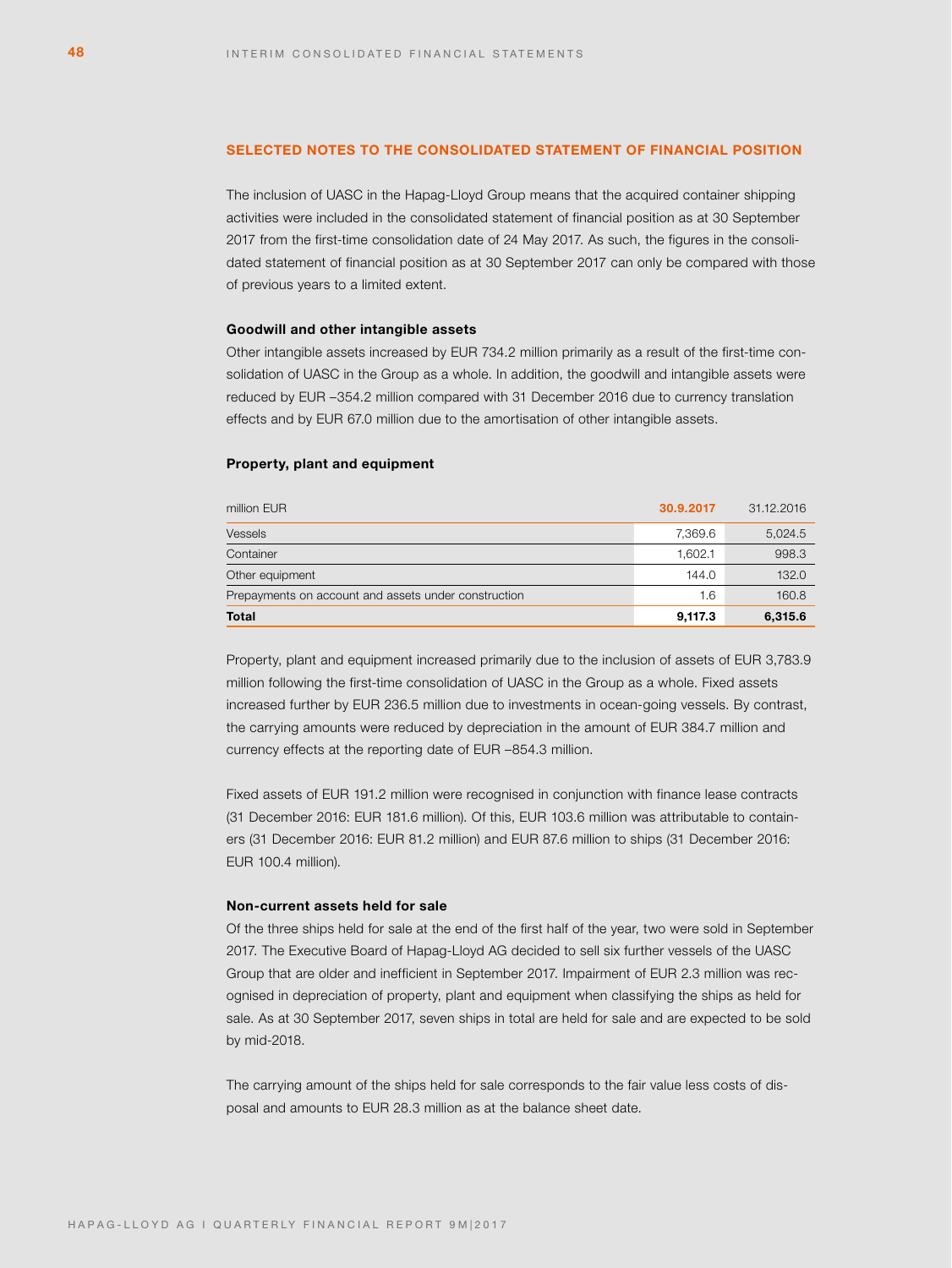### **SELECTED NOTES TO THE CONSOLIDATED STATEMENT OF FINANCIAL POSITION**

The inclusion of UASC in the Hapag-Lloyd Group means that the acquired container shipping activities were included in the consolidated statement of financial position as at 30 September 2017 from the first-time consolidation date of 24 May 2017. As such, the figures in the consolidated statement of financial position as at 30 September 2017 can only be compared with those of previous years to a limited extent.

### **Goodwill and other intangible assets**

Other intangible assets increased by EUR 734.2 million primarily as a result of the first-time consolidation of UASC in the Group as a whole. In addition, the goodwill and intangible assets were reduced by EUR –354.2 million compared with 31 December 2016 due to currency translation effects and by EUR 67.0 million due to the amortisation of other intangible assets.

### **Property, plant and equipment**

| million EUR                                          | 30.9.2017 | 31.12.2016 |
|------------------------------------------------------|-----------|------------|
| <b>Vessels</b>                                       | 7.369.6   | 5,024.5    |
| Container                                            | 1.602.1   | 998.3      |
| Other equipment                                      | 144.0     | 132.0      |
| Prepayments on account and assets under construction | 1.6       | 160.8      |
| <b>Total</b>                                         | 9,117.3   | 6,315.6    |

Property, plant and equipment increased primarily due to the inclusion of assets of EUR 3,783.9 million following the first-time consolidation of UASC in the Group as a whole. Fixed assets increased further by EUR 236.5 million due to investments in ocean-going vessels. By contrast, the carrying amounts were reduced by depreciation in the amount of EUR 384.7 million and currency effects at the reporting date of EUR –854.3 million.

Fixed assets of EUR 191.2 million were recognised in conjunction with finance lease contracts (31 December 2016: EUR 181.6 million). Of this, EUR 103.6 million was attributable to containers (31 December 2016: EUR 81.2 million) and EUR 87.6 million to ships (31 December 2016: EUR 100.4 million).

# **Non-current assets held for sale**

Of the three ships held for sale at the end of the first half of the year, two were sold in September 2017. The Executive Board of Hapag-Lloyd AG decided to sell six further vessels of the UASC Group that are older and inefficient in September 2017. Impairment of EUR 2.3 million was recognised in depreciation of property, plant and equipment when classifying the ships as held for sale. As at 30 September 2017, seven ships in total are held for sale and are expected to be sold by mid-2018.

The carrying amount of the ships held for sale corresponds to the fair value less costs of disposal and amounts to EUR 28.3 million as at the balance sheet date.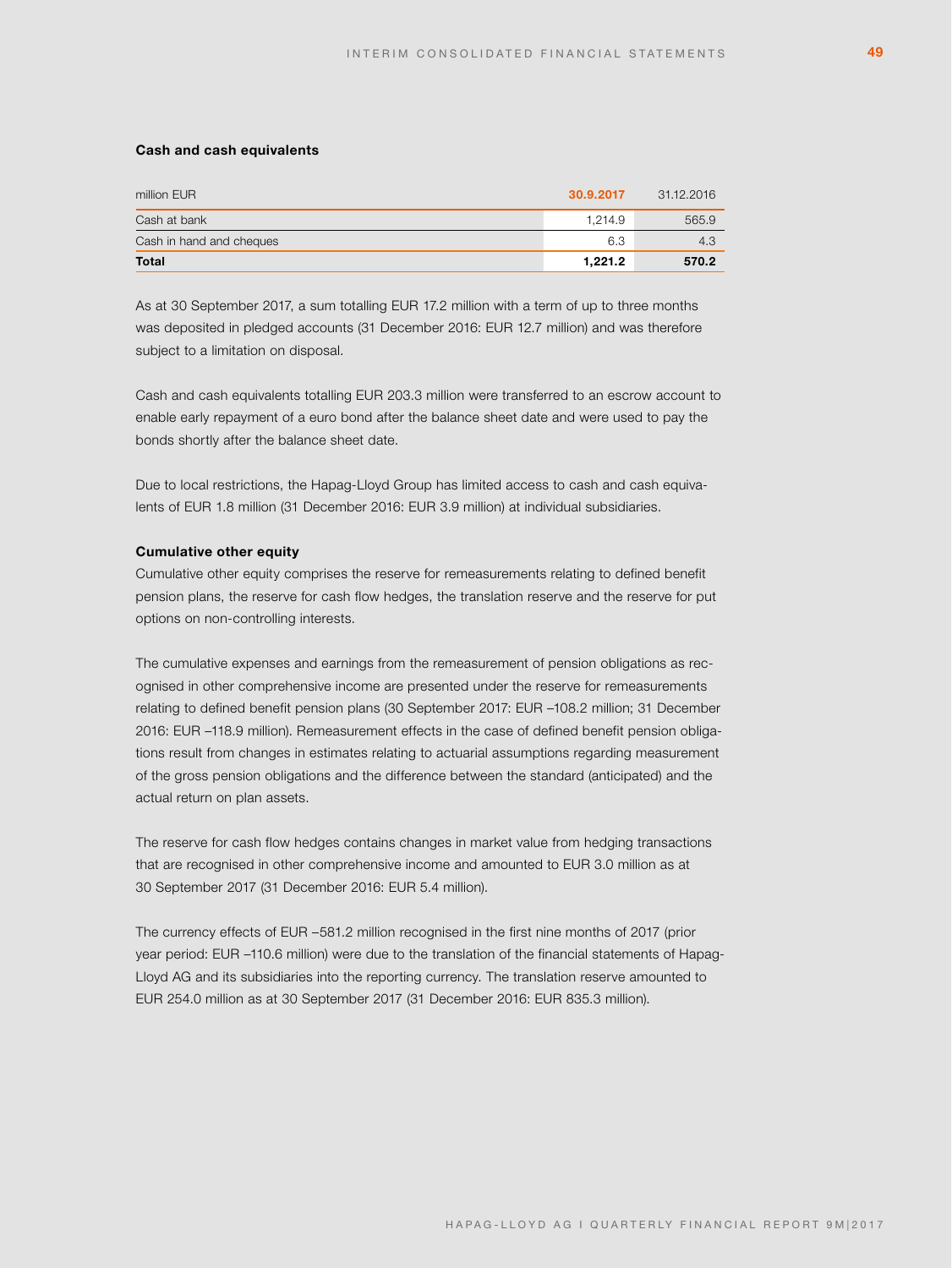#### **Cash and cash equivalents**

| million EUR              | 30.9.2017 | 31.12.2016 |
|--------------------------|-----------|------------|
| Cash at bank             | 1.214.9   | 565.9      |
| Cash in hand and cheques | 6.3       | 4.3        |
| <b>Total</b>             | 1.221.2   | 570.2      |

As at 30 September 2017, a sum totalling EUR 17.2 million with a term of up to three months was deposited in pledged accounts (31 December 2016: EUR 12.7 million) and was therefore subject to a limitation on disposal.

Cash and cash equivalents totalling EUR 203.3 million were transferred to an escrow account to enable early repayment of a euro bond after the balance sheet date and were used to pay the bonds shortly after the balance sheet date.

Due to local restrictions, the Hapag-Lloyd Group has limited access to cash and cash equivalents of EUR 1.8 million (31 December 2016: EUR 3.9 million) at individual subsidiaries.

### **Cumulative other equity**

Cumulative other equity comprises the reserve for remeasurements relating to defined benefit pension plans, the reserve for cash flow hedges, the translation reserve and the reserve for put options on non-controlling interests.

The cumulative expenses and earnings from the remeasurement of pension obligations as recognised in other comprehensive income are presented under the reserve for remeasurements relating to defined benefit pension plans (30 September 2017: EUR –108.2 million; 31 December 2016: EUR –118.9 million). Remeasurement effects in the case of defined benefit pension obligations result from changes in estimates relating to actuarial assumptions regarding measurement of the gross pension obligations and the difference between the standard (anticipated) and the actual return on plan assets.

The reserve for cash flow hedges contains changes in market value from hedging transactions that are recognised in other comprehensive income and amounted to EUR 3.0 million as at 30 September 2017 (31 December 2016: EUR 5.4 million).

The currency effects of EUR –581.2 million recognised in the first nine months of 2017 (prior year period: EUR –110.6 million) were due to the translation of the financial statements of Hapag-Lloyd AG and its subsidiaries into the reporting currency. The translation reserve amounted to EUR 254.0 million as at 30 September 2017 (31 December 2016: EUR 835.3 million).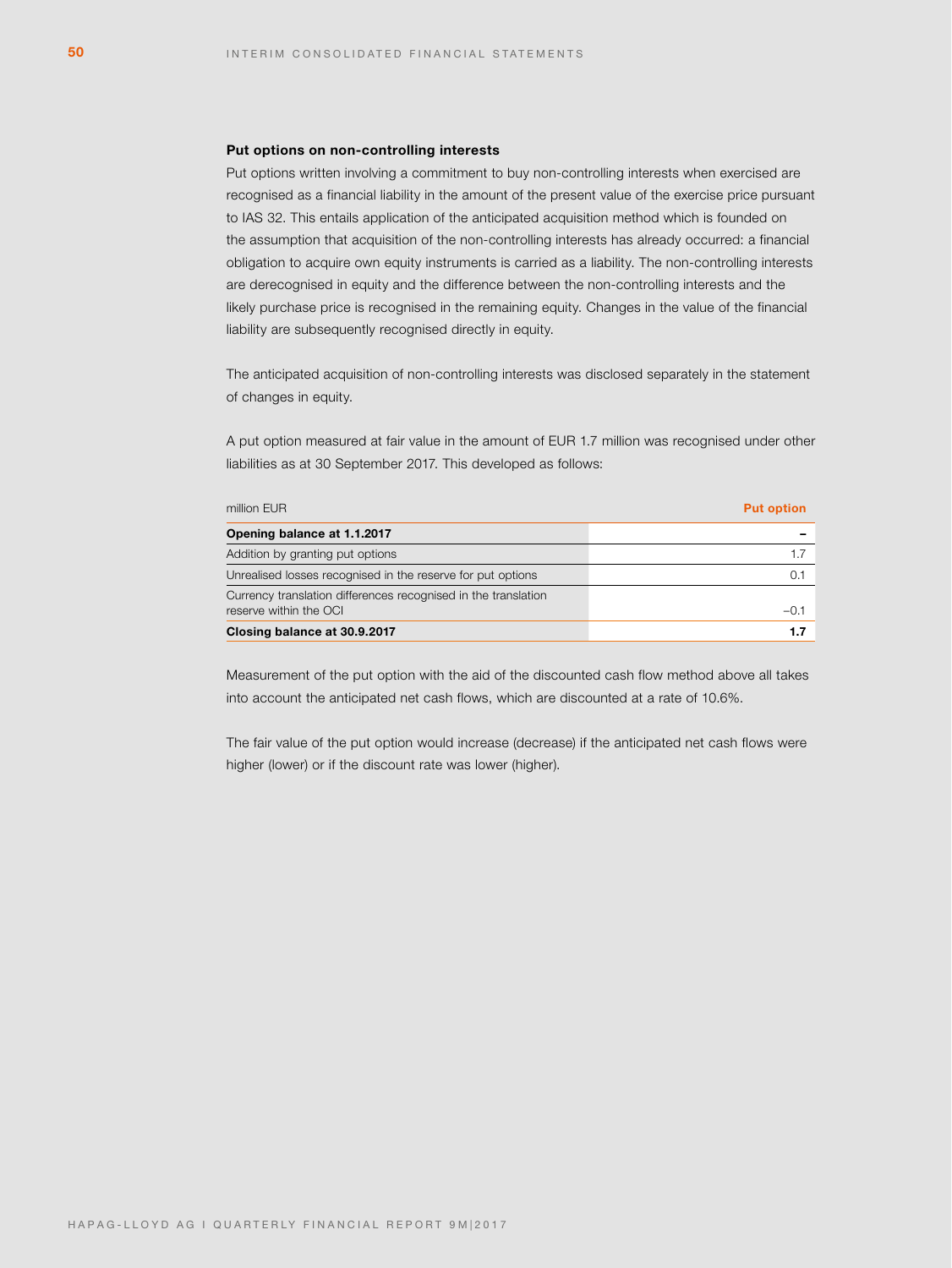### **Put options on non-controlling interests**

Put options written involving a commitment to buy non-controlling interests when exercised are recognised as a financial liability in the amount of the present value of the exercise price pursuant to IAS 32. This entails application of the anticipated acquisition method which is founded on the assumption that acquisition of the non-controlling interests has already occurred: a financial obligation to acquire own equity instruments is carried as a liability. The non-controlling interests are derecognised in equity and the difference between the non-controlling interests and the likely purchase price is recognised in the remaining equity. Changes in the value of the financial liability are subsequently recognised directly in equity.

The anticipated acquisition of non-controlling interests was disclosed separately in the statement of changes in equity.

A put option measured at fair value in the amount of EUR 1.7 million was recognised under other liabilities as at 30 September 2017. This developed as follows:

| million EUR                                                                              | <b>Put option</b> |
|------------------------------------------------------------------------------------------|-------------------|
| Opening balance at 1.1.2017                                                              |                   |
| Addition by granting put options                                                         |                   |
| Unrealised losses recognised in the reserve for put options                              | 0.1               |
| Currency translation differences recognised in the translation<br>reserve within the OCI | $-0.1$            |
| Closing balance at 30.9.2017                                                             | 1.7               |

Measurement of the put option with the aid of the discounted cash flow method above all takes into account the anticipated net cash flows, which are discounted at a rate of 10.6%.

The fair value of the put option would increase (decrease) if the anticipated net cash flows were higher (lower) or if the discount rate was lower (higher).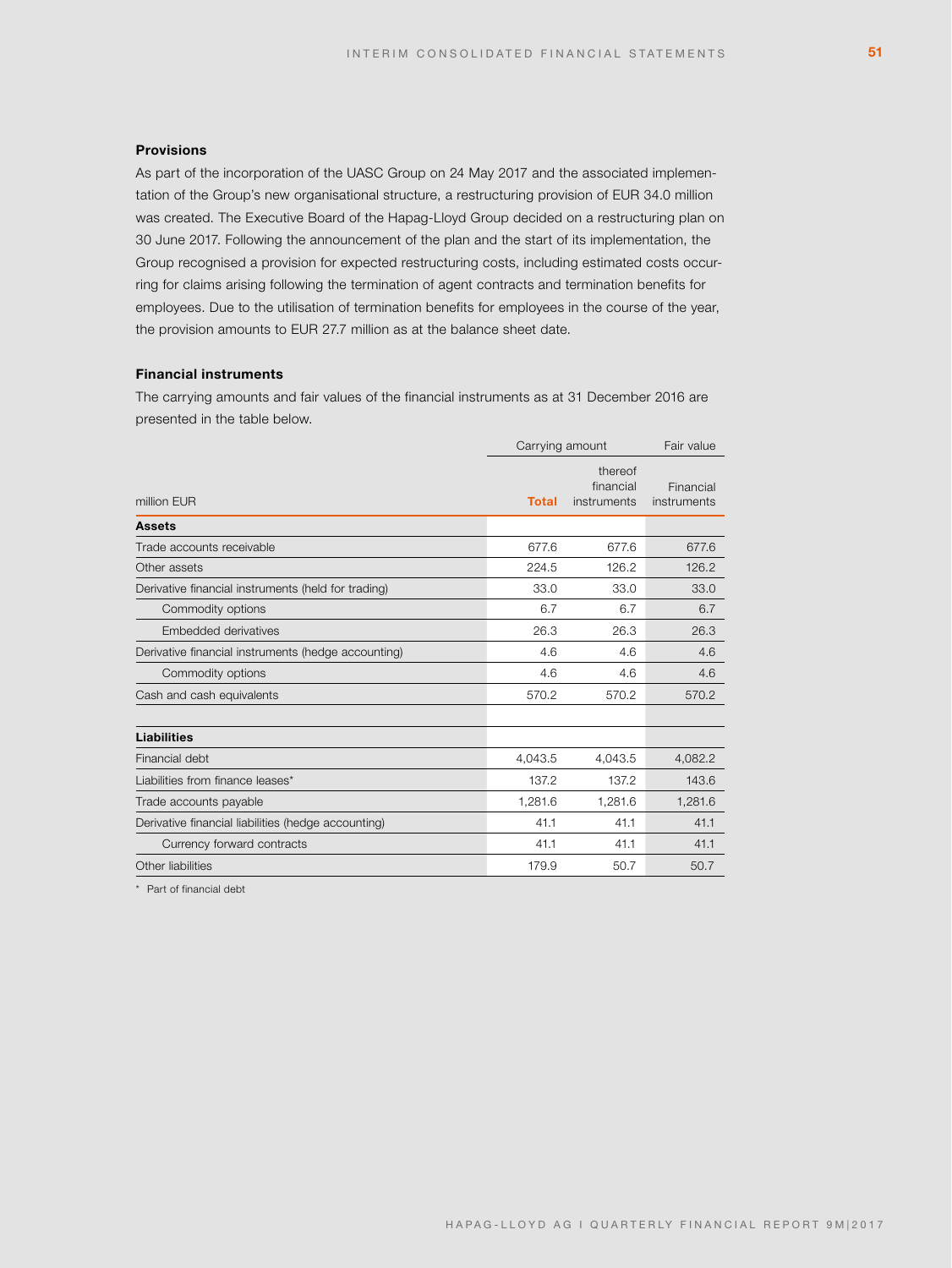# **Provisions**

As part of the incorporation of the UASC Group on 24 May 2017 and the associated implementation of the Group's new organisational structure, a restructuring provision of EUR 34.0 million was created. The Executive Board of the Hapag-Lloyd Group decided on a restructuring plan on 30 June 2017. Following the announcement of the plan and the start of its implementation, the Group recognised a provision for expected restructuring costs, including estimated costs occurring for claims arising following the termination of agent contracts and termination benefits for employees. Due to the utilisation of termination benefits for employees in the course of the year, the provision amounts to EUR 27.7 million as at the balance sheet date.

# **Financial instruments**

The carrying amounts and fair values of the financial instruments as at 31 December 2016 are presented in the table below.

|                                                     | Carrying amount |                                     | Fair value               |
|-----------------------------------------------------|-----------------|-------------------------------------|--------------------------|
| million EUR                                         | <b>Total</b>    | thereof<br>financial<br>instruments | Financial<br>instruments |
| <b>Assets</b>                                       |                 |                                     |                          |
| Trade accounts receivable                           | 677.6           | 677.6                               | 677.6                    |
| Other assets                                        | 224.5           | 126.2                               | 126.2                    |
| Derivative financial instruments (held for trading) | 33.0            | 33.0                                | 33.0                     |
| Commodity options                                   | 6.7             | 6.7                                 | 6.7                      |
| Embedded derivatives                                | 26.3            | 26.3                                | 26.3                     |
| Derivative financial instruments (hedge accounting) | 4.6             | 4.6                                 | 4.6                      |
| Commodity options                                   | 4.6             | 4.6                                 | 4.6                      |
| Cash and cash equivalents                           | 570.2           | 570.2                               | 570.2                    |
| <b>Liabilities</b>                                  |                 |                                     |                          |
| Financial debt                                      | 4,043.5         | 4,043.5                             | 4,082.2                  |
| Liabilities from finance leases*                    | 137.2           | 137.2                               | 143.6                    |
| Trade accounts payable                              | 1,281.6         | 1,281.6                             | 1,281.6                  |
| Derivative financial liabilities (hedge accounting) | 41.1            | 41.1                                | 41.1                     |
| Currency forward contracts                          | 41.1            | 41.1                                | 41.1                     |
| Other liabilities                                   | 179.9           | 50.7                                | 50.7                     |
|                                                     |                 |                                     |                          |

\* Part of financial debt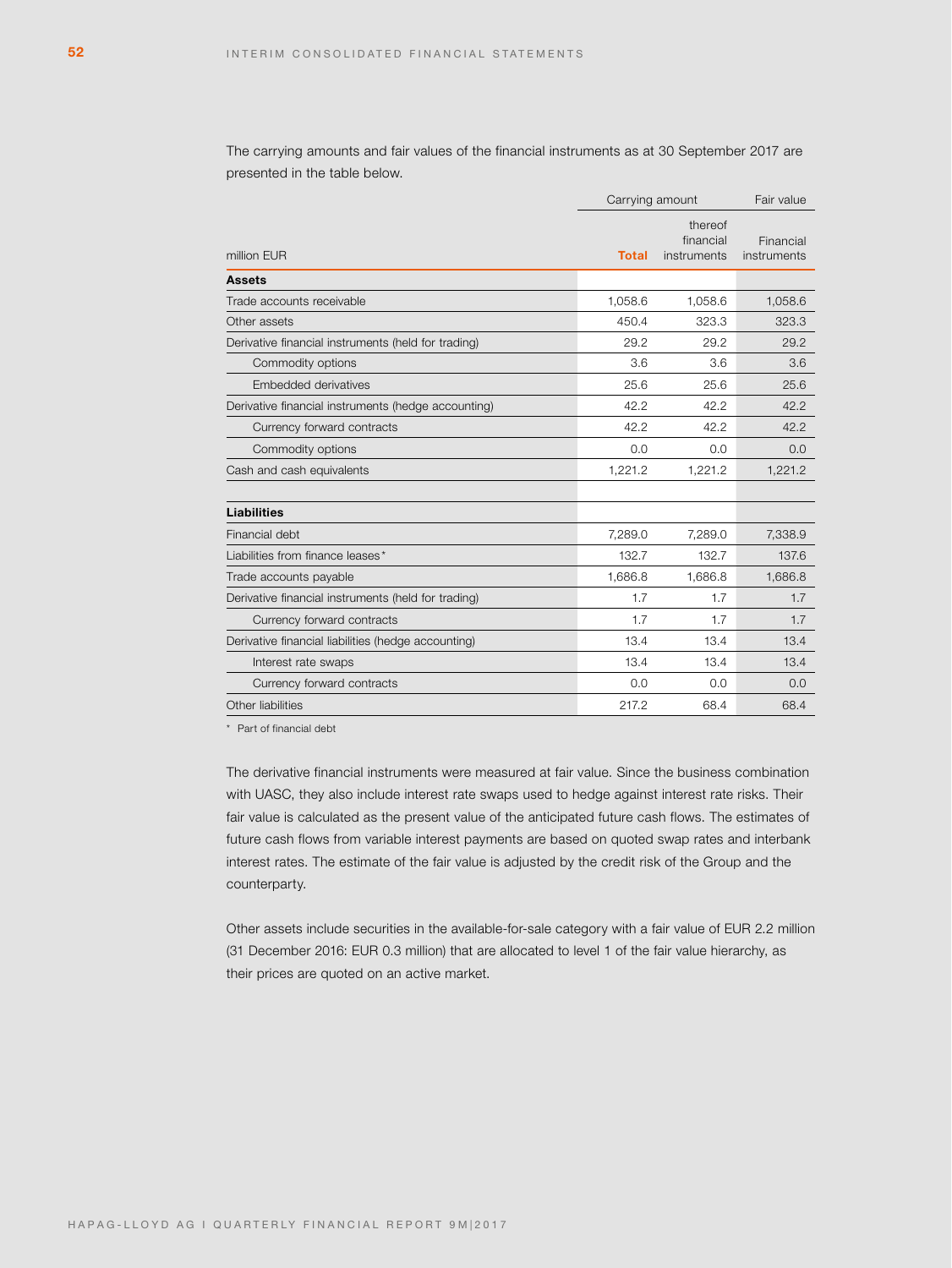The carrying amounts and fair values of the financial instruments as at 30 September 2017 are presented in the table below.

|                                                     |              | Carrying amount                     |                          |
|-----------------------------------------------------|--------------|-------------------------------------|--------------------------|
| million EUR                                         | <b>Total</b> | thereof<br>financial<br>instruments | Financial<br>instruments |
| <b>Assets</b>                                       |              |                                     |                          |
| Trade accounts receivable                           | 1,058.6      | 1.058.6                             | 1,058.6                  |
| Other assets                                        | 450.4        | 323.3                               | 323.3                    |
| Derivative financial instruments (held for trading) | 29.2         | 29.2                                | 29.2                     |
| Commodity options                                   | 3.6          | 3.6                                 | 3.6                      |
| Embedded derivatives                                | 25.6         | 25.6                                | 25.6                     |
| Derivative financial instruments (hedge accounting) | 42.2         | 42.2                                | 42.2                     |
| Currency forward contracts                          | 42.2         | 42.2                                | 42.2                     |
| Commodity options                                   | 0.0          | 0.0                                 | 0.0                      |
| Cash and cash equivalents                           | 1,221.2      | 1,221.2                             | 1,221.2                  |
| <b>Liabilities</b>                                  |              |                                     |                          |
| Financial debt                                      | 7,289.0      | 7,289.0                             | 7,338.9                  |
| Liabilities from finance leases*                    | 132.7        | 132.7                               | 137.6                    |
| Trade accounts payable                              | 1,686.8      | 1,686.8                             | 1,686.8                  |
| Derivative financial instruments (held for trading) | 1.7          | 1.7                                 | 1.7                      |
| Currency forward contracts                          | 1.7          | 1.7                                 | 1.7                      |
| Derivative financial liabilities (hedge accounting) | 13.4         | 13.4                                | 13.4                     |
| Interest rate swaps                                 | 13.4         | 13.4                                | 13.4                     |
| Currency forward contracts                          | 0.0          | 0.0                                 | 0.0                      |
| Other liabilities                                   | 217.2        | 68.4                                | 68.4                     |

\* Part of financial debt

The derivative financial instruments were measured at fair value. Since the business combination with UASC, they also include interest rate swaps used to hedge against interest rate risks. Their fair value is calculated as the present value of the anticipated future cash flows. The estimates of future cash flows from variable interest payments are based on quoted swap rates and interbank interest rates. The estimate of the fair value is adjusted by the credit risk of the Group and the counterparty.

Other assets include securities in the available-for-sale category with a fair value of EUR 2.2 million (31 December 2016: EUR 0.3 million) that are allocated to level 1 of the fair value hierarchy, as their prices are quoted on an active market.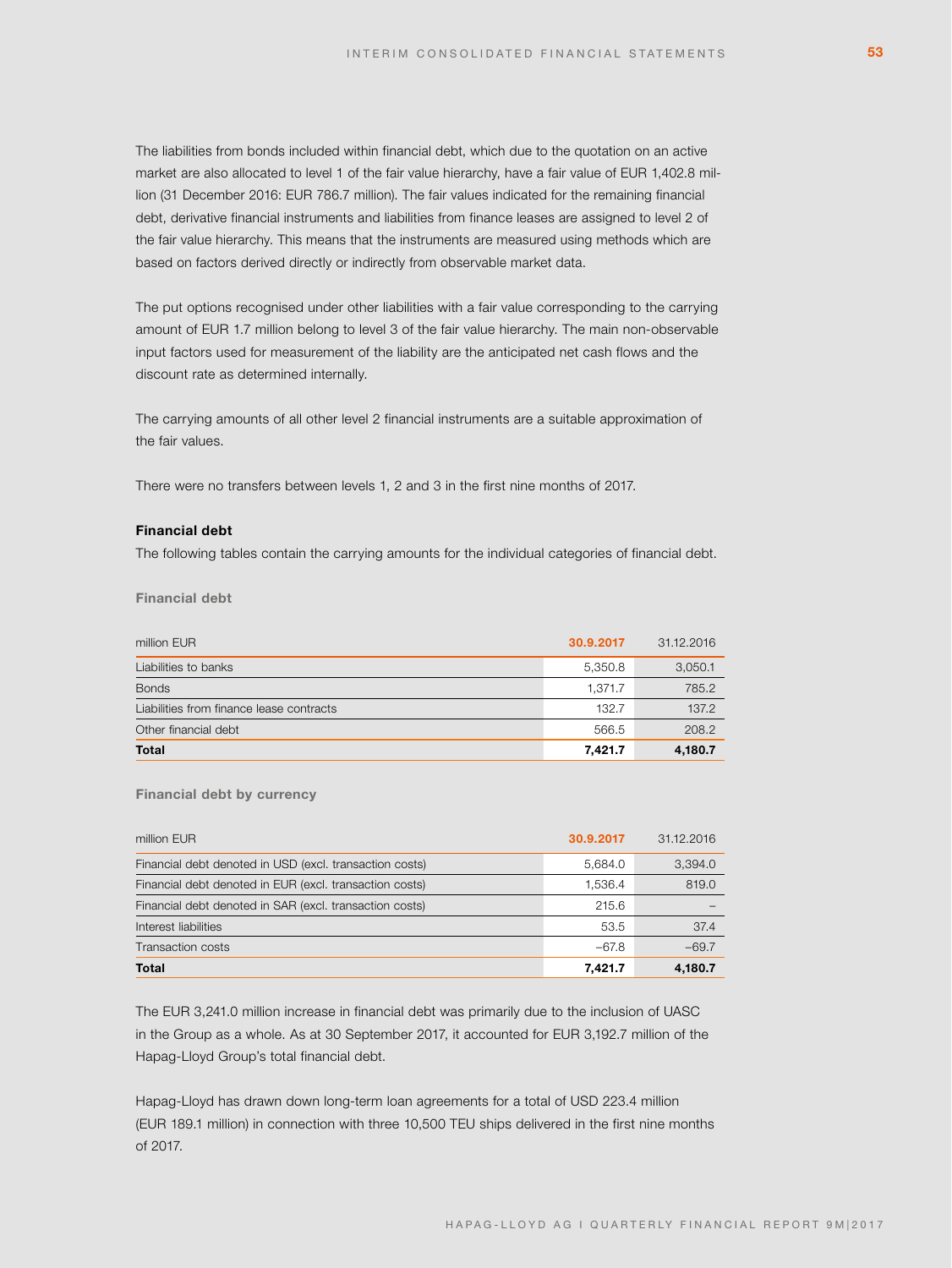The liabilities from bonds included within financial debt, which due to the quotation on an active market are also allocated to level 1 of the fair value hierarchy, have a fair value of EUR 1,402.8 million (31 December 2016: EUR 786.7 million). The fair values indicated for the remaining financial debt, derivative financial instruments and liabilities from finance leases are assigned to level 2 of the fair value hierarchy. This means that the instruments are measured using methods which are based on factors derived directly or indirectly from observable market data.

The put options recognised under other liabilities with a fair value corresponding to the carrying amount of EUR 1.7 million belong to level 3 of the fair value hierarchy. The main non-observable input factors used for measurement of the liability are the anticipated net cash flows and the discount rate as determined internally.

The carrying amounts of all other level 2 financial instruments are a suitable approximation of the fair values.

There were no transfers between levels 1, 2 and 3 in the first nine months of 2017.

# **Financial debt**

The following tables contain the carrying amounts for the individual categories of financial debt.

**Financial debt**

| million EUR                              | 30.9.2017 | 31.12.2016 |
|------------------------------------------|-----------|------------|
| Liabilities to banks                     | 5,350.8   | 3,050.1    |
| <b>Bonds</b>                             | 1.371.7   | 785.2      |
| Liabilities from finance lease contracts | 132.7     | 137.2      |
| Other financial debt                     | 566.5     | 208.2      |
| <b>Total</b>                             | 7,421.7   | 4,180.7    |

### **Financial debt by currency**

| million EUR                                             | 30.9.2017 | 31.12.2016 |
|---------------------------------------------------------|-----------|------------|
| Financial debt denoted in USD (excl. transaction costs) | 5,684.0   | 3,394.0    |
| Financial debt denoted in EUR (excl. transaction costs) | 1,536.4   | 819.0      |
| Financial debt denoted in SAR (excl. transaction costs) | 215.6     |            |
| Interest liabilities                                    | 53.5      | 37.4       |
| Transaction costs                                       | $-67.8$   | $-69.7$    |
| <b>Total</b>                                            | 7.421.7   | 4,180.7    |

The EUR 3,241.0 million increase in financial debt was primarily due to the inclusion of UASC in the Group as a whole. As at 30 September 2017, it accounted for EUR 3,192.7 million of the Hapag-Lloyd Group's total financial debt.

Hapag-Lloyd has drawn down long-term loan agreements for a total of USD 223.4 million (EUR 189.1 million) in connection with three 10,500 TEU ships delivered in the first nine months of 2017.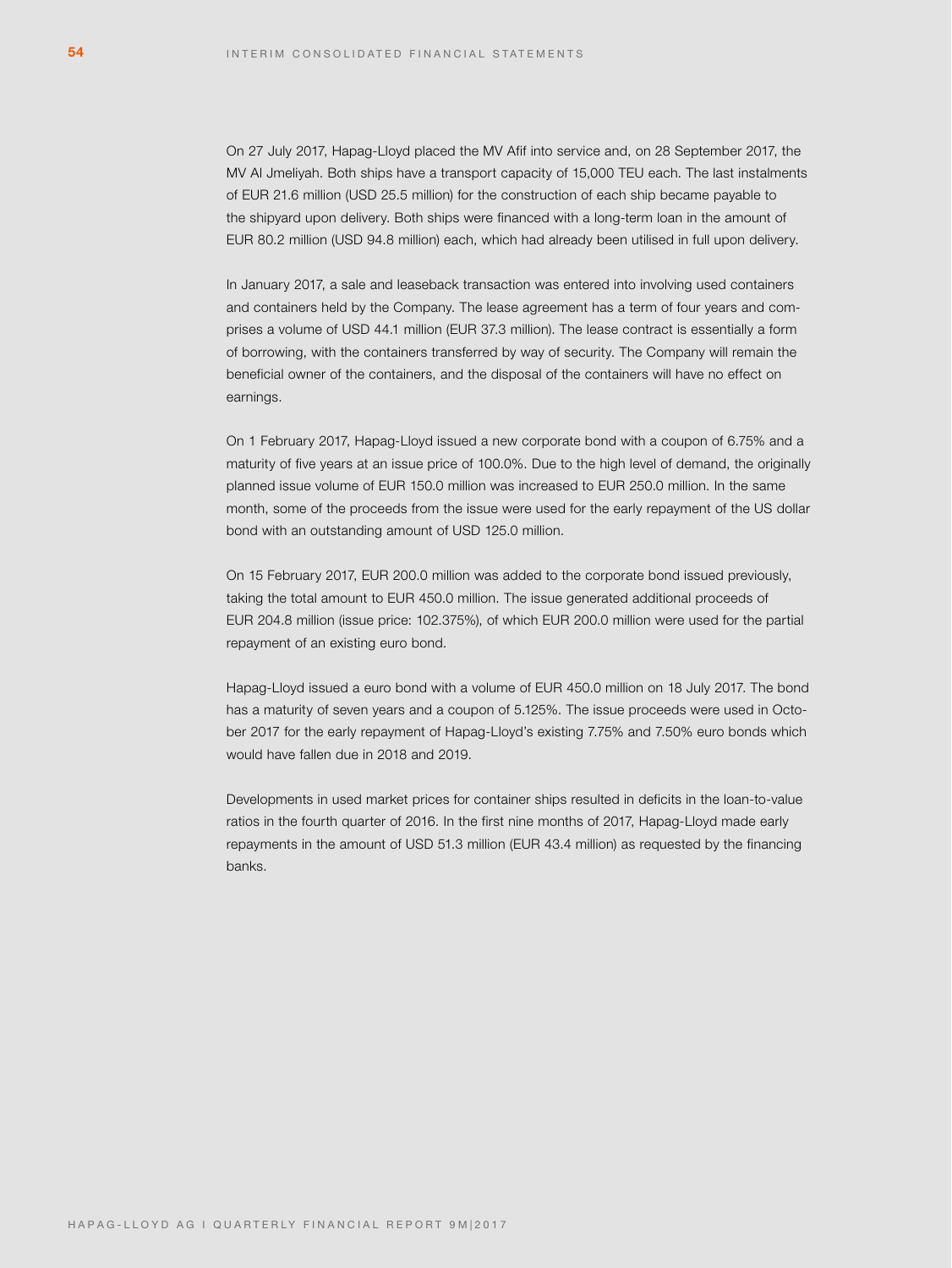On 27 July 2017, Hapag-Lloyd placed the MV Afif into service and, on 28 September 2017, the MV Al Jmeliyah. Both ships have a transport capacity of 15,000 TEU each. The last instalments of EUR 21.6 million (USD 25.5 million) for the construction of each ship became payable to the shipyard upon delivery. Both ships were financed with a long-term loan in the amount of EUR 80.2 million (USD 94.8 million) each, which had already been utilised in full upon delivery.

In January 2017, a sale and leaseback transaction was entered into involving used containers and containers held by the Company. The lease agreement has a term of four years and comprises a volume of USD 44.1 million (EUR 37.3 million). The lease contract is essentially a form of borrowing, with the containers transferred by way of security. The Company will remain the beneficial owner of the containers, and the disposal of the containers will have no effect on earnings.

On 1 February 2017, Hapag-Lloyd issued a new corporate bond with a coupon of 6.75% and a maturity of five years at an issue price of 100.0%. Due to the high level of demand, the originally planned issue volume of EUR 150.0 million was increased to EUR 250.0 million. In the same month, some of the proceeds from the issue were used for the early repayment of the US dollar bond with an outstanding amount of USD 125.0 million.

On 15 February 2017, EUR 200.0 million was added to the corporate bond issued previously, taking the total amount to EUR 450.0 million. The issue generated additional proceeds of EUR 204.8 million (issue price: 102.375%), of which EUR 200.0 million were used for the partial repayment of an existing euro bond.

Hapag-Lloyd issued a euro bond with a volume of EUR 450.0 million on 18 July 2017. The bond has a maturity of seven years and a coupon of 5.125%. The issue proceeds were used in October 2017 for the early repayment of Hapag-Lloyd's existing 7.75% and 7.50% euro bonds which would have fallen due in 2018 and 2019.

Developments in used market prices for container ships resulted in deficits in the loan-to-value ratios in the fourth quarter of 2016. In the first nine months of 2017, Hapag-Lloyd made early repayments in the amount of USD 51.3 million (EUR 43.4 million) as requested by the financing banks.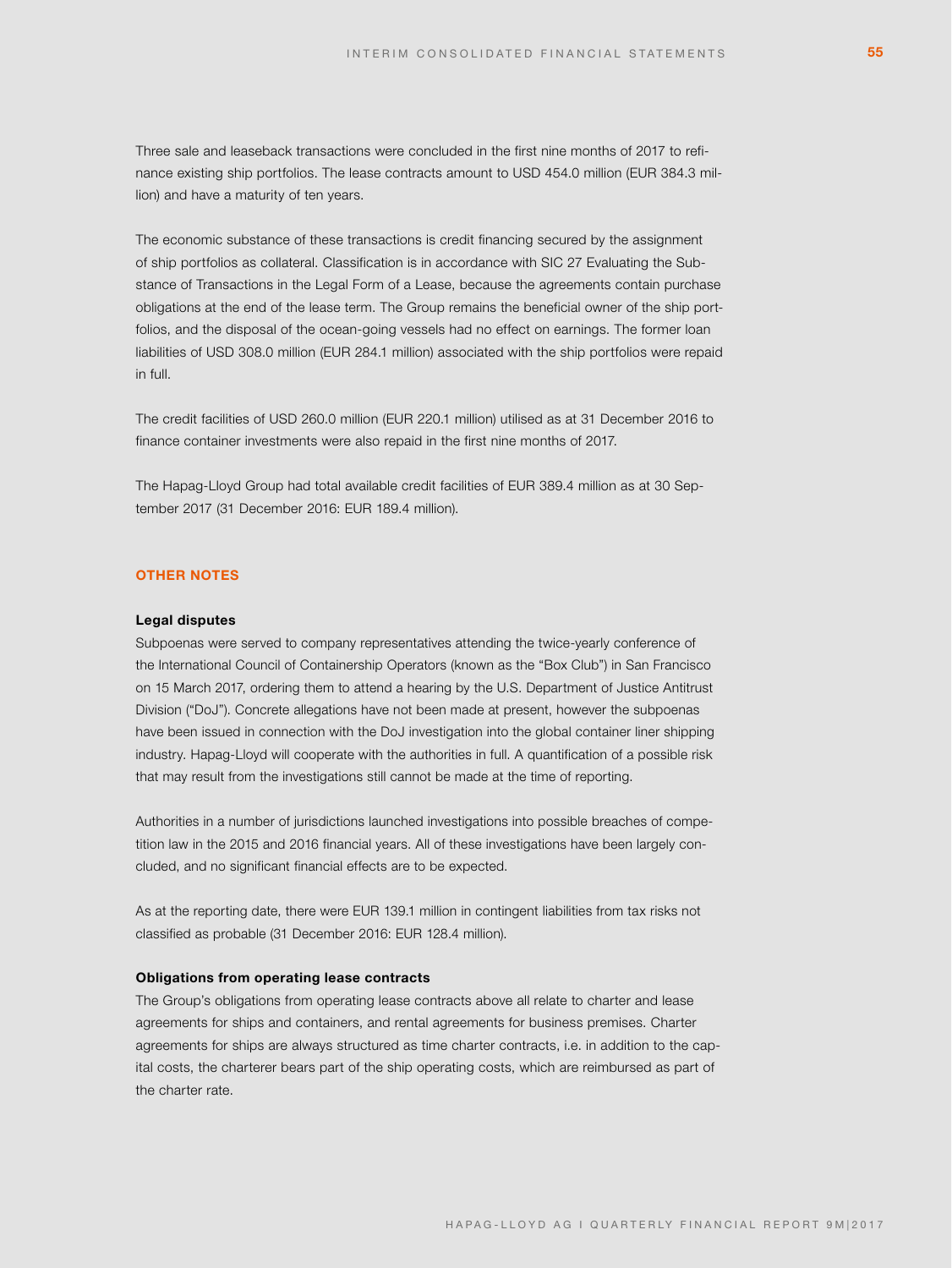Three sale and leaseback transactions were concluded in the first nine months of 2017 to refinance existing ship portfolios. The lease contracts amount to USD 454.0 million (EUR 384.3 million) and have a maturity of ten years.

The economic substance of these transactions is credit financing secured by the assignment of ship portfolios as collateral. Classification is in accordance with SIC 27 Evaluating the Substance of Transactions in the Legal Form of a Lease, because the agreements contain purchase obligations at the end of the lease term. The Group remains the beneficial owner of the ship portfolios, and the disposal of the ocean-going vessels had no effect on earnings. The former loan liabilities of USD 308.0 million (EUR 284.1 million) associated with the ship portfolios were repaid in full.

The credit facilities of USD 260.0 million (EUR 220.1 million) utilised as at 31 December 2016 to finance container investments were also repaid in the first nine months of 2017.

The Hapag-Lloyd Group had total available credit facilities of EUR 389.4 million as at 30 September 2017 (31 December 2016: EUR 189.4 million).

# **OTHER NOTES**

### **Legal disputes**

Subpoenas were served to company representatives attending the twice-yearly conference of the International Council of Containership Operators (known as the "Box Club") in San Francisco on 15 March 2017, ordering them to attend a hearing by the U.S. Department of Justice Antitrust Division ("DoJ"). Concrete allegations have not been made at present, however the subpoenas have been issued in connection with the DoJ investigation into the global container liner shipping industry. Hapag-Lloyd will cooperate with the authorities in full. A quantification of a possible risk that may result from the investigations still cannot be made at the time of reporting.

Authorities in a number of jurisdictions launched investigations into possible breaches of competition law in the 2015 and 2016 financial years. All of these investigations have been largely concluded, and no significant financial effects are to be expected.

As at the reporting date, there were EUR 139.1 million in contingent liabilities from tax risks not classified as probable (31 December 2016: EUR 128.4 million).

# **Obligations from operating lease contracts**

The Group's obligations from operating lease contracts above all relate to charter and lease agreements for ships and containers, and rental agreements for business premises. Charter agreements for ships are always structured as time charter contracts, i.e. in addition to the capital costs, the charterer bears part of the ship operating costs, which are reimbursed as part of the charter rate.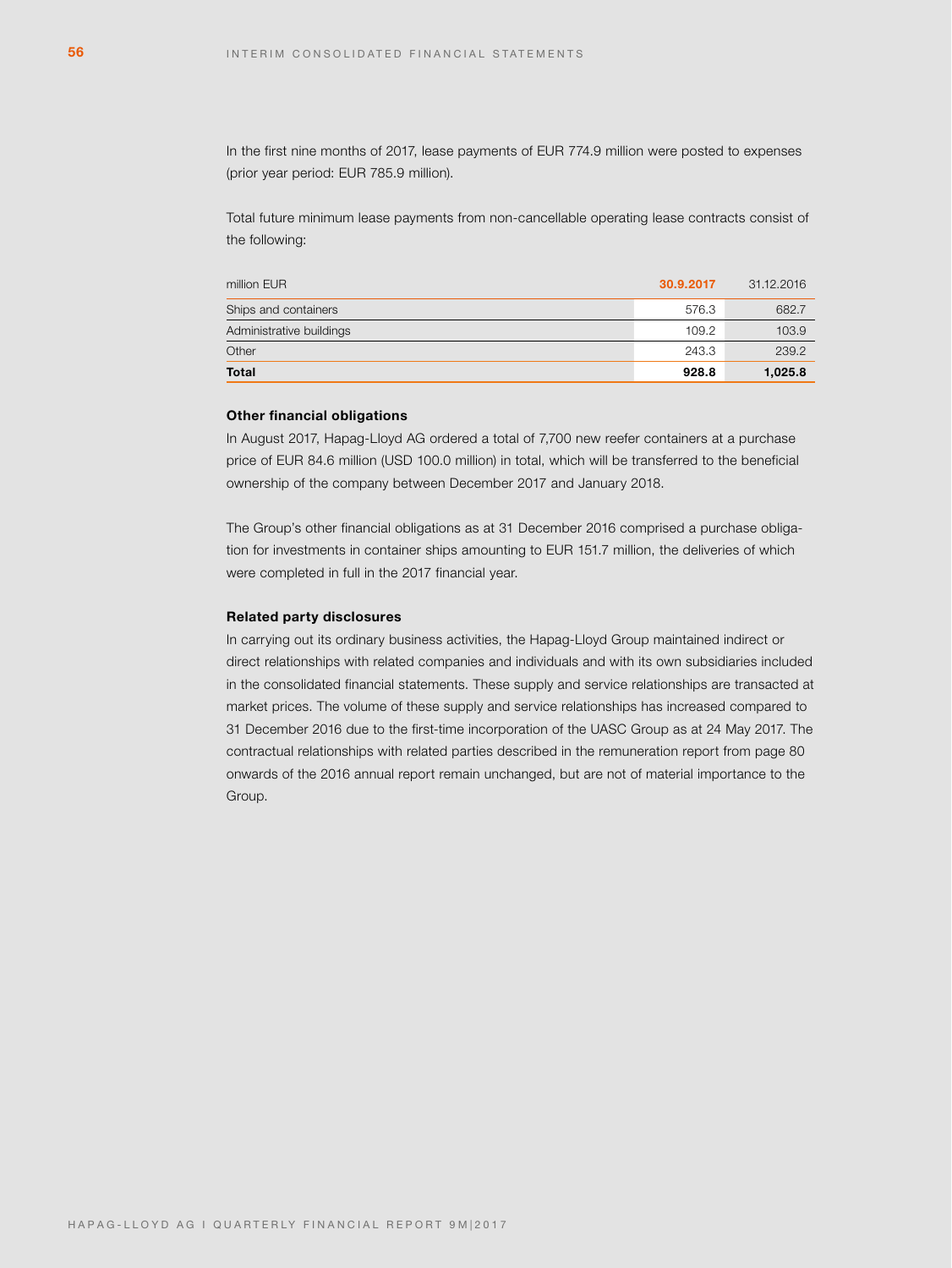In the first nine months of 2017, lease payments of EUR 774.9 million were posted to expenses (prior year period: EUR 785.9 million).

Total future minimum lease payments from non-cancellable operating lease contracts consist of the following:

| million EUR              | 30.9.2017 | 31.12.2016 |
|--------------------------|-----------|------------|
| Ships and containers     | 576.3     | 682.7      |
| Administrative buildings | 109.2     | 103.9      |
| Other                    | 243.3     | 239.2      |
| <b>Total</b>             | 928.8     | 1,025.8    |

# **Other financial obligations**

In August 2017, Hapag-Lloyd AG ordered a total of 7,700 new reefer containers at a purchase price of EUR 84.6 million (USD 100.0 million) in total, which will be transferred to the beneficial ownership of the company between December 2017 and January 2018.

The Group's other financial obligations as at 31 December 2016 comprised a purchase obligation for investments in container ships amounting to EUR 151.7 million, the deliveries of which were completed in full in the 2017 financial year.

### **Related party disclosures**

In carrying out its ordinary business activities, the Hapag-Lloyd Group maintained indirect or direct relationships with related companies and individuals and with its own subsidiaries included in the consolidated financial statements. These supply and service relationships are transacted at market prices. The volume of these supply and service relationships has increased compared to 31 December 2016 due to the first-time incorporation of the UASC Group as at 24 May 2017. The contractual relationships with related parties described in the remuneration report from page 80 onwards of the 2016 annual report remain unchanged, but are not of material importance to the Group.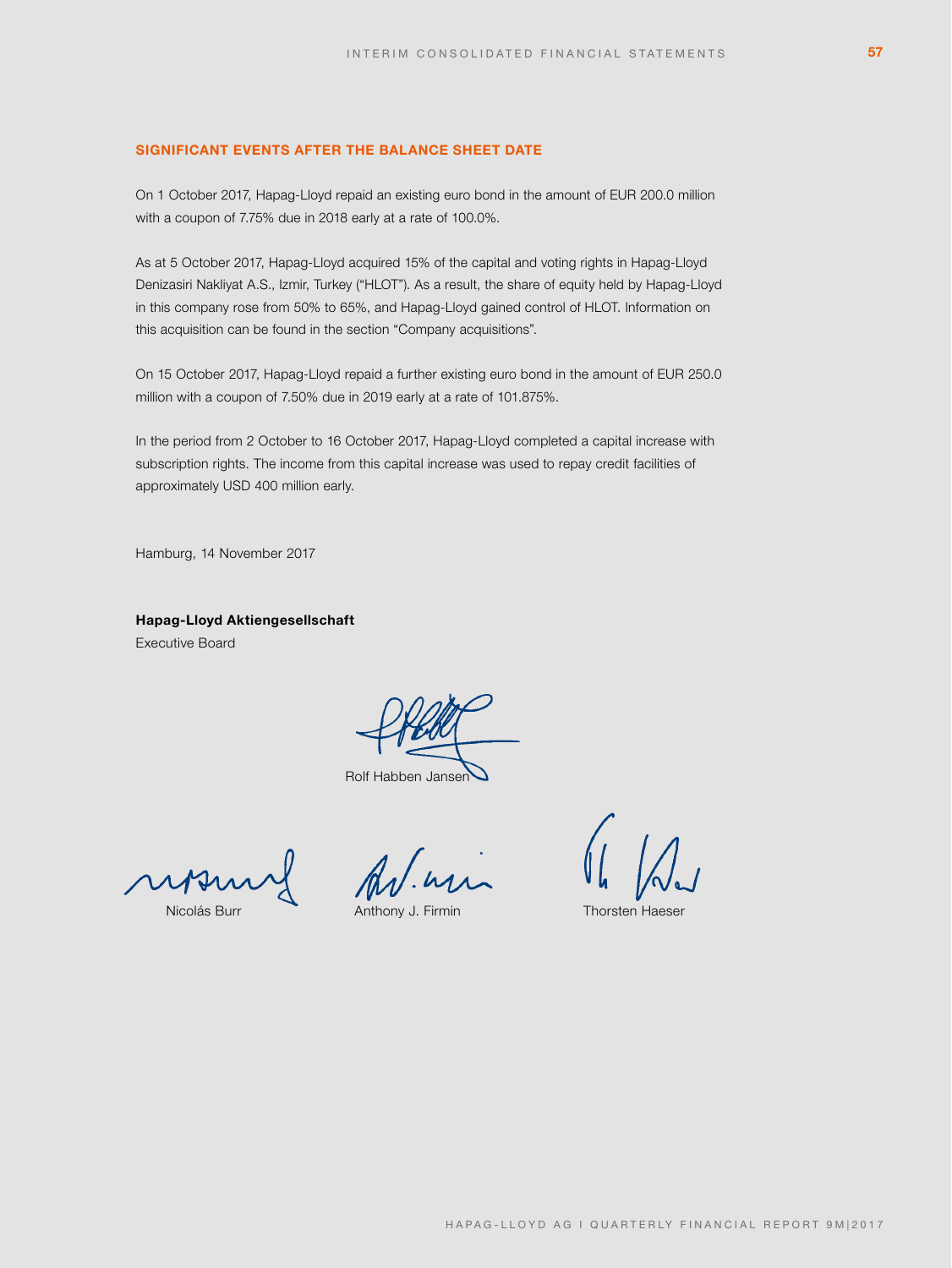# **SIGNIFICANT EVENTS AFTER THE BALANCE SHEET DATE**

On 1 October 2017, Hapag-Lloyd repaid an existing euro bond in the amount of EUR 200.0 million with a coupon of 7.75% due in 2018 early at a rate of 100.0%.

As at 5 October 2017, Hapag-Lloyd acquired 15% of the capital and voting rights in Hapag-Lloyd Denizasiri Nakliyat A.S., Izmir, Turkey ("HLOT"). As a result, the share of equity held by Hapag-Lloyd in this company rose from 50% to 65%, and Hapag-Lloyd gained control of HLOT. Information on this acquisition can be found in the section "Company acquisitions".

On 15 October 2017, Hapag-Lloyd repaid a further existing euro bond in the amount of EUR 250.0 million with a coupon of 7.50% due in 2019 early at a rate of 101.875%.

In the period from 2 October to 16 October 2017, Hapag-Lloyd completed a capital increase with subscription rights. The income from this capital increase was used to repay credit facilities of approximately USD 400 million early.

Hamburg, 14 November 2017

**Hapag-Lloyd Aktiengesellschaft** Executive Board

Rolf Habben Jansen

Nicolás Burr **Anthony J. Firmin** Thorsten Haeser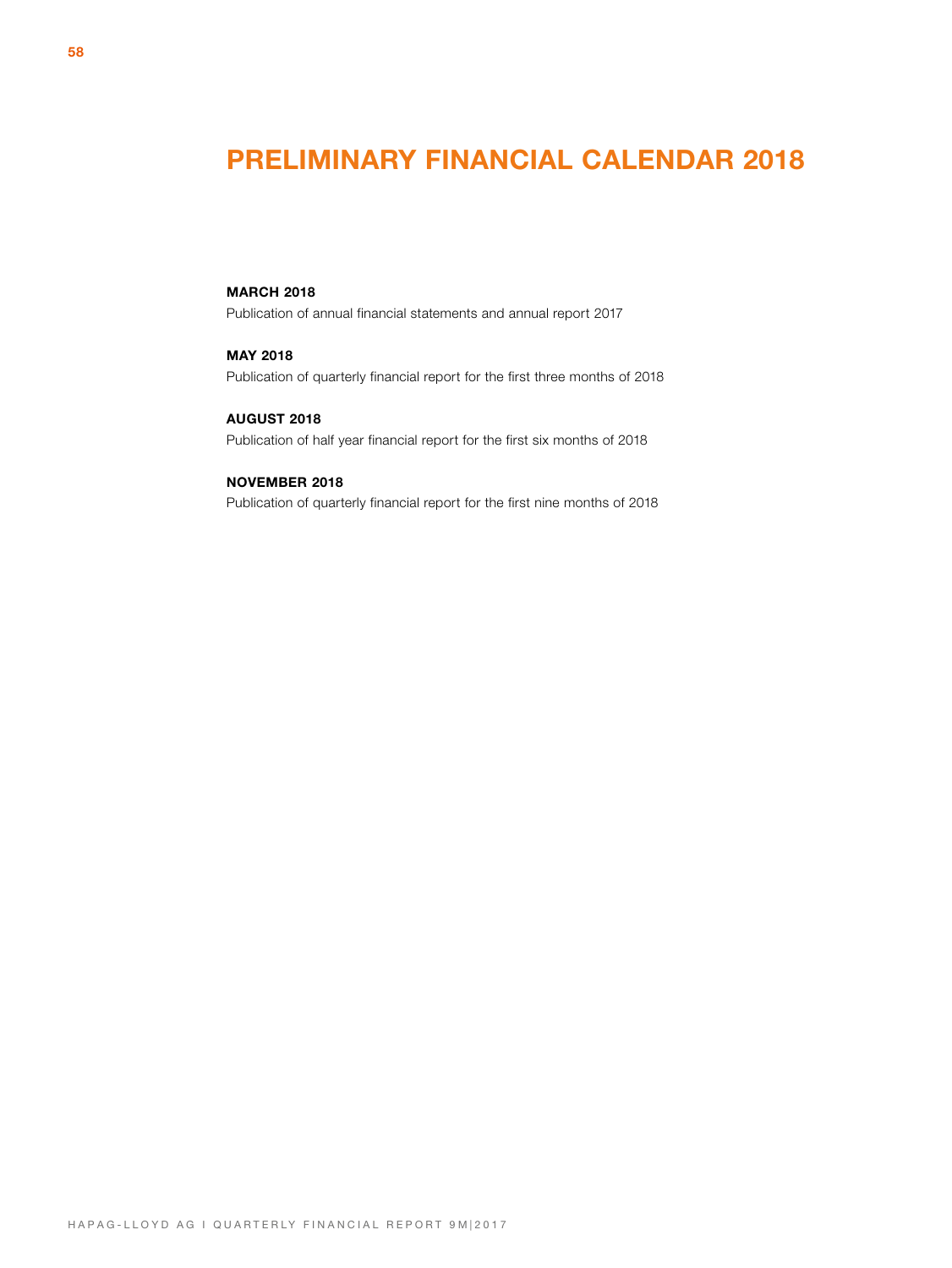# **PRELIMINARY FINANCIAL CALENDAR 2018**

# **MARCH 2018**

Publication of annual financial statements and annual report 2017

# **MAY 2018**

Publication of quarterly financial report for the first three months of 2018

# **AUGUST 2018**

Publication of half year financial report for the first six months of 2018

# **NOVEMBER 2018**

Publication of quarterly financial report for the first nine months of 2018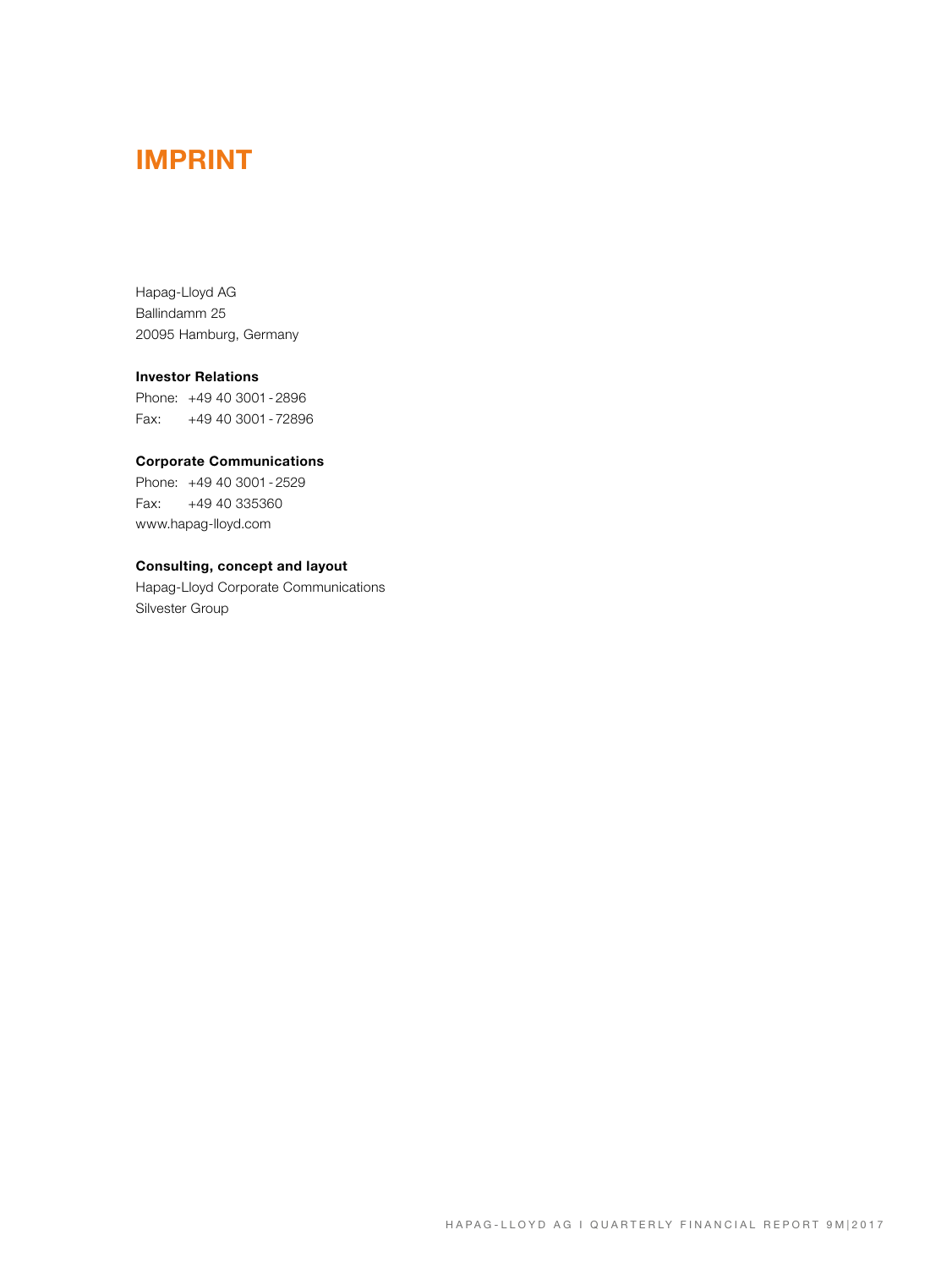# **IMPRINT**

Hapag-Lloyd AG Ballindamm 25 20095 Hamburg, Germany

# **Investor Relations**

Phone: +49 40 3001 - 2896 Fax: +49 40 3001 - 72896

# **Corporate Communications**

Phone: +49 40 3001 - 2529 Fax: +49 40 335360 www.hapag-lloyd.com

# **Consulting, concept and layout**

Hapag-Lloyd Corporate Communications Silvester Group